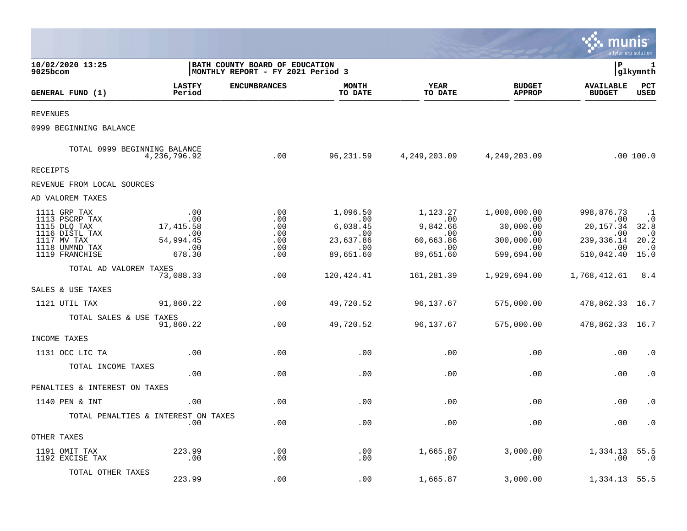|                                                                                                                     |                                                                     |                                                                      |                                                                           |                                                                           |                                                                                        | munis                                                                               | a tyler erp solution                                                                |
|---------------------------------------------------------------------------------------------------------------------|---------------------------------------------------------------------|----------------------------------------------------------------------|---------------------------------------------------------------------------|---------------------------------------------------------------------------|----------------------------------------------------------------------------------------|-------------------------------------------------------------------------------------|-------------------------------------------------------------------------------------|
| 10/02/2020 13:25<br>$9025$ bcom                                                                                     |                                                                     | BATH COUNTY BOARD OF EDUCATION<br> MONTHLY REPORT - FY 2021 Period 3 |                                                                           |                                                                           |                                                                                        | l P                                                                                 | 1<br> glkymnth                                                                      |
| GENERAL FUND (1)                                                                                                    | <b>LASTFY</b><br>Period                                             | <b>ENCUMBRANCES</b>                                                  | <b>MONTH</b><br>TO DATE                                                   | <b>YEAR</b><br>TO DATE                                                    | <b>BUDGET</b><br><b>APPROP</b>                                                         | <b>AVAILABLE</b><br><b>BUDGET</b>                                                   | PCT<br><b>USED</b>                                                                  |
| <b>REVENUES</b>                                                                                                     |                                                                     |                                                                      |                                                                           |                                                                           |                                                                                        |                                                                                     |                                                                                     |
| 0999 BEGINNING BALANCE                                                                                              |                                                                     |                                                                      |                                                                           |                                                                           |                                                                                        |                                                                                     |                                                                                     |
|                                                                                                                     | TOTAL 0999 BEGINNING BALANCE<br>4,236,796.92                        | .00                                                                  |                                                                           | 96,231.59 4,249,203.09 4,249,203.09                                       |                                                                                        |                                                                                     | .00100.0                                                                            |
| <b>RECEIPTS</b>                                                                                                     |                                                                     |                                                                      |                                                                           |                                                                           |                                                                                        |                                                                                     |                                                                                     |
| REVENUE FROM LOCAL SOURCES                                                                                          |                                                                     |                                                                      |                                                                           |                                                                           |                                                                                        |                                                                                     |                                                                                     |
| AD VALOREM TAXES                                                                                                    |                                                                     |                                                                      |                                                                           |                                                                           |                                                                                        |                                                                                     |                                                                                     |
| 1111 GRP TAX<br>1113 PSCRP TAX<br>1115 DLQ TAX<br>1116 DISTL TAX<br>1117 MV TAX<br>1118 UNMND TAX<br>1119 FRANCHISE | .00<br>.00<br>17, 415.58<br>.00<br>54,994.45<br>$\sim$ 00<br>678.30 | .00<br>.00<br>.00<br>.00<br>.00<br>.00<br>.00                        | 1,096.50<br>$\sim$ 00<br>6,038.45<br>.00<br>23,637.86<br>.00<br>89,651.60 | 1,123.27<br>00.<br>9,842.66<br>.00<br>60,663.86<br>$\sim$ 00<br>89,651.60 | 1,000,000.00<br>$\sim$ 00<br>30,000.00<br>.00<br>300,000.00<br>$\sim$ 00<br>599,694.00 | 998,876.73<br>.00<br>20,157.34<br>.00<br>239,336.14<br>$\sim 00$<br>510,042.40 15.0 | $\cdot$ .1<br>$\cdot$ 0<br>32.8<br>$\cdot$ 0<br>20.2<br>$\overline{\phantom{0}}$ .0 |
| TOTAL AD VALOREM TAXES                                                                                              | 73,088.33                                                           | .00                                                                  | 120,424.41                                                                | 161,281.39                                                                | 1,929,694.00                                                                           | 1,768,412.61 8.4                                                                    |                                                                                     |
| SALES & USE TAXES                                                                                                   |                                                                     |                                                                      |                                                                           |                                                                           |                                                                                        |                                                                                     |                                                                                     |
| 1121 UTIL TAX                                                                                                       | 91,860.22                                                           | .00                                                                  | 49,720.52                                                                 | 96,137.67                                                                 | 575,000.00                                                                             | 478,862.33 16.7                                                                     |                                                                                     |
| TOTAL SALES & USE TAXES                                                                                             | 91,860.22                                                           | .00                                                                  | 49,720.52                                                                 | 96,137.67                                                                 | 575,000.00                                                                             | 478,862.33 16.7                                                                     |                                                                                     |
| INCOME TAXES                                                                                                        |                                                                     |                                                                      |                                                                           |                                                                           |                                                                                        |                                                                                     |                                                                                     |
| 1131 OCC LIC TA                                                                                                     | .00                                                                 | .00                                                                  | .00                                                                       | .00                                                                       | .00                                                                                    | .00                                                                                 | $\cdot$ 0                                                                           |
| TOTAL INCOME TAXES                                                                                                  | .00                                                                 | .00                                                                  | .00                                                                       | .00                                                                       | .00                                                                                    | .00                                                                                 | $\cdot$ 0                                                                           |
| PENALTIES & INTEREST ON TAXES                                                                                       |                                                                     |                                                                      |                                                                           |                                                                           |                                                                                        |                                                                                     |                                                                                     |
| 1140 PEN & INT                                                                                                      | .00                                                                 | .00                                                                  | .00                                                                       | .00                                                                       | .00                                                                                    | .00                                                                                 | $\cdot$ 0                                                                           |
|                                                                                                                     | TOTAL PENALTIES & INTEREST ON TAXES<br>.00                          | .00                                                                  | .00                                                                       | .00                                                                       | .00                                                                                    | .00                                                                                 | $\cdot$ 0                                                                           |
| OTHER TAXES                                                                                                         |                                                                     |                                                                      |                                                                           |                                                                           |                                                                                        |                                                                                     |                                                                                     |
| 1191 OMIT TAX<br>1192 EXCISE TAX                                                                                    | 223.99<br>.00                                                       | .00<br>.00                                                           | .00<br>.00                                                                | 1,665.87<br>.00                                                           | 3,000.00<br>.00                                                                        | 1,334.13<br>.00                                                                     | 55.5<br>.0                                                                          |
| TOTAL OTHER TAXES                                                                                                   | 223.99                                                              | .00                                                                  | .00                                                                       | 1,665.87                                                                  | 3,000.00                                                                               | 1,334.13                                                                            | 55.5                                                                                |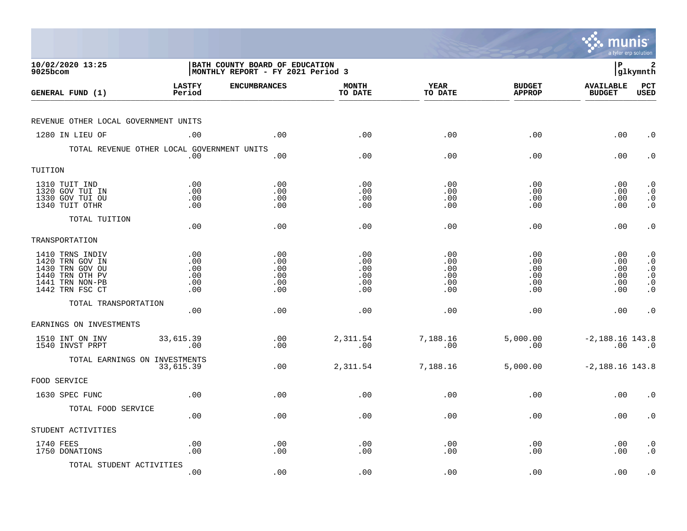|                                                                                                                |                                        |                                                                     |                                        |                                        |                                        | munis<br>a tyler erp solution          |                                                                            |
|----------------------------------------------------------------------------------------------------------------|----------------------------------------|---------------------------------------------------------------------|----------------------------------------|----------------------------------------|----------------------------------------|----------------------------------------|----------------------------------------------------------------------------|
| 10/02/2020 13:25<br>9025bcom                                                                                   |                                        | BATH COUNTY BOARD OF EDUCATION<br>MONTHLY REPORT - FY 2021 Period 3 |                                        |                                        |                                        | l P                                    | 2<br> glkymnth                                                             |
| GENERAL FUND (1)                                                                                               | <b>LASTFY</b><br>Period                | <b>ENCUMBRANCES</b>                                                 | <b>MONTH</b><br>TO DATE                | <b>YEAR</b><br>TO DATE                 | <b>BUDGET</b><br><b>APPROP</b>         | <b>AVAILABLE</b><br><b>BUDGET</b>      | PCT<br><b>USED</b>                                                         |
| REVENUE OTHER LOCAL GOVERNMENT UNITS                                                                           |                                        |                                                                     |                                        |                                        |                                        |                                        |                                                                            |
| 1280 IN LIEU OF                                                                                                | .00                                    | .00                                                                 | .00                                    | .00                                    | .00                                    | .00                                    | $\cdot$ 0                                                                  |
| TOTAL REVENUE OTHER LOCAL GOVERNMENT UNITS                                                                     | .00                                    | .00                                                                 | .00                                    | .00                                    | .00                                    | .00                                    | $\cdot$ 0                                                                  |
| TUITION                                                                                                        |                                        |                                                                     |                                        |                                        |                                        |                                        |                                                                            |
| 1310 TUIT IND<br>1320 GOV TUI IN<br>1330 GOV TUI OU<br>1340 TUIT OTHR                                          | .00<br>.00<br>.00<br>.00               | .00<br>.00<br>.00<br>.00                                            | .00<br>.00<br>.00<br>.00               | .00<br>.00<br>.00<br>.00               | .00<br>.00<br>.00<br>.00               | .00<br>.00<br>.00<br>.00               | $\cdot$ 0<br>$\cdot$ 0<br>$\cdot$ 0<br>$\cdot$ 0                           |
| TOTAL TUITION                                                                                                  | .00                                    | .00                                                                 | .00                                    | .00                                    | .00                                    | .00                                    | $\cdot$ 0                                                                  |
| TRANSPORTATION                                                                                                 |                                        |                                                                     |                                        |                                        |                                        |                                        |                                                                            |
| 1410 TRNS INDIV<br>1420 TRN GOV IN<br>1430 TRN GOV OU<br>1440 TRN OTH PV<br>1441 TRN NON-PB<br>1442 TRN FSC CT | .00<br>.00<br>.00<br>.00<br>.00<br>.00 | .00<br>.00<br>.00<br>.00<br>.00<br>.00                              | .00<br>.00<br>.00<br>.00<br>.00<br>.00 | .00<br>.00<br>.00<br>.00<br>.00<br>.00 | .00<br>.00<br>.00<br>.00<br>.00<br>.00 | .00<br>.00<br>.00<br>.00<br>.00<br>.00 | $\cdot$ 0<br>$\cdot$ 0<br>$\cdot$ 0<br>$\cdot$ 0<br>$\cdot$ 0<br>$\cdot$ 0 |
| TOTAL TRANSPORTATION                                                                                           | .00                                    | .00                                                                 | .00                                    | .00                                    | .00                                    | .00                                    | $\cdot$ 0                                                                  |
| EARNINGS ON INVESTMENTS                                                                                        |                                        |                                                                     |                                        |                                        |                                        |                                        |                                                                            |
| 1510 INT ON INV<br>1540 INVST PRPT                                                                             | 33,615.39<br>.00                       | .00<br>.00                                                          | 2,311.54<br>.00                        | 7,188.16<br>.00                        | 5,000.00<br>.00                        | $-2,188.16$ 143.8<br>.00               | $\overline{\phantom{0}}$ .0                                                |
| TOTAL EARNINGS ON INVESTMENTS                                                                                  | 33,615.39                              | .00                                                                 | 2,311.54                               | 7,188.16                               | 5,000.00                               | $-2,188.16$ 143.8                      |                                                                            |
| FOOD SERVICE                                                                                                   |                                        |                                                                     |                                        |                                        |                                        |                                        |                                                                            |
| 1630 SPEC FUNC                                                                                                 | .00                                    | .00                                                                 | .00                                    | .00                                    | .00                                    | .00                                    | . 0                                                                        |
| TOTAL FOOD SERVICE                                                                                             | .00                                    | .00                                                                 | .00                                    | .00                                    | .00                                    | .00                                    | $\cdot$ 0                                                                  |
| STUDENT ACTIVITIES                                                                                             |                                        |                                                                     |                                        |                                        |                                        |                                        |                                                                            |
| 1740 FEES<br>1750 DONATIONS                                                                                    | .00<br>.00                             | .00<br>.00                                                          | .00<br>.00                             | .00<br>.00                             | .00<br>.00                             | .00<br>.00                             | $\cdot$ 0<br>$\cdot$ 0                                                     |
| TOTAL STUDENT ACTIVITIES                                                                                       | .00                                    | .00                                                                 | .00                                    | .00                                    | .00                                    | .00                                    | $\cdot$ 0                                                                  |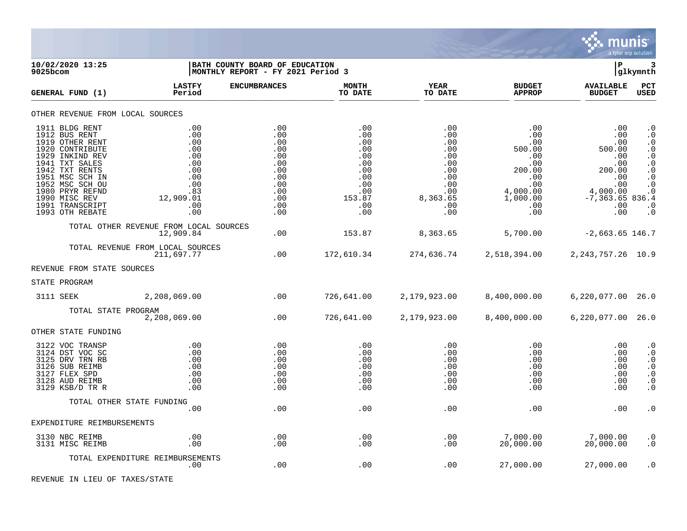

| 10/02/2020 13:25<br>$9025$ bcom                                                                                                                                                                                                              |                                                                                               | BATH COUNTY BOARD OF EDUCATION<br>MONTHLY REPORT - FY 2021 Period 3                     |                                                                                            |                                                                                              |                                                                                                                           | ∣P                                                                                                              | 3<br> glkymnth                                                                                                                                                        |
|----------------------------------------------------------------------------------------------------------------------------------------------------------------------------------------------------------------------------------------------|-----------------------------------------------------------------------------------------------|-----------------------------------------------------------------------------------------|--------------------------------------------------------------------------------------------|----------------------------------------------------------------------------------------------|---------------------------------------------------------------------------------------------------------------------------|-----------------------------------------------------------------------------------------------------------------|-----------------------------------------------------------------------------------------------------------------------------------------------------------------------|
| GENERAL FUND (1)                                                                                                                                                                                                                             | <b>LASTFY</b><br>Period                                                                       | <b>ENCUMBRANCES</b>                                                                     | <b>MONTH</b><br>TO DATE                                                                    | YEAR<br>TO DATE                                                                              | <b>BUDGET</b><br><b>APPROP</b>                                                                                            | <b>AVAILABLE</b><br><b>BUDGET</b>                                                                               | <b>PCT</b><br>USED                                                                                                                                                    |
|                                                                                                                                                                                                                                              | OTHER REVENUE FROM LOCAL SOURCES                                                              |                                                                                         |                                                                                            |                                                                                              |                                                                                                                           |                                                                                                                 |                                                                                                                                                                       |
| 1911 BLDG RENT<br>1912 BUS RENT<br>1919 OTHER RENT<br>1920 CONTRIBUTE<br>1929 INKIND REV<br>1941 TXT SALES<br>1942 TXT RENTS<br>1951 MSC SCH IN<br>1952 MSC SCH OU<br>1980 PRYR REFND<br>1990 MISC REV<br>1991 TRANSCRIPT<br>1993 OTH REBATE | .00<br>.00<br>.00<br>.00<br>.00<br>.00<br>.00<br>.00<br>.00<br>.83<br>12,909.01<br>.00<br>.00 | .00<br>.00<br>.00<br>.00<br>.00<br>.00<br>.00<br>.00<br>.00<br>.00<br>.00<br>.00<br>.00 | .00<br>.00<br>.00<br>.00<br>.00<br>.00<br>.00<br>.00<br>.00<br>.00<br>153.87<br>.00<br>.00 | .00<br>.00<br>.00<br>.00<br>.00<br>.00<br>.00<br>.00<br>.00<br>.00<br>8,363.65<br>.00<br>.00 | .00<br>.00<br>.00<br>500.00<br>.00<br>.00<br>200.00<br>$.00 \,$<br>.00<br>4,000.00<br>1,000.00<br>$.00 \,$<br>$.00 \ \rm$ | .00<br>.00<br>.00<br>500.00<br>.00<br>.00<br>200.00<br>.00<br>.00<br>4,000.00<br>$-7,363.65836.4$<br>.00<br>.00 | $\cdot$ 0<br>$\cdot$ 0<br>$\cdot$ 0<br>$\cdot$ 0<br>$\cdot$ 0<br>$\cdot$ 0<br>$\cdot$ 0<br>$\cdot$ 0<br>$\boldsymbol{\cdot}$ 0<br>$\cdot$ 0<br>$\cdot$ 0<br>$\cdot$ 0 |
|                                                                                                                                                                                                                                              | TOTAL OTHER REVENUE FROM LOCAL SOURCES<br>12,909.84                                           | .00                                                                                     | 153.87                                                                                     | 8,363.65                                                                                     | 5,700.00                                                                                                                  | $-2,663.65$ 146.7                                                                                               |                                                                                                                                                                       |
|                                                                                                                                                                                                                                              | TOTAL REVENUE FROM LOCAL SOURCES<br>211,697.77                                                | .00                                                                                     | 172,610.34                                                                                 | 274,636.74                                                                                   | 2,518,394.00                                                                                                              | 2, 243, 757. 26 10. 9                                                                                           |                                                                                                                                                                       |
| REVENUE FROM STATE SOURCES                                                                                                                                                                                                                   |                                                                                               |                                                                                         |                                                                                            |                                                                                              |                                                                                                                           |                                                                                                                 |                                                                                                                                                                       |
| STATE PROGRAM                                                                                                                                                                                                                                |                                                                                               |                                                                                         |                                                                                            |                                                                                              |                                                                                                                           |                                                                                                                 |                                                                                                                                                                       |
| 3111 SEEK                                                                                                                                                                                                                                    | 2,208,069.00                                                                                  | .00                                                                                     | 726,641.00                                                                                 | 2,179,923.00                                                                                 | 8,400,000.00                                                                                                              | 6,220,077.00 26.0                                                                                               |                                                                                                                                                                       |
|                                                                                                                                                                                                                                              | TOTAL STATE PROGRAM<br>2,208,069.00                                                           | .00                                                                                     | 726,641.00                                                                                 | 2,179,923.00                                                                                 | 8,400,000.00                                                                                                              | 6,220,077.00 26.0                                                                                               |                                                                                                                                                                       |
| OTHER STATE FUNDING                                                                                                                                                                                                                          |                                                                                               |                                                                                         |                                                                                            |                                                                                              |                                                                                                                           |                                                                                                                 |                                                                                                                                                                       |
| 3122 VOC TRANSP<br>3124 DST VOC SC<br>3125 DRV TRN RB<br>3126 SUB REIMB<br>3127 FLEX SPD<br>3128 AUD REIMB<br>3129 KSB/D TR R                                                                                                                | .00<br>.00<br>.00<br>.00<br>.00<br>.00<br>.00                                                 | .00<br>.00<br>.00<br>.00<br>.00<br>.00<br>.00                                           | .00<br>.00<br>.00<br>.00<br>.00<br>.00<br>.00                                              | .00<br>.00<br>.00<br>.00<br>.00<br>.00<br>.00                                                | $.00 \ \rm$<br>$.00 \ \rm$<br>$.00 \ \rm$<br>$.00 \,$<br>$.00 \,$<br>$.00 \,$<br>$.00 \ \rm$                              | .00<br>.00<br>.00<br>.00<br>.00<br>.00<br>.00                                                                   | $\cdot$ 0<br>$\cdot$ 0<br>$\cdot$ 0<br>$\cdot$ 0<br>$\cdot$ 0<br>. $\boldsymbol{0}$<br>$\cdot$ 0                                                                      |
|                                                                                                                                                                                                                                              | TOTAL OTHER STATE FUNDING                                                                     |                                                                                         |                                                                                            |                                                                                              |                                                                                                                           |                                                                                                                 |                                                                                                                                                                       |
|                                                                                                                                                                                                                                              | .00                                                                                           | .00                                                                                     | .00                                                                                        | .00                                                                                          | $.00 \ \rm$                                                                                                               | .00                                                                                                             | $\cdot$ 0                                                                                                                                                             |
| EXPENDITURE REIMBURSEMENTS                                                                                                                                                                                                                   |                                                                                               |                                                                                         |                                                                                            |                                                                                              |                                                                                                                           |                                                                                                                 |                                                                                                                                                                       |
| 3130 NBC REIMB<br>3131 MISC REIMB                                                                                                                                                                                                            | .00<br>.00                                                                                    | .00<br>.00                                                                              | .00<br>.00                                                                                 | .00<br>.00                                                                                   | 7,000.00<br>20,000.00                                                                                                     | 7,000.00<br>20,000.00                                                                                           | $\cdot$ 0<br>$\cdot$ 0                                                                                                                                                |
|                                                                                                                                                                                                                                              | TOTAL EXPENDITURE REIMBURSEMENTS<br>$.00 \,$                                                  | .00                                                                                     | .00                                                                                        | .00                                                                                          | 27,000.00                                                                                                                 | 27,000.00                                                                                                       | . 0                                                                                                                                                                   |

REVENUE IN LIEU OF TAXES/STATE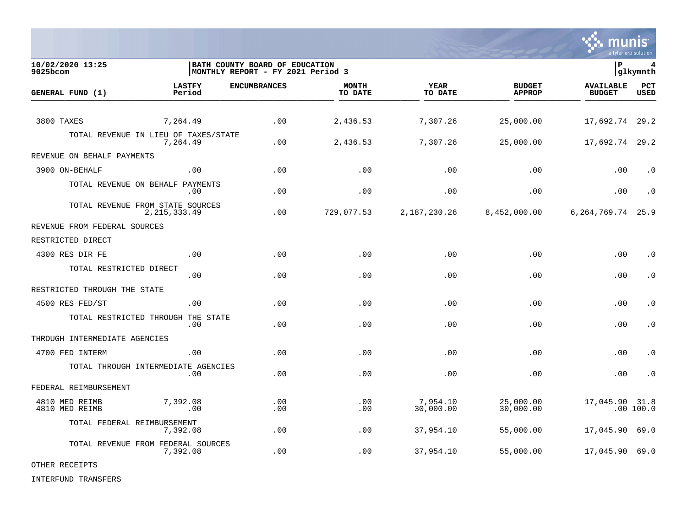

**10/02/2020 13:25 |BATH COUNTY BOARD OF EDUCATION |P 4 MONTHLY REPORT - FY 2021 Period 3 LASTFY ENCUMBRANCES MONTH YEAR BUDGET AVAILABLE PCT GENERAL FUND (1)** TO DATE THE RELIGION CONDUCT TO DATE THE RELIGION CONDUCT TO DATE THE RELIGION OF THE RELIGION OF THE RELIGION OF THE RELIGION OF THE RELIGION OF THE RELIGION OF THE RELIGION OF THE RELIGION OF THE RELIGION OF THE RELIGION 3800 TAXES 7,264.49 .00 2,436.53 7,307.26 25,000.00 17,692.74 29.2 TOTAL REVENUE IN LIEU OF TAXES/STATE<br>7.264.49 7,264.49 .00 2,436.53 7,307.26 25,000.00 17,692.74 29.2 REVENUE ON BEHALF PAYMENTS 3900 ON-BEHALF .00 .00 .00 .00 .00 .00 .0 TOTAL REVENUE ON BEHALF PAYMENTS .00 .00 .00 .00 .00 .00 .0 TOTAL REVENUE FROM STATE SOURCES<br>2.215.333.49 2,215,333.49 .00 729,077.53 2,187,230.26 8,452,000.00 6,264,769.74 25.9 REVENUE FROM FEDERAL SOURCES RESTRICTED DIRECT 4300 RES DIR FE .00 .00 .00 .00 .00 .00 .0 TOTAL RESTRICTED DIRECT .00 .00 .00 .00 .00 .00 .0 RESTRICTED THROUGH THE STATE 4500 RES FED/ST .00 .00 .00 .00 .00 .00 .0 TOTAL RESTRICTED THROUGH THE STATE .00 .00 .00 .00 .00 .00 .0 THROUGH INTERMEDIATE AGENCIES 4700 FED INTERM .00 .00 .00 .00 .00 .00 .0 TOTAL THROUGH INTERMEDIATE AGENCIES .00 .00 .00 .00 .00 .00 .0 FEDERAL REIMBURSEMENT 4810 MED REIMB 7,392.08 .00 .00 7,954.10 25,000.00 17,045.90 31.8 4810 MED REIMB .00 .00 .00 30,000.00 30,000.00 .00 100.0 TOTAL FEDERAL REIMBURSEMENT 7,392.08 .00 .00 37,954.10 55,000.00 17,045.90 69.0 TOTAL REVENUE FROM FEDERAL SOURCES 7,392.08 .00 .00 37,954.10 55,000.00 17,045.90 69.0

OTHER RECEIPTS

INTERFUND TRANSFERS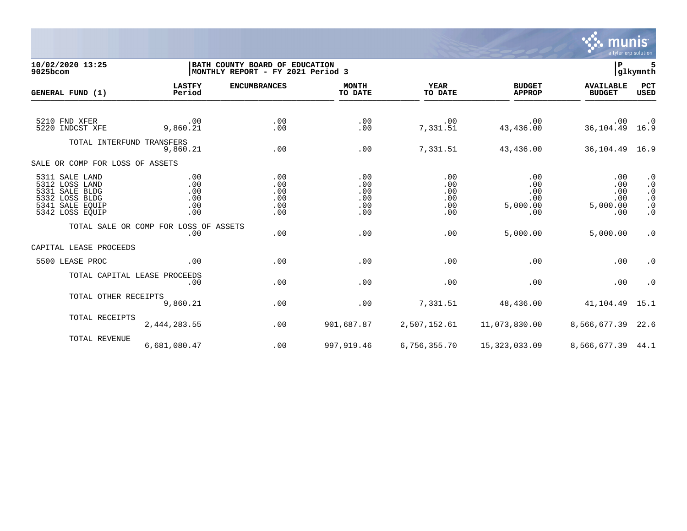

## **10/02/2020 13:25 |BATH COUNTY BOARD OF EDUCATION |P 5 9025bcom |MONTHLY REPORT - FY 2021 Period 3 |glkymnth**

| GENERAL FUND (1)                                                                                           | <b>LASTFY</b><br>Period                | <b>ENCUMBRANCES</b>                    | <b>MONTH</b><br>TO DATE                | YEAR<br>TO DATE                        | <b>BUDGET</b><br><b>APPROP</b>                                  | <b>AVAILABLE</b><br><b>BUDGET</b>           | PCT<br><b>USED</b>                                                         |
|------------------------------------------------------------------------------------------------------------|----------------------------------------|----------------------------------------|----------------------------------------|----------------------------------------|-----------------------------------------------------------------|---------------------------------------------|----------------------------------------------------------------------------|
| 5210 FND XFER<br>5220 INDCST XFE                                                                           | $\sim 00$<br>9,860.21                  | .00<br>.00                             | .00<br>.00                             | .00<br>7,331.51                        | $\,.\,00$<br>43,436.00                                          | $.00\,$<br>$36, 104.49$ 16.9                | $\cdot$ 0                                                                  |
| TOTAL INTERFUND TRANSFERS                                                                                  | 9,860.21                               | .00                                    | .00                                    | 7,331.51                               | 43,436.00                                                       | 36,104.49 16.9                              |                                                                            |
| SALE OR COMP FOR LOSS OF ASSETS                                                                            |                                        |                                        |                                        |                                        |                                                                 |                                             |                                                                            |
| 5311 SALE LAND<br>5312 LOSS LAND<br>5331 SALE BLDG<br>5332 LOSS BLDG<br>5341 SALE EQUIP<br>5342 LOSS EQUIP | .00<br>.00<br>.00<br>.00<br>.00<br>.00 | .00<br>.00<br>.00<br>.00<br>.00<br>.00 | .00<br>.00<br>.00<br>.00<br>.00<br>.00 | .00<br>.00<br>.00<br>.00<br>.00<br>.00 | .00<br>.00<br>.00<br>.00<br>5,000.00<br>$.00 \,$                | .00<br>.00<br>.00<br>.00<br>5,000.00<br>.00 | $\cdot$ 0<br>$\cdot$ 0<br>$\cdot$ 0<br>$\cdot$ 0<br>$\cdot$ 0<br>$\cdot$ 0 |
|                                                                                                            | TOTAL SALE OR COMP FOR LOSS OF ASSETS  |                                        |                                        |                                        |                                                                 |                                             |                                                                            |
|                                                                                                            | .00                                    | .00                                    | .00                                    | .00                                    | 5,000.00                                                        | 5,000.00                                    | $\cdot$ 0                                                                  |
| CAPITAL LEASE PROCEEDS                                                                                     |                                        |                                        |                                        |                                        |                                                                 |                                             |                                                                            |
| 5500 LEASE PROC                                                                                            | .00                                    | .00                                    | .00                                    | .00                                    | .00                                                             | .00                                         | $\cdot$ 0                                                                  |
|                                                                                                            | TOTAL CAPITAL LEASE PROCEEDS<br>.00    | .00                                    | .00                                    | .00                                    | .00                                                             | .00                                         | $\cdot$ 0                                                                  |
| TOTAL OTHER RECEIPTS                                                                                       | 9,860.21                               | .00                                    | .00                                    | 7,331.51                               | 48,436.00                                                       | 41,104.49 15.1                              |                                                                            |
| TOTAL RECEIPTS                                                                                             | 2,444,283.55                           | .00                                    | 901,687.87                             | 2,507,152.61                           | 11,073,830.00                                                   | 8,566,677.39 22.6                           |                                                                            |
| TOTAL REVENUE                                                                                              | 6,681,080.47                           | .00                                    |                                        |                                        | 997,919.46   6,756,355.70   15,323,033.09   8,566,677.39   44.1 |                                             |                                                                            |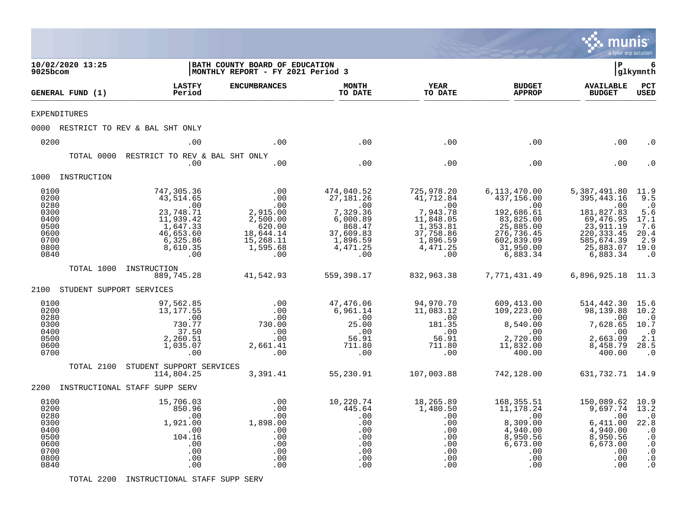|                                                                              |                                                                                                                               |                                                                                                  |                                                                                                                      |                                                                                                                 |                                                                                                                                | munis                                                                                                                                             | a tyler erp solution                                                                                            |
|------------------------------------------------------------------------------|-------------------------------------------------------------------------------------------------------------------------------|--------------------------------------------------------------------------------------------------|----------------------------------------------------------------------------------------------------------------------|-----------------------------------------------------------------------------------------------------------------|--------------------------------------------------------------------------------------------------------------------------------|---------------------------------------------------------------------------------------------------------------------------------------------------|-----------------------------------------------------------------------------------------------------------------|
| 10/02/2020 13:25<br>9025bcom                                                 |                                                                                                                               | BATH COUNTY BOARD OF EDUCATION<br>MONTHLY REPORT - FY 2021 Period 3                              |                                                                                                                      |                                                                                                                 |                                                                                                                                | İР                                                                                                                                                | 6<br> glkymnth                                                                                                  |
| GENERAL FUND (1)                                                             | <b>LASTFY</b><br>Period                                                                                                       | <b>ENCUMBRANCES</b>                                                                              | <b>MONTH</b><br>TO DATE                                                                                              | <b>YEAR</b><br>TO DATE                                                                                          | <b>BUDGET</b><br><b>APPROP</b>                                                                                                 | <b>AVAILABLE</b><br><b>BUDGET</b>                                                                                                                 | PCT<br><b>USED</b>                                                                                              |
| <b>EXPENDITURES</b>                                                          |                                                                                                                               |                                                                                                  |                                                                                                                      |                                                                                                                 |                                                                                                                                |                                                                                                                                                   |                                                                                                                 |
|                                                                              | 0000 RESTRICT TO REV & BAL SHT ONLY                                                                                           |                                                                                                  |                                                                                                                      |                                                                                                                 |                                                                                                                                |                                                                                                                                                   |                                                                                                                 |
| 0200                                                                         | .00                                                                                                                           | .00                                                                                              | .00                                                                                                                  | .00                                                                                                             | .00                                                                                                                            | .00                                                                                                                                               | . 0                                                                                                             |
| TOTAL 0000                                                                   | RESTRICT TO REV & BAL SHT ONLY<br>.00                                                                                         | .00                                                                                              | .00                                                                                                                  | .00                                                                                                             | .00                                                                                                                            | .00                                                                                                                                               |                                                                                                                 |
| 1000 INSTRUCTION                                                             |                                                                                                                               |                                                                                                  |                                                                                                                      |                                                                                                                 |                                                                                                                                |                                                                                                                                                   |                                                                                                                 |
| 0100<br>0200<br>0280<br>0300<br>0400<br>0500<br>0600<br>0700<br>0800<br>0840 | 747,305.36<br>43,514.65<br>.00<br>23,748.71<br>11,939.42<br>$\overline{1,647.33}$<br>46,653.60<br>6,325.86<br>8,610.35<br>.00 | .00<br>.00<br>.00<br>2,915.00<br>2,500.00<br>620.00<br>18,644.14<br>15,268.11<br>1,595.68<br>.00 | 474,040.52<br>27,181.26<br>$\ddots$ 00<br>7,329.36<br>6,000.89<br>868.47<br>37,609.83<br>1,896.59<br>4,471.25<br>.00 | 725,978.20<br>41,712.84<br>.00<br>7,943.78<br>11,848.05<br>1,353.81<br>37,758.86<br>1,896.59<br>4,471.25<br>.00 | 6,113,470.00<br>437,156.00<br>.00<br>192,686.61<br>83,825.00<br>25,885.00<br>276,736.45<br>602,839.09<br>31,950.00<br>6,883.34 | 5,387,491.80 11.9<br>395, 443.16<br>$\cdot$ 00<br>181,827.83<br>69,476.95<br>23,911.19<br>220, 333.45<br>585,674.39<br>25,883.07 19.0<br>6,883.34 | 9.5<br>$\cdot$ 0<br>5.6<br>17.1<br>7.6<br>20.4<br>2.9<br>$\cdot$ 0                                              |
|                                                                              | TOTAL 1000 INSTRUCTION<br>889,745.28                                                                                          | 41,542.93                                                                                        | 559,398.17                                                                                                           | 832,963.38                                                                                                      | 7,771,431.49                                                                                                                   | 6,896,925.18 11.3                                                                                                                                 |                                                                                                                 |
| 2100                                                                         | STUDENT SUPPORT SERVICES                                                                                                      |                                                                                                  |                                                                                                                      |                                                                                                                 |                                                                                                                                |                                                                                                                                                   |                                                                                                                 |
| 0100<br>0200<br>0280<br>0300<br>0400<br>0500<br>0600<br>0700                 | 97,562.85<br>13,177.55<br>.00<br>730.77<br>37.50<br>2,260.51<br>1,035.07<br>.00                                               | .00<br>.00<br>.00<br>730.00<br>.00<br>$00$ .<br>2,661.41<br>.00                                  | 47,476.06<br>6,961.14<br>.00<br>25.00<br>.00<br>56.91<br>711.80<br>.00                                               | 94,970.70<br>11,083.12<br>$\ddotsc 00$<br>181.35<br>.00<br>56.91<br>711.80<br>.00                               | 609,413.00<br>109,223.00<br>8540.2<br>8,540.00<br>.00<br>2,720.00<br>11,832.00<br>400.00                                       | 514,442.30<br>98,139.88 10.2<br>$\overline{\phantom{0}}$ .00<br>7,628.65<br>.00<br>2,663.09<br>8,458.79<br>400.00                                 | 15.6<br>$\cdot$ 0<br>10.7<br>$\cdot$ 0<br>2.1<br>28.5<br>$\cdot$ 0                                              |
| TOTAL 2100                                                                   | STUDENT SUPPORT SERVICES<br>114,804.25                                                                                        | 3,391.41                                                                                         | 55,230.91                                                                                                            | 107,003.88                                                                                                      | 742,128.00                                                                                                                     | 631,732.71 14.9                                                                                                                                   |                                                                                                                 |
|                                                                              | 2200 INSTRUCTIONAL STAFF SUPP SERV                                                                                            |                                                                                                  |                                                                                                                      |                                                                                                                 |                                                                                                                                |                                                                                                                                                   |                                                                                                                 |
| 0100<br>0200<br>0280<br>0300<br>0400<br>0500<br>0600<br>0700<br>0800<br>0840 | 15,706.03<br>850.96<br>.00<br>1,921.00<br>.00<br>104.16<br>.00<br>.00<br>.00<br>.00                                           | .00<br>.00<br>.00<br>1,898.00<br>.00<br>.00<br>.00<br>.00<br>.00<br>.00                          | 10,220.74<br>445.64<br>.00<br>.00<br>.00<br>.00<br>.00<br>.00<br>.00<br>.00                                          | 18,265.89<br>1,480.50<br>.00<br>.00<br>.00<br>.00<br>.00<br>.00<br>.00<br>.00                                   | 168,355.51<br>11,178.24<br>.00<br>8,309.00<br>4,940.00<br>8,950.56<br>6,673.00<br>.00<br>.00<br>.00                            | 150,089.62<br>9,697.74<br>.00<br>6,411.00<br>4,940.00<br>8,950.56<br>6,673.00<br>.00<br>.00<br>.00                                                | 10.9<br>13.2<br>$\cdot$ 0<br>22.8<br>$\cdot$ 0<br>$\cdot$ 0<br>$\cdot$ 0<br>$\cdot$ 0<br>$\cdot$ 0<br>$\cdot$ 0 |

TOTAL 2200 INSTRUCTIONAL STAFF SUPP SERV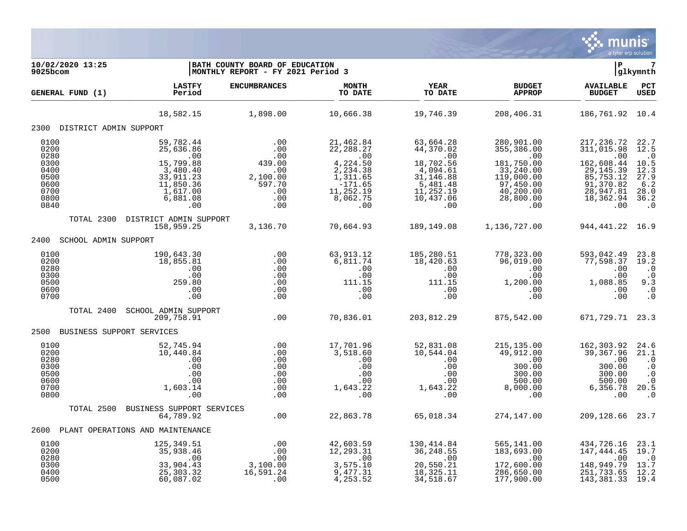

| 10/02/2020 13:25<br>9025bcom                                 |                                                                                              | BATH COUNTY BOARD OF EDUCATION<br>MONTHLY REPORT - FY 2021 Period 3 |                                                                                               |                                                                                              |                                                                                                     | $\mathbf{P}$<br> glkymnth                                                                           |                                                                                       |
|--------------------------------------------------------------|----------------------------------------------------------------------------------------------|---------------------------------------------------------------------|-----------------------------------------------------------------------------------------------|----------------------------------------------------------------------------------------------|-----------------------------------------------------------------------------------------------------|-----------------------------------------------------------------------------------------------------|---------------------------------------------------------------------------------------|
| GENERAL FUND (1)                                             | <b>LASTFY</b><br>Period                                                                      | <b>ENCUMBRANCES</b>                                                 | <b>MONTH</b><br>TO DATE                                                                       | <b>YEAR</b><br>TO DATE                                                                       | <b>BUDGET</b><br><b>APPROP</b>                                                                      | <b>AVAILABLE</b><br><b>BUDGET</b>                                                                   | PCT<br><b>USED</b>                                                                    |
|                                                              | 18,582.15                                                                                    | 1,898.00                                                            | 10,666.38                                                                                     | 19,746.39                                                                                    | 208,406.31                                                                                          | 186,761.92 10.4                                                                                     |                                                                                       |
| 2300 DISTRICT ADMIN SUPPORT                                  |                                                                                              |                                                                     |                                                                                               |                                                                                              |                                                                                                     |                                                                                                     |                                                                                       |
| 0100<br>0200<br>0280<br>0300<br>0400<br>0500<br>0600<br>0700 | 59,782.44<br>25,636.86<br>.00<br>15,799.88<br>3,480.40<br>33,911.23<br>11,850.36<br>1,617.00 | .00<br>.00<br>.00<br>439.00<br>.00<br>2,100.00<br>597.70<br>.00     | 21,462.84<br>22, 288.27<br>.00<br>4,224.50<br>2,234.38<br>1,311.65<br>$-171.65$<br>11, 252.19 | 63,664.28<br>44,370.02<br>.00<br>18,702.56<br>4,094.61<br>31,146.88<br>5,481.48<br>11,252.19 | 280,901.00<br>355, 386.00<br>.00<br>181,750.00<br>33,240.00<br>119,000.00<br>97,450.00<br>40,200.00 | 217, 236.72<br>311,015.98<br>.00<br>162,608.44<br>29, 145.39<br>85,753.12<br>91,370.82<br>28,947.81 | 22.7<br>12.5<br>$\cdot$ 0<br>10.5<br>12.3<br>27.9<br>$6.2$<br>28.0                    |
| 0800<br>0840                                                 | 6,881.08<br>.00                                                                              | .00<br>.00                                                          | 8,062.75<br>.00                                                                               | 10,437.06<br>.00                                                                             | 28,800.00<br>.00                                                                                    | 18,362.94<br>.00                                                                                    | 36.2<br>$\cdot$ 0                                                                     |
| TOTAL 2300                                                   | DISTRICT ADMIN SUPPORT<br>158,959.25                                                         | 3,136.70                                                            | 70,664.93                                                                                     | 189,149.08                                                                                   | 1,136,727.00                                                                                        | 944, 441. 22 16. 9                                                                                  |                                                                                       |
| 2400<br>SCHOOL ADMIN SUPPORT                                 |                                                                                              |                                                                     |                                                                                               |                                                                                              |                                                                                                     |                                                                                                     |                                                                                       |
| 0100<br>0200<br>0280<br>0300<br>0500<br>0600<br>0700         | 190,643.30<br>18,855.81<br>.00<br>.00<br>259.80<br>.00<br>.00                                | .00<br>.00<br>.00<br>.00<br>.00<br>.00<br>.00                       | 63, 913.12<br>6,811.74<br>.00<br>.00<br>111.15<br>.00<br>.00                                  | 185,280.51<br>18,420.63<br>.00<br>.00<br>111.15<br>.00<br>.00                                | 778,323.00<br>96,019.00<br>.00<br>.00<br>1,200.00<br>.00<br>.00                                     | 593,042.49<br>77,598.37<br>.00<br>.00<br>1,088.85<br>.00<br>.00                                     | 23.8<br>19.2<br>$\cdot$ 0<br>$\cdot$ 0<br>9.3<br>$\cdot$ 0<br>$\cdot$ 0               |
| TOTAL 2400                                                   | SCHOOL ADMIN SUPPORT<br>209,758.91                                                           | .00                                                                 | 70,836.01                                                                                     | 203,812.29                                                                                   | 875,542.00                                                                                          | 671, 729. 71 23. 3                                                                                  |                                                                                       |
| 2500 BUSINESS SUPPORT SERVICES                               |                                                                                              |                                                                     |                                                                                               |                                                                                              |                                                                                                     |                                                                                                     |                                                                                       |
| 0100<br>0200<br>0280<br>0300<br>0500<br>0600<br>0700<br>0800 | 52,745.94<br>10,440.84<br>.00<br>.00<br>.00<br>.00<br>1,603.14<br>.00                        | .00<br>.00<br>.00<br>.00<br>.00<br>.00<br>.00<br>.00                | 17,701.96<br>3,518.60<br>.00<br>.00<br>.00<br>.00<br>1,643.22<br>.00                          | 52,831.08<br>10,544.04<br>.00<br>.00<br>.00<br>.00<br>1,643.22<br>.00                        | 215, 135.00<br>49,912.00<br>.00<br>300.00<br>300.00<br>500.00<br>8,000.00<br>.00                    | 162,303.92<br>39,367.96<br>.00<br>300.00<br>300.00<br>500.00<br>6,356.78<br>.00                     | 24.6<br>21.1<br>$\cdot$ 0<br>$\cdot$ 0<br>$\cdot$ 0<br>$\cdot$ 0<br>20.5<br>$\cdot$ 0 |
| TOTAL 2500                                                   | BUSINESS SUPPORT SERVICES<br>64,789.92                                                       | .00                                                                 | 22,863.78                                                                                     | 65,018.34                                                                                    | 274,147.00                                                                                          | 209,128.66                                                                                          | 23.7                                                                                  |
| 2600                                                         | PLANT OPERATIONS AND MAINTENANCE                                                             |                                                                     |                                                                                               |                                                                                              |                                                                                                     |                                                                                                     |                                                                                       |
| 0100<br>0200<br>0280<br>0300<br>0400                         | 125,349.51<br>35,938.46<br>.00<br>33,904.43<br>25,303.32                                     | .00<br>.00<br>.00<br>3,100.00<br>16,591.24                          | 42,603.59<br>12, 293.31<br>.00<br>3,575.10<br>9,477.31                                        | 130,414.84<br>36, 248.55<br>.00<br>20,550.21<br>18,325.11                                    | 565,141.00<br>183,693.00<br>.00<br>172,600.00<br>286,650.00                                         | 434,726.16<br>147,444.45<br>.00<br>148,949.79<br>251,733.65                                         | 23.1<br>19.7<br>$\cdot$ 0<br>13.7<br>12.2                                             |
| 0500                                                         | 60,087.02                                                                                    | .00                                                                 | 4, 253.52                                                                                     | 34,518.67                                                                                    | 177,900.00                                                                                          | 143,381.33                                                                                          | 19.4                                                                                  |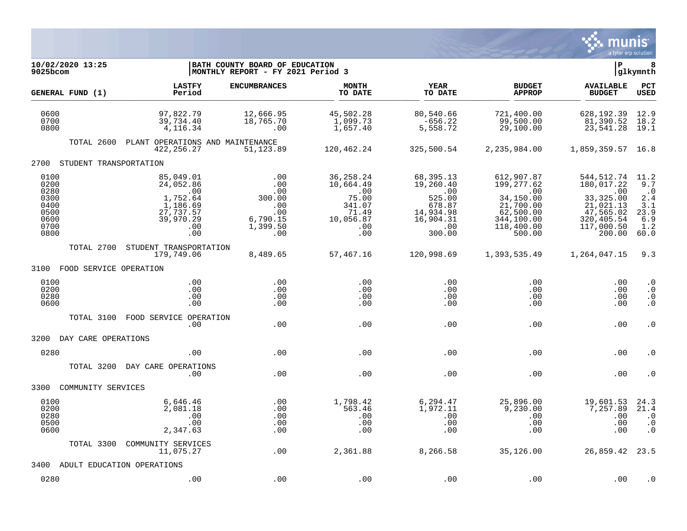

| 10/02/2020 13:25<br>9025bcom                                         |                                                                                               | BATH COUNTY BOARD OF EDUCATION<br> MONTHLY REPORT - FY 2021 Period 3     |                                                                                        |                                                                                              |                                                                                                              | ΙP                                                                                                            | 8<br>glkymnth                                                        |
|----------------------------------------------------------------------|-----------------------------------------------------------------------------------------------|--------------------------------------------------------------------------|----------------------------------------------------------------------------------------|----------------------------------------------------------------------------------------------|--------------------------------------------------------------------------------------------------------------|---------------------------------------------------------------------------------------------------------------|----------------------------------------------------------------------|
| GENERAL FUND (1)                                                     | <b>LASTFY</b><br>Period                                                                       | <b>ENCUMBRANCES</b>                                                      | <b>MONTH</b><br>TO DATE                                                                | YEAR<br>TO DATE                                                                              | <b>BUDGET</b><br><b>APPROP</b>                                                                               | <b>AVAILABLE</b><br><b>BUDGET</b>                                                                             | PCT<br><b>USED</b>                                                   |
| 0600<br>0700<br>0800                                                 | 97,822.79<br>39,734.40<br>4, 116. 34                                                          | 12,666.95<br>18,765.70<br>.00                                            | 45,502.28<br>1,099.73<br>1,657.40                                                      | 80,540.66<br>$-656.22$<br>5,558.72                                                           | 721,400.00<br>99,500.00<br>29,100.00                                                                         | 628,192.39<br>81,390.52<br>23,541.28                                                                          | 12.9<br>18.2<br>19.1                                                 |
| TOTAL 2600                                                           | PLANT OPERATIONS AND MAINTENANCE<br>422, 256. 27                                              | 51,123.89                                                                | 120,462.24                                                                             | 325,500.54                                                                                   | 2,235,984.00                                                                                                 | 1,859,359.57 16.8                                                                                             |                                                                      |
| STUDENT TRANSPORTATION<br>2700                                       |                                                                                               |                                                                          |                                                                                        |                                                                                              |                                                                                                              |                                                                                                               |                                                                      |
| 0100<br>0200<br>0280<br>0300<br>0400<br>0500<br>0600<br>0700<br>0800 | 85,049.01<br>24,052.86<br>.00<br>1,752.64<br>1,186.69<br>27,737.57<br>39,970.29<br>.00<br>.00 | .00<br>.00<br>.00<br>300.00<br>.00<br>.00<br>6,790.15<br>1,399.50<br>.00 | 36, 258. 24<br>10,664.49<br>.00<br>75.00<br>341.07<br>71.49<br>10,056.87<br>.00<br>.00 | 68,395.13<br>19,260.40<br>.00<br>525.00<br>678.87<br>14,934.98<br>16,904.31<br>.00<br>300.00 | 612,907.87<br>199,277.62<br>.00<br>34,150.00<br>21,700.00<br>62,500.00<br>344,100.00<br>118,400.00<br>500.00 | 544,512.74<br>180,017.22<br>.00<br>33, 325.00<br>21,021.13<br>47,565.02<br>320,405.54<br>117,000.50<br>200.00 | 11.2<br>9.7<br>$\cdot$ 0<br>2.4<br>3.1<br>23.9<br>6.9<br>1.2<br>60.0 |
| TOTAL 2700                                                           | STUDENT TRANSPORTATION<br>179,749.06                                                          | 8,489.65                                                                 | 57,467.16                                                                              | 120,998.69                                                                                   | 1,393,535.49                                                                                                 | 1,264,047.15                                                                                                  | 9.3                                                                  |
| 3100 FOOD SERVICE OPERATION                                          |                                                                                               |                                                                          |                                                                                        |                                                                                              |                                                                                                              |                                                                                                               |                                                                      |
| 0100<br>0200<br>0280<br>0600                                         | .00<br>.00<br>.00<br>.00                                                                      | .00<br>.00<br>.00<br>.00                                                 | .00<br>.00<br>.00<br>.00                                                               | .00<br>.00<br>.00<br>$.00 \,$                                                                | .00<br>.00<br>.00<br>.00                                                                                     | .00<br>.00<br>.00<br>.00                                                                                      | $\cdot$ 0<br>$\cdot$ 0<br>$\cdot$ 0<br>$\cdot$ 0                     |
| TOTAL 3100                                                           | FOOD SERVICE OPERATION<br>.00                                                                 | .00                                                                      | .00                                                                                    | .00                                                                                          | .00                                                                                                          | .00                                                                                                           | $\cdot$ 0                                                            |
| 3200<br>DAY CARE OPERATIONS                                          |                                                                                               |                                                                          |                                                                                        |                                                                                              |                                                                                                              |                                                                                                               |                                                                      |
| 0280                                                                 | .00.                                                                                          | .00                                                                      | .00                                                                                    | .00                                                                                          | .00                                                                                                          | .00                                                                                                           | . 0                                                                  |
| TOTAL 3200                                                           | DAY CARE OPERATIONS<br>.00                                                                    | .00                                                                      | .00                                                                                    | .00                                                                                          | .00                                                                                                          | .00                                                                                                           | . 0                                                                  |
| 3300<br>COMMUNITY SERVICES                                           |                                                                                               |                                                                          |                                                                                        |                                                                                              |                                                                                                              |                                                                                                               |                                                                      |
| 0100<br>0200<br>0280<br>0500<br>0600                                 | 6,646.46<br>2,081.18<br>.00<br>.00<br>2,347.63                                                | .00<br>.00<br>.00<br>.00<br>.00                                          | 1,798.42<br>563.46<br>.00<br>.00<br>.00                                                | 6,294.47<br>1,972.11<br>.00<br>.00<br>.00                                                    | 25,896.00<br>9,230.00<br>.00<br>.00<br>.00                                                                   | 19,601.53<br>7,257.89<br>.00<br>.00<br>.00                                                                    | 24.3<br>21.4<br>$\cdot$ 0<br>$\cdot$ 0<br>$\cdot$ 0                  |
| TOTAL 3300                                                           | COMMUNITY SERVICES<br>11,075.27                                                               | .00                                                                      | 2,361.88                                                                               | 8,266.58                                                                                     | 35,126.00                                                                                                    | 26,859.42 23.5                                                                                                |                                                                      |
| 3400                                                                 | ADULT EDUCATION OPERATIONS                                                                    |                                                                          |                                                                                        |                                                                                              |                                                                                                              |                                                                                                               |                                                                      |
| 0280                                                                 | .00                                                                                           | .00                                                                      | .00                                                                                    | .00                                                                                          | .00                                                                                                          | .00                                                                                                           | . 0                                                                  |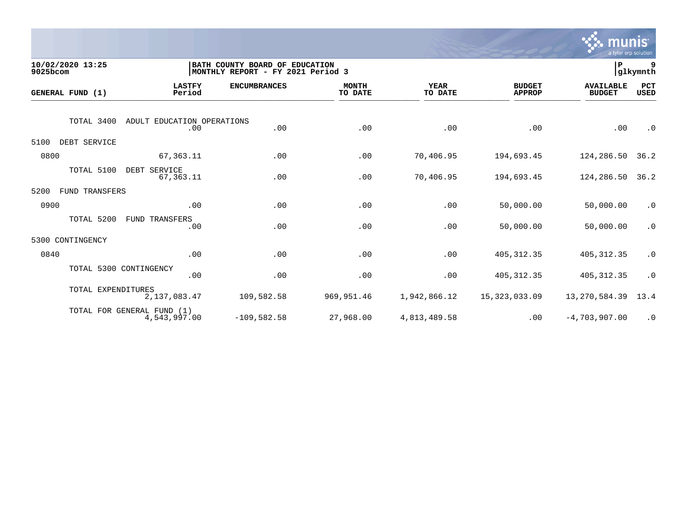

| 10/02/2020 13:25<br>9025bcom |                                                 | BATH COUNTY BOARD OF EDUCATION<br>MONTHLY REPORT - FY 2021 Period 3 |                         |                        |                                | P                                 | 9<br> glkymnth     |
|------------------------------|-------------------------------------------------|---------------------------------------------------------------------|-------------------------|------------------------|--------------------------------|-----------------------------------|--------------------|
| GENERAL FUND (1)             | <b>LASTFY</b><br>Period                         | <b>ENCUMBRANCES</b>                                                 | <b>MONTH</b><br>TO DATE | <b>YEAR</b><br>TO DATE | <b>BUDGET</b><br><b>APPROP</b> | <b>AVAILABLE</b><br><b>BUDGET</b> | PCT<br><b>USED</b> |
|                              | TOTAL 3400<br>ADULT EDUCATION OPERATIONS<br>.00 | .00                                                                 | .00                     | .00                    | .00                            | .00                               | $\cdot$ 0          |
| 5100                         | DEBT SERVICE                                    |                                                                     |                         |                        |                                |                                   |                    |
| 0800                         | 67, 363.11                                      | .00                                                                 | .00                     | 70,406.95              | 194,693.45                     | 124,286.50                        | 36.2               |
|                              | TOTAL 5100<br>DEBT SERVICE<br>67,363.11         | .00                                                                 | .00                     | 70,406.95              | 194,693.45                     | 124,286.50                        | 36.2               |
| 5200                         | <b>FUND TRANSFERS</b>                           |                                                                     |                         |                        |                                |                                   |                    |
| 0900                         | .00                                             | .00                                                                 | .00                     | .00                    | 50,000.00                      | 50,000.00                         | $\cdot$ 0          |
|                              | TOTAL 5200<br>FUND TRANSFERS<br>.00             | .00                                                                 | .00                     | .00                    | 50,000.00                      | 50,000.00                         | $\cdot$ 0          |
| 5300<br>CONTINGENCY          |                                                 |                                                                     |                         |                        |                                |                                   |                    |
| 0840                         | .00                                             | .00                                                                 | .00                     | .00                    | 405, 312.35                    | 405, 312.35                       | $\cdot$ 0          |
|                              | TOTAL 5300 CONTINGENCY<br>.00                   | .00                                                                 | .00                     | .00                    | 405, 312.35                    | 405, 312.35                       | $\cdot$ 0          |
|                              | TOTAL EXPENDITURES<br>2,137,083.47              | 109,582.58                                                          | 969,951.46              | 1,942,866.12           | 15, 323, 033.09                | 13, 270, 584.39                   | 13.4               |
|                              | TOTAL FOR GENERAL FUND (1)<br>4,543,997.00      | $-109,582.58$                                                       | 27,968.00               | 4,813,489.58           | .00                            | $-4,703,907.00$                   | $\cdot$ 0          |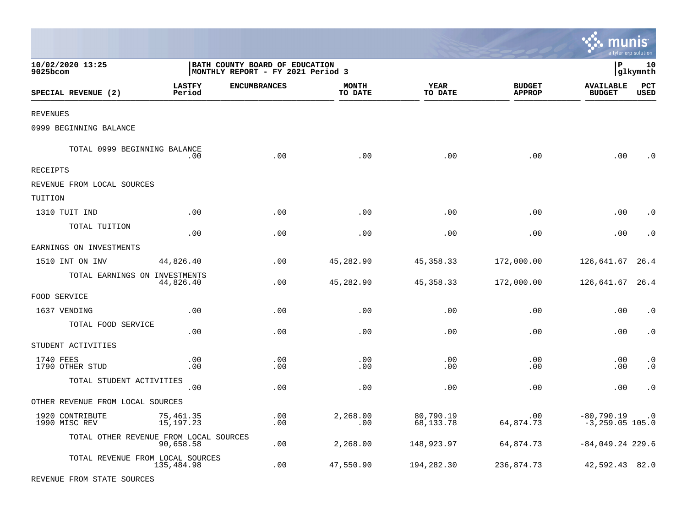|                                        |                          |                                                                     |                         |                        |                                |                                       | a tyler erp solution   |
|----------------------------------------|--------------------------|---------------------------------------------------------------------|-------------------------|------------------------|--------------------------------|---------------------------------------|------------------------|
| 10/02/2020 13:25<br>9025bcom           |                          | BATH COUNTY BOARD OF EDUCATION<br>MONTHLY REPORT - FY 2021 Period 3 |                         |                        |                                | l P                                   | 10<br> glkymnth        |
| SPECIAL REVENUE (2)                    | <b>LASTFY</b><br>Period  | <b>ENCUMBRANCES</b>                                                 | <b>MONTH</b><br>TO DATE | <b>YEAR</b><br>TO DATE | <b>BUDGET</b><br><b>APPROP</b> | <b>AVAILABLE</b><br><b>BUDGET</b>     | PCT<br>USED            |
| REVENUES                               |                          |                                                                     |                         |                        |                                |                                       |                        |
| 0999 BEGINNING BALANCE                 |                          |                                                                     |                         |                        |                                |                                       |                        |
| TOTAL 0999 BEGINNING BALANCE           | .00                      | .00                                                                 | .00                     | .00                    | .00                            | .00                                   | . 0                    |
| RECEIPTS                               |                          |                                                                     |                         |                        |                                |                                       |                        |
| REVENUE FROM LOCAL SOURCES             |                          |                                                                     |                         |                        |                                |                                       |                        |
| TUITION                                |                          |                                                                     |                         |                        |                                |                                       |                        |
| 1310 TUIT IND                          | .00                      | .00                                                                 | .00                     | .00                    | .00                            | .00                                   | $\cdot$ 0              |
| TOTAL TUITION                          | .00                      | .00                                                                 | .00                     | .00                    | .00                            | .00                                   | . 0                    |
| EARNINGS ON INVESTMENTS                |                          |                                                                     |                         |                        |                                |                                       |                        |
| 1510 INT ON INV                        | 44,826.40                | .00                                                                 | 45,282.90               | 45, 358. 33            | 172,000.00                     | 126,641.67                            | 26.4                   |
| TOTAL EARNINGS ON INVESTMENTS          | 44,826.40                | .00                                                                 | 45,282.90               | 45, 358. 33            | 172,000.00                     | 126,641.67                            | 26.4                   |
| FOOD SERVICE                           |                          |                                                                     |                         |                        |                                |                                       |                        |
| 1637 VENDING                           | .00                      | .00                                                                 | .00                     | .00                    | .00                            | .00                                   | $\cdot$ 0              |
| TOTAL FOOD SERVICE                     | .00                      | .00                                                                 | .00                     | .00                    | .00                            | .00                                   | $\cdot$ 0              |
| STUDENT ACTIVITIES                     |                          |                                                                     |                         |                        |                                |                                       |                        |
| 1740 FEES<br>1790 OTHER STUD           | .00<br>.00               | .00<br>.00                                                          | .00<br>.00              | .00<br>.00             | .00<br>.00                     | .00<br>.00                            | $\cdot$ 0<br>$\cdot$ 0 |
| TOTAL STUDENT ACTIVITIES               | .00                      | .00                                                                 | .00                     | .00                    | .00                            | .00                                   | $\cdot$ 0              |
| OTHER REVENUE FROM LOCAL SOURCES       |                          |                                                                     |                         |                        |                                |                                       |                        |
| 1920 CONTRIBUTE<br>1990 MISC REV       | 75,461.35<br>15, 197. 23 | .00<br>.00                                                          | 2,268.00<br>.00         | 80,790.19<br>68,133.78 | .00<br>64,874.73               | $-80,790.19$ .0<br>$-3, 259.05$ 105.0 |                        |
| TOTAL OTHER REVENUE FROM LOCAL SOURCES | 90,658.58                | .00                                                                 | 2,268.00                | 148,923.97             | 64,874.73                      | $-84,049.24$ 229.6                    |                        |
| TOTAL REVENUE FROM LOCAL SOURCES       | 135,484.98               | .00                                                                 | 47,550.90               | 194,282.30             | 236,874.73                     | 42,592.43 82.0                        |                        |
| REVENUE FROM STATE SOURCES             |                          |                                                                     |                         |                        |                                |                                       |                        |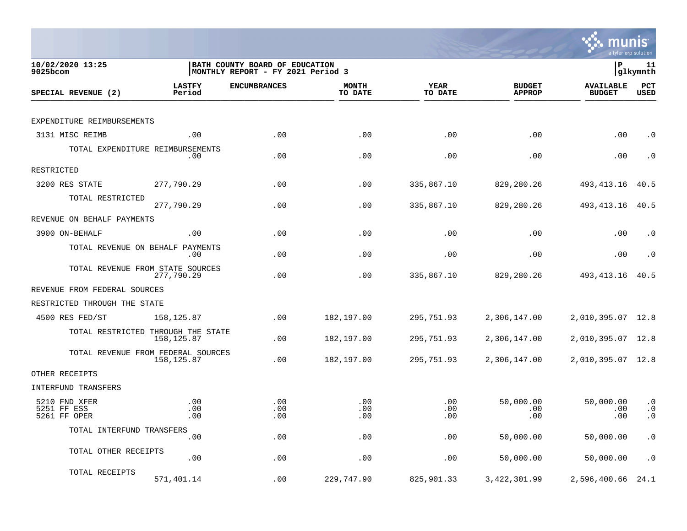

| 10/02/2020 13:25<br>$9025$ bcom              |                                                   | BATH COUNTY BOARD OF EDUCATION<br>MONTHLY REPORT - FY 2021 Period 3 |                         | lР                     | 11<br> glkymnth                |                                   |                                     |
|----------------------------------------------|---------------------------------------------------|---------------------------------------------------------------------|-------------------------|------------------------|--------------------------------|-----------------------------------|-------------------------------------|
| SPECIAL REVENUE (2)                          | <b>LASTFY</b><br>Period                           | <b>ENCUMBRANCES</b>                                                 | <b>MONTH</b><br>TO DATE | <b>YEAR</b><br>TO DATE | <b>BUDGET</b><br><b>APPROP</b> | <b>AVAILABLE</b><br><b>BUDGET</b> | PCT<br><b>USED</b>                  |
|                                              |                                                   |                                                                     |                         |                        |                                |                                   |                                     |
| EXPENDITURE REIMBURSEMENTS                   |                                                   |                                                                     |                         |                        |                                |                                   |                                     |
| 3131 MISC REIMB                              | .00                                               | .00                                                                 | .00                     | .00                    | .00                            | .00                               | $\cdot$ 0                           |
|                                              | TOTAL EXPENDITURE REIMBURSEMENTS<br>.00           | .00                                                                 | .00                     | .00                    | .00                            | .00                               | $\cdot$ 0                           |
| RESTRICTED                                   |                                                   |                                                                     |                         |                        |                                |                                   |                                     |
| 3200 RES STATE                               | 277,790.29                                        | .00                                                                 | .00                     | 335,867.10             | 829,280.26                     | 493, 413. 16                      | 40.5                                |
| TOTAL RESTRICTED                             | 277,790.29                                        | .00                                                                 | .00                     | 335,867.10             | 829,280.26                     | 493, 413. 16                      | 40.5                                |
| REVENUE ON BEHALF PAYMENTS                   |                                                   |                                                                     |                         |                        |                                |                                   |                                     |
| 3900 ON-BEHALF                               | .00                                               | .00                                                                 | .00                     | .00                    | .00                            | .00                               | . 0                                 |
|                                              | TOTAL REVENUE ON BEHALF PAYMENTS<br>.00           | .00                                                                 | .00                     | .00                    | .00                            | .00                               | $\cdot$ 0                           |
|                                              | TOTAL REVENUE FROM STATE SOURCES<br>277,790.29    | .00                                                                 | .00                     | 335,867.10             | 829,280.26                     | 493, 413. 16                      | 40.5                                |
| REVENUE FROM FEDERAL SOURCES                 |                                                   |                                                                     |                         |                        |                                |                                   |                                     |
| RESTRICTED THROUGH THE STATE                 |                                                   |                                                                     |                         |                        |                                |                                   |                                     |
| 4500 RES FED/ST                              | 158, 125.87                                       | .00                                                                 | 182,197.00              | 295,751.93             | 2,306,147.00                   | 2,010,395.07                      | 12.8                                |
|                                              | TOTAL RESTRICTED THROUGH THE STATE<br>158,125.87  | .00                                                                 | 182,197.00              | 295,751.93             | 2,306,147.00                   | 2,010,395.07 12.8                 |                                     |
|                                              | TOTAL REVENUE FROM FEDERAL SOURCES<br>158, 125.87 | .00                                                                 | 182,197.00              | 295,751.93             | 2,306,147.00                   | 2,010,395.07 12.8                 |                                     |
| OTHER RECEIPTS                               |                                                   |                                                                     |                         |                        |                                |                                   |                                     |
| <b>INTERFUND TRANSFERS</b>                   |                                                   |                                                                     |                         |                        |                                |                                   |                                     |
| 5210 FND XFER<br>5251 FF ESS<br>5261 FF OPER | .00<br>.00<br>.00                                 | .00<br>.00<br>.00                                                   | .00<br>.00<br>.00       | .00<br>.00<br>.00      | 50,000.00<br>.00<br>.00        | 50,000.00<br>.00<br>.00           | $\cdot$ 0<br>$\cdot$ 0<br>$\cdot$ 0 |
| TOTAL INTERFUND TRANSFERS                    |                                                   |                                                                     |                         |                        |                                |                                   |                                     |
|                                              | .00                                               | .00                                                                 | .00                     | .00                    | 50,000.00                      | 50,000.00                         | $\cdot$ 0                           |
| TOTAL OTHER RECEIPTS                         | .00                                               | .00                                                                 | .00                     | .00                    | 50,000.00                      | 50,000.00                         | . $\boldsymbol{0}$                  |
| TOTAL RECEIPTS                               | 571,401.14                                        | .00                                                                 | 229,747.90              | 825,901.33             | 3, 422, 301.99                 | 2,596,400.66                      | 24.1                                |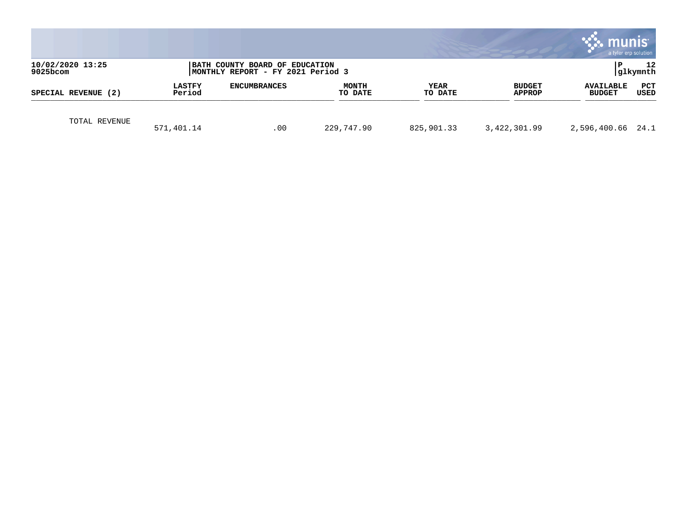|                                 |                         |                                                                     |                         |                 |                         | munis                             | a tyler erp solution |
|---------------------------------|-------------------------|---------------------------------------------------------------------|-------------------------|-----------------|-------------------------|-----------------------------------|----------------------|
| 10/02/2020 13:25<br>$9025$ bcom |                         | BATH COUNTY BOARD OF EDUCATION<br>MONTHLY REPORT - FY 2021 Period 3 |                         |                 |                         | l P                               | 12<br> glkymnth      |
| SPECIAL REVENUE (2)             | <b>LASTFY</b><br>Period | <b>ENCUMBRANCES</b>                                                 | <b>MONTH</b><br>TO DATE | YEAR<br>TO DATE | <b>BUDGET</b><br>APPROP | <b>AVAILABLE</b><br><b>BUDGET</b> | PCT<br>USED          |
| TOTAL REVENUE                   | 571,401.14              | .00                                                                 | 229,747.90              | 825,901.33      | 3,422,301.99            | 2,596,400.66 24.1                 |                      |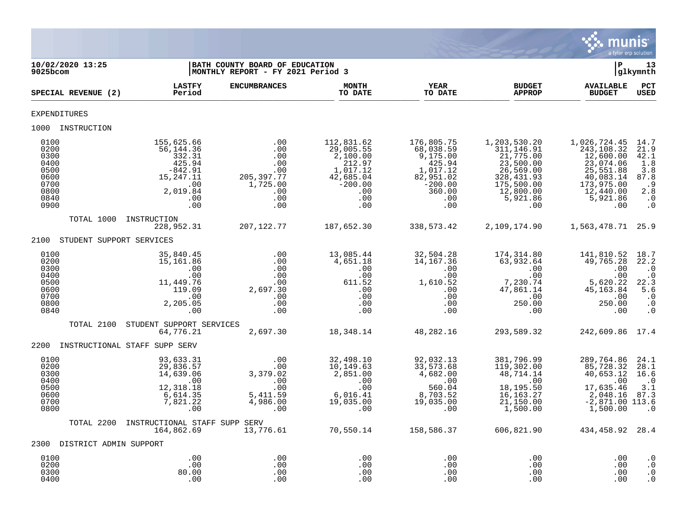

| 10/02/2020 13:25<br>9025bcom                                                 |                                                                                                        | BATH COUNTY BOARD OF EDUCATION<br>MONTHLY REPORT - FY 2021 Period 3             |                                                                                                          |                                                                                                             |                                                                                                                                                | ${\bf P}$                                                                                                                    | 13<br>glkymnth                                                                                  |
|------------------------------------------------------------------------------|--------------------------------------------------------------------------------------------------------|---------------------------------------------------------------------------------|----------------------------------------------------------------------------------------------------------|-------------------------------------------------------------------------------------------------------------|------------------------------------------------------------------------------------------------------------------------------------------------|------------------------------------------------------------------------------------------------------------------------------|-------------------------------------------------------------------------------------------------|
| SPECIAL REVENUE (2)                                                          | <b>LASTFY</b><br>Period                                                                                | <b>ENCUMBRANCES</b>                                                             | <b>MONTH</b><br>TO DATE                                                                                  | <b>YEAR</b><br>TO DATE                                                                                      | <b>BUDGET</b><br><b>APPROP</b>                                                                                                                 | <b>AVAILABLE</b><br><b>BUDGET</b>                                                                                            | PCT<br><b>USED</b>                                                                              |
| EXPENDITURES                                                                 |                                                                                                        |                                                                                 |                                                                                                          |                                                                                                             |                                                                                                                                                |                                                                                                                              |                                                                                                 |
| 1000 INSTRUCTION                                                             |                                                                                                        |                                                                                 |                                                                                                          |                                                                                                             |                                                                                                                                                |                                                                                                                              |                                                                                                 |
| 0100<br>0200<br>0300<br>0400<br>0500<br>0600<br>0700<br>0800<br>0840<br>0900 | 155,625.66<br>56,144.36<br>332.31<br>425.94<br>$-842.91$<br>15,247.11<br>.00<br>2,019.84<br>.00<br>.00 | .00<br>.00<br>.00<br>.00<br>.00<br>205, 397.77<br>1,725.00<br>.00<br>.00<br>.00 | 112,831.62<br>29,005.55<br>2,100.00<br>212.97<br>1,017.12<br>42,685.04<br>$-200.00$<br>.00<br>.00<br>.00 | 176,805.75<br>68,038.59<br>9,175.00<br>425.94<br>1,017.12<br>82,951.02<br>$-200.00$<br>360.00<br>.00<br>.00 | 1,203,530.20<br>311, 146.91<br>$\overline{21}$ , 775.00<br>23,500.00<br>26,569.00<br>328, 431.93<br>175,500.00<br>12,800.00<br>5,921.86<br>.00 | 1,026,724.45<br>243,108.32<br>12,600.00<br>23,074.06<br>25,551.88<br>40,083.14<br>173,975.00<br>12,440.00<br>5,921.86<br>.00 | 14.7<br>21.9<br>42.1<br>1.8<br>$\overline{3.8}$<br>87.8<br>.9<br>2.8<br>$\ldots$ 0<br>$\cdot$ 0 |
| TOTAL 1000                                                                   | INSTRUCTION<br>228,952.31                                                                              | 207,122.77                                                                      | 187,652.30                                                                                               | 338,573.42                                                                                                  | 2,109,174.90                                                                                                                                   | 1,563,478.71 25.9                                                                                                            |                                                                                                 |
| STUDENT SUPPORT SERVICES<br>2100                                             |                                                                                                        |                                                                                 |                                                                                                          |                                                                                                             |                                                                                                                                                |                                                                                                                              |                                                                                                 |
| 0100<br>0200<br>0300<br>0400<br>0500<br>0600<br>0700<br>0800<br>0840         | 35,840.45<br>15,161.86<br>.00<br>.00<br>11,449.76<br>119.09<br>.00<br>2,205.05<br>.00                  | .00<br>.00<br>.00<br>.00<br>.00<br>2,697.30<br>.00<br>.00<br>.00                | 13,085.44<br>4,651.18<br>.00<br>.00<br>611.52<br>.00<br>.00<br>.00<br>.00                                | 32,504.28<br>14, 167. 36<br>.00<br>.00<br>1,610.52<br>.00<br>.00<br>.00<br>.00                              | 174,314.80<br>63,932.64<br>.00<br>.00<br>7,230.74<br>47,861.14<br>.00<br>250.00<br>.00                                                         | 141,810.52<br>49,765.28<br>.00<br>.00<br>5,620.22<br>45, 163.84<br>.00<br>250.00<br>.00                                      | 18.7<br>22.2<br>$\cdot$ 0<br>$\cdot$ 0<br>22.3<br>5.6<br>$\cdot$ 0<br>$\cdot$ 0<br>$\cdot$ 0    |
| TOTAL 2100                                                                   | STUDENT SUPPORT SERVICES<br>64,776.21                                                                  | 2,697.30                                                                        | 18,348.14                                                                                                | 48,282.16                                                                                                   | 293,589.32                                                                                                                                     | 242,609.86 17.4                                                                                                              |                                                                                                 |
| 2200                                                                         | INSTRUCTIONAL STAFF SUPP SERV                                                                          |                                                                                 |                                                                                                          |                                                                                                             |                                                                                                                                                |                                                                                                                              |                                                                                                 |
| 0100<br>0200<br>0300<br>0400<br>0500<br>0600<br>0700<br>0800                 | 93,633.31<br>29,836.57<br>14,639.06<br>.00<br>12,318.18<br>6,614.35<br>7,821.22<br>.00                 | .00<br>.00<br>3,379.02<br>.00<br>.00<br>5, 411.59<br>4, 986.00<br>.00           | 32,498.10<br>10,149.63<br>2,851.00<br>.00<br>.00<br>$6,016.41$<br>$19,035.00$<br>.00                     | 92,032.13<br>33,573.68<br>4,682.00<br>.00<br>560.04<br>8,703.52<br>19,035.00<br>.00                         | 381,796.99<br>119,302.00<br>48,714.14<br>.00<br>18,195.50<br>16, 163. 27<br>21,150.00<br>1,500.00                                              | 289,764.86<br>85,728.32<br>40,653.12<br>.00<br>17,635.46<br>2,048.16<br>$-2,871.00$ 113.6<br>1,500.00                        | 24.1<br>28.1<br>16.6<br>. 0<br>3.1<br>87.3<br>$\cdot$ 0                                         |
| TOTAL 2200                                                                   | INSTRUCTIONAL STAFF SUPP SERV<br>164,862.69                                                            | 13,776.61                                                                       | 70,550.14                                                                                                | 158,586.37                                                                                                  | 606,821.90                                                                                                                                     | 434,458.92                                                                                                                   | 28.4                                                                                            |
| 2300 DISTRICT ADMIN SUPPORT                                                  |                                                                                                        |                                                                                 |                                                                                                          |                                                                                                             |                                                                                                                                                |                                                                                                                              |                                                                                                 |
| 0100<br>0200<br>0300<br>0400                                                 | .00<br>.00<br>80.00<br>.00                                                                             | .00<br>.00<br>.00<br>.00                                                        | .00<br>.00<br>.00<br>.00                                                                                 | .00<br>.00<br>.00<br>.00                                                                                    | .00<br>.00<br>.00<br>.00                                                                                                                       | .00<br>.00<br>.00<br>.00                                                                                                     | $\cdot$ 0<br>$\cdot$ 0<br>$\cdot$ 0<br>$\cdot$ 0                                                |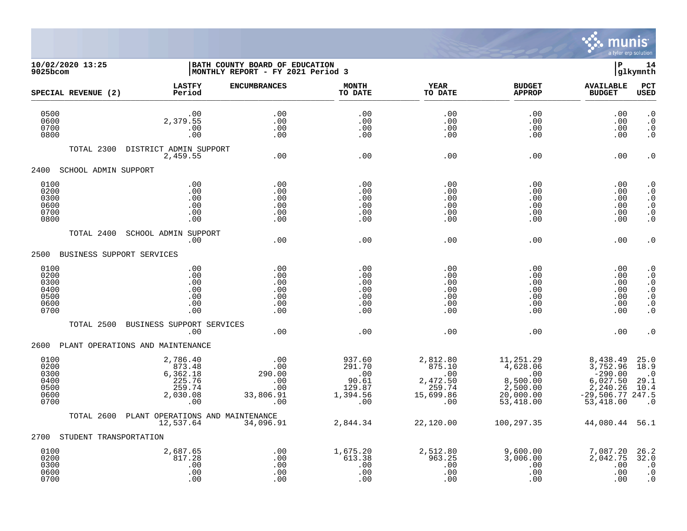

## **10/02/2020 13:25 |BATH COUNTY BOARD OF EDUCATION |P 14 9025bcom |MONTHLY REPORT - FY 2021 Period 3 |glkymnth**

| SPECIAL REVENUE (2)                                  | <b>LASTFY</b><br>Period                                               | <b>ENCUMBRANCES</b>                                         | <b>MONTH</b><br>TO DATE                                       | <b>YEAR</b><br>TO DATE                                              | <b>BUDGET</b><br><b>APPROP</b>                                                       | <b>AVAILABLE</b><br><b>BUDGET</b>                                                            | PCT<br><b>USED</b>                                                                                   |
|------------------------------------------------------|-----------------------------------------------------------------------|-------------------------------------------------------------|---------------------------------------------------------------|---------------------------------------------------------------------|--------------------------------------------------------------------------------------|----------------------------------------------------------------------------------------------|------------------------------------------------------------------------------------------------------|
| 0500<br>0600<br>0700<br>0800                         | .00<br>2,379.55<br>.00<br>.00                                         | .00<br>.00<br>.00<br>.00                                    | .00<br>.00<br>.00<br>.00                                      | .00<br>.00<br>.00<br>.00                                            | .00<br>.00<br>.00<br>.00                                                             | .00<br>.00<br>.00<br>.00                                                                     | $\cdot$ 0<br>$\cdot$ 0<br>$\cdot$ 0<br>$\cdot$ 0                                                     |
| TOTAL 2300                                           | DISTRICT ADMIN SUPPORT<br>2,459.55                                    | .00                                                         | .00                                                           | .00                                                                 | .00                                                                                  | .00                                                                                          | $\cdot$ 0                                                                                            |
| 2400 SCHOOL ADMIN SUPPORT                            |                                                                       |                                                             |                                                               |                                                                     |                                                                                      |                                                                                              |                                                                                                      |
| 0100<br>0200<br>0300<br>0600<br>0700<br>0800         | .00<br>.00<br>.00<br>.00<br>.00<br>.00                                | .00<br>.00<br>.00<br>.00<br>.00<br>.00                      | .00<br>.00<br>.00<br>.00<br>.00<br>.00                        | .00<br>.00<br>.00<br>.00<br>.00<br>.00                              | .00<br>.00<br>.00<br>.00<br>.00<br>.00                                               | .00<br>.00<br>.00<br>.00<br>.00<br>.00                                                       | $\cdot$ 0<br>$\cdot$ 0<br>$\cdot$ 0<br>$\cdot$ 0<br>$\cdot$ 0<br>$\cdot$ 0                           |
| TOTAL 2400                                           | SCHOOL ADMIN SUPPORT<br>.00                                           | .00                                                         | .00                                                           | .00                                                                 | .00                                                                                  | .00                                                                                          | $\cdot$ 0                                                                                            |
| 2500                                                 | BUSINESS SUPPORT SERVICES                                             |                                                             |                                                               |                                                                     |                                                                                      |                                                                                              |                                                                                                      |
| 0100<br>0200<br>0300<br>0400<br>0500<br>0600<br>0700 | .00<br>.00<br>.00<br>.00<br>.00<br>.00<br>.00                         | .00<br>.00<br>.00<br>.00<br>.00<br>.00<br>.00               | .00<br>.00<br>.00<br>.00<br>.00<br>.00<br>.00                 | .00<br>.00<br>.00<br>.00<br>.00<br>.00<br>.00                       | .00<br>.00<br>.00<br>.00<br>.00<br>.00<br>.00                                        | .00<br>.00<br>.00<br>.00<br>.00<br>.00<br>.00                                                | $\cdot$ 0<br>$\cdot$ 0<br>$\cdot$ 0<br>$\cdot$ 0<br>$\cdot$ 0<br>$\boldsymbol{\cdot}$ 0<br>$\cdot$ 0 |
| TOTAL 2500                                           | BUSINESS SUPPORT SERVICES<br>.00                                      | .00                                                         | .00                                                           | .00                                                                 | .00                                                                                  | .00                                                                                          | . 0                                                                                                  |
|                                                      | 2600 PLANT OPERATIONS AND MAINTENANCE                                 |                                                             |                                                               |                                                                     |                                                                                      |                                                                                              |                                                                                                      |
| 0100<br>0200<br>0300<br>0400<br>0500<br>0600<br>0700 | 2,786.40<br>873.48<br>6,362.18<br>225.76<br>259.74<br>2,030.08<br>.00 | $.00 \,$<br>.00<br>290.00<br>.00<br>.00<br>33,806.91<br>.00 | 937.60<br>291.70<br>.00<br>90.61<br>129.87<br>1,394.56<br>.00 | 2,812.80<br>875.10<br>.00<br>2,472.50<br>259.74<br>15,699.86<br>.00 | 11,251.29<br>4,628.06<br>$\sim$ 00<br>8,500.00<br>2,500.00<br>20,000.00<br>53,418.00 | 8,438.49<br>3,752.96<br>$-290.00$<br>6,027.50<br>2,240.26<br>$-29,506.77$ 247.5<br>53,418.00 | 25.0<br>18.9<br>$\cdot$ 0<br>29.1<br>10.4<br>$\cdot$ 0                                               |
| TOTAL 2600                                           | PLANT OPERATIONS AND MAINTENANCE<br>12,537.64                         | 34,096.91                                                   | 2,844.34                                                      | 22,120.00                                                           | 100,297.35                                                                           | 44,080.44                                                                                    | 56.1                                                                                                 |
| 2700                                                 | STUDENT TRANSPORTATION                                                |                                                             |                                                               |                                                                     |                                                                                      |                                                                                              |                                                                                                      |
| 0100<br>0200<br>0300<br>0600<br>0700                 | 2,687.65<br>817.28<br>.00<br>.00<br>.00                               | .00<br>.00<br>.00<br>.00<br>.00                             | 1,675.20<br>613.38<br>.00<br>.00<br>.00                       | 2,512.80<br>963.25<br>.00<br>.00<br>.00                             | 9,600.00<br>3,006.00<br>.00<br>.00<br>.00                                            | 7,087.20<br>2,042.75<br>.00<br>.00<br>.00                                                    | 26.2<br>32.0<br>$\cdot$ 0<br>$\cdot$ 0<br>$\cdot$ 0                                                  |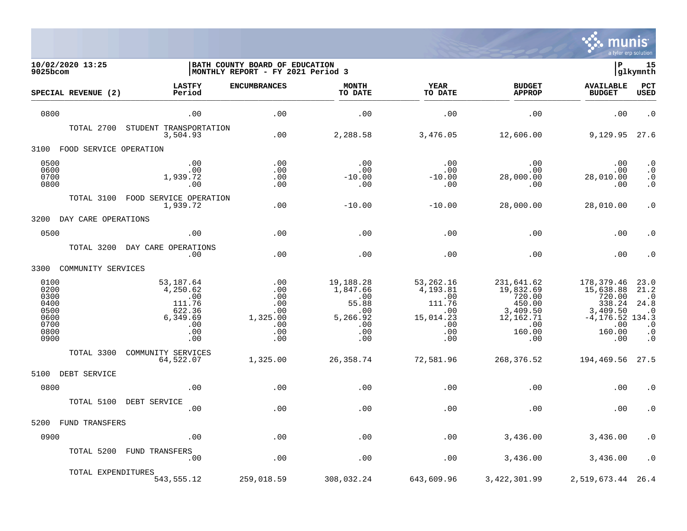

| 10/02/2020 13:25<br>9025bcom                                         |                                                                                   | BATH COUNTY BOARD OF EDUCATION<br>  MONTHLY REPORT - FY 2021 Period 3 |                                                                               | l P                                                                             | 15<br> glkymnth                                                                              |                                                                                                       |                                                                                        |
|----------------------------------------------------------------------|-----------------------------------------------------------------------------------|-----------------------------------------------------------------------|-------------------------------------------------------------------------------|---------------------------------------------------------------------------------|----------------------------------------------------------------------------------------------|-------------------------------------------------------------------------------------------------------|----------------------------------------------------------------------------------------|
| SPECIAL REVENUE (2)                                                  | <b>LASTFY</b><br>Period                                                           | <b>ENCUMBRANCES</b>                                                   | <b>MONTH</b><br>TO DATE                                                       | <b>YEAR</b><br>TO DATE                                                          | <b>BUDGET</b><br><b>APPROP</b>                                                               | <b>AVAILABLE</b><br><b>BUDGET</b>                                                                     | PCT<br><b>USED</b>                                                                     |
| 0800                                                                 | .00                                                                               | .00                                                                   | .00                                                                           | .00                                                                             | .00                                                                                          | .00                                                                                                   | $\cdot$ 0                                                                              |
| TOTAL 2700                                                           | STUDENT TRANSPORTATION<br>3,504.93                                                | .00                                                                   | 2,288.58                                                                      | 3,476.05                                                                        | 12,606.00                                                                                    | 9,129.95                                                                                              | 27.6                                                                                   |
| 3100<br>FOOD SERVICE OPERATION                                       |                                                                                   |                                                                       |                                                                               |                                                                                 |                                                                                              |                                                                                                       |                                                                                        |
| 0500<br>0600<br>0700<br>0800                                         | .00<br>.00<br>1,939.72<br>.00                                                     | .00<br>.00<br>.00<br>.00                                              | .00<br>.00<br>$-10.00$<br>.00                                                 | .00<br>.00<br>$-10.00$<br>.00                                                   | .00<br>.00<br>28,000.00<br>.00                                                               | .00<br>.00<br>28,010.00<br>.00                                                                        | $\begin{matrix} . & 0 \\ . & 0 \end{matrix}$<br>$\cdot$ 0<br>$\cdot$ 0                 |
| TOTAL 3100                                                           | FOOD SERVICE OPERATION<br>1,939.72                                                | .00                                                                   | $-10.00$                                                                      | $-10.00$                                                                        | 28,000.00                                                                                    | 28,010.00                                                                                             | $\cdot$ 0                                                                              |
| 3200<br>DAY CARE OPERATIONS                                          |                                                                                   |                                                                       |                                                                               |                                                                                 |                                                                                              |                                                                                                       |                                                                                        |
| 0500                                                                 | .00                                                                               | .00                                                                   | .00                                                                           | .00                                                                             | .00                                                                                          | .00                                                                                                   | $\cdot$ 0                                                                              |
| TOTAL 3200                                                           | DAY CARE OPERATIONS<br>.00                                                        | .00                                                                   | .00                                                                           | .00                                                                             | .00                                                                                          | .00                                                                                                   | $\cdot$ 0                                                                              |
| 3300<br>COMMUNITY SERVICES                                           |                                                                                   |                                                                       |                                                                               |                                                                                 |                                                                                              |                                                                                                       |                                                                                        |
| 0100<br>0200<br>0300<br>0400<br>0500<br>0600<br>0700<br>0800<br>0900 | 53,187.64<br>4,250.62<br>.00<br>111.76<br>622.36<br>6,349.69<br>.00<br>.00<br>.00 | .00<br>.00<br>.00<br>.00<br>.00<br>1,325.00<br>.00<br>.00<br>.00      | 19,188.28<br>1,847.66<br>.00<br>55.88<br>.00<br>5,266.92<br>.00<br>.00<br>.00 | 53,262.16<br>4,193.81<br>.00<br>111.76<br>.00<br>15,014.23<br>.00<br>.00<br>.00 | 231,641.62<br>19,832.69<br>720.00<br>450.00<br>3,409.50<br>12,162.71<br>.00<br>160.00<br>.00 | 178,379.46<br>15,638.88<br>720.00<br>338.24<br>3,409.50<br>$-4, 176.52$ 134.3<br>.00<br>160.00<br>.00 | 23.0<br>21.2<br>$\cdot$ 0<br>24.8<br>$\cdot$ 0<br>$\cdot$ 0<br>$\ddot{0}$<br>$\cdot$ 0 |
| TOTAL 3300                                                           | COMMUNITY SERVICES<br>64,522.07                                                   | 1,325.00                                                              | 26,358.74                                                                     | 72,581.96                                                                       | 268,376.52                                                                                   | 194,469.56                                                                                            | 27.5                                                                                   |
| 5100<br>DEBT SERVICE                                                 |                                                                                   |                                                                       |                                                                               |                                                                                 |                                                                                              |                                                                                                       |                                                                                        |
| 0800                                                                 | .00                                                                               | .00                                                                   | .00                                                                           | .00                                                                             | .00                                                                                          | .00                                                                                                   | $\cdot$ 0                                                                              |
| TOTAL 5100                                                           | DEBT SERVICE<br>.00                                                               | .00                                                                   | .00                                                                           | .00                                                                             | .00                                                                                          | .00                                                                                                   | $\cdot$ 0                                                                              |
| 5200<br>FUND TRANSFERS                                               |                                                                                   |                                                                       |                                                                               |                                                                                 |                                                                                              |                                                                                                       |                                                                                        |
| 0900                                                                 | .00                                                                               | .00                                                                   | .00                                                                           | .00                                                                             | 3,436.00                                                                                     | 3,436.00                                                                                              | $\cdot$ 0                                                                              |
| TOTAL 5200                                                           | FUND TRANSFERS<br>.00                                                             | .00                                                                   | .00                                                                           | .00                                                                             | 3,436.00                                                                                     | 3,436.00                                                                                              | $\cdot$ 0                                                                              |
| TOTAL EXPENDITURES                                                   | 543, 555.12                                                                       | 259,018.59                                                            | 308,032.24                                                                    | 643,609.96                                                                      | 3, 422, 301.99                                                                               | 2,519,673.44                                                                                          | 26.4                                                                                   |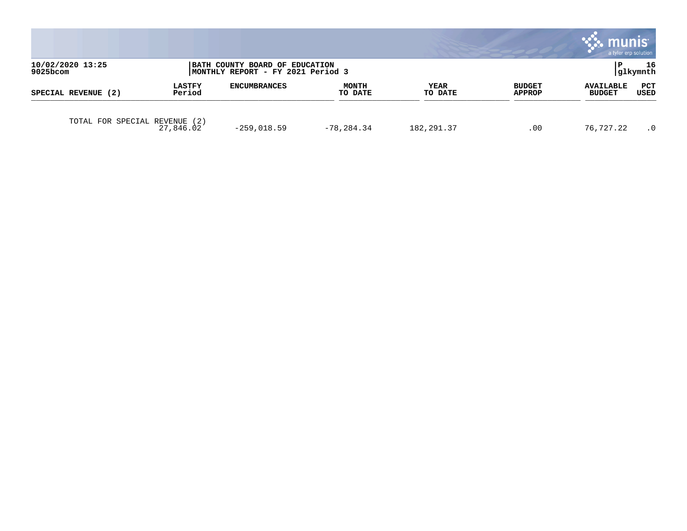|                                 |                         |                                                                      |                         |                 |                         | a tyler erp solution              |                 |
|---------------------------------|-------------------------|----------------------------------------------------------------------|-------------------------|-----------------|-------------------------|-----------------------------------|-----------------|
| 10/02/2020 13:25<br>$9025$ bcom |                         | BATH COUNTY BOARD OF EDUCATION<br> MONTHLY REPORT - FY 2021 Period 3 |                         |                 |                         |                                   | 16<br> glkymnth |
| SPECIAL REVENUE (2)             | <b>LASTFY</b><br>Period | <b>ENCUMBRANCES</b>                                                  | <b>MONTH</b><br>TO DATE | YEAR<br>TO DATE | <b>BUDGET</b><br>APPROP | <b>AVAILABLE</b><br><b>BUDGET</b> | PCT<br>USED     |
| TOTAL FOR SPECIAL REVENUE       | (2)<br>27,846.02        | $-259,018.59$                                                        | $-78, 284.34$           | 182, 291.37     | .00                     | 76,727.22                         | $\cdot$ 0       |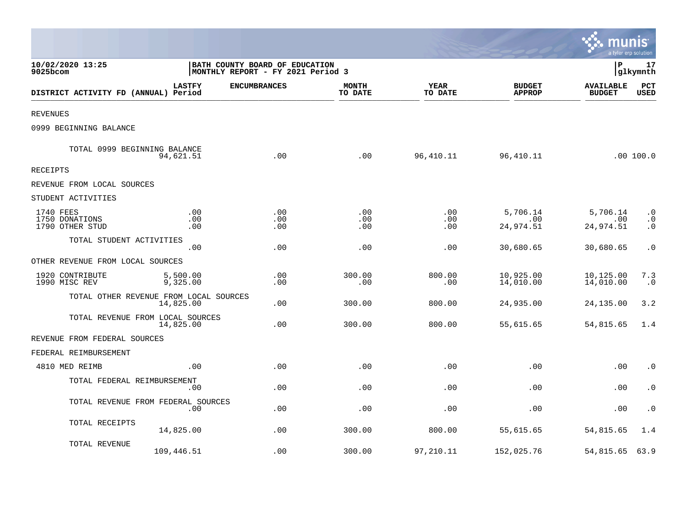|                                                |                      |                                                                     |                         |                        |                                | munis<br>a tyler erp solution     |                                     |
|------------------------------------------------|----------------------|---------------------------------------------------------------------|-------------------------|------------------------|--------------------------------|-----------------------------------|-------------------------------------|
| 10/02/2020 13:25<br>9025bcom                   |                      | BATH COUNTY BOARD OF EDUCATION<br>MONTHLY REPORT - FY 2021 Period 3 |                         |                        |                                |                                   | 17<br> glkymnth                     |
| DISTRICT ACTIVITY FD (ANNUAL) Period           | <b>LASTFY</b>        | <b>ENCUMBRANCES</b>                                                 | <b>MONTH</b><br>TO DATE | <b>YEAR</b><br>TO DATE | <b>BUDGET</b><br><b>APPROP</b> | <b>AVAILABLE</b><br><b>BUDGET</b> | PCT<br><b>USED</b>                  |
| <b>REVENUES</b>                                |                      |                                                                     |                         |                        |                                |                                   |                                     |
| 0999 BEGINNING BALANCE                         |                      |                                                                     |                         |                        |                                |                                   |                                     |
| TOTAL 0999 BEGINNING BALANCE                   | 94,621.51            | .00                                                                 | .00                     | 96,410.11              | 96, 410.11                     |                                   | .00 100.0                           |
| <b>RECEIPTS</b>                                |                      |                                                                     |                         |                        |                                |                                   |                                     |
| REVENUE FROM LOCAL SOURCES                     |                      |                                                                     |                         |                        |                                |                                   |                                     |
| STUDENT ACTIVITIES                             |                      |                                                                     |                         |                        |                                |                                   |                                     |
| 1740 FEES<br>1750 DONATIONS<br>1790 OTHER STUD | .00<br>.00<br>.00    | .00<br>.00<br>.00                                                   | .00<br>.00<br>.00       | .00<br>.00<br>.00      | 5,706.14<br>.00<br>24,974.51   | 5,706.14<br>.00<br>24,974.51      | $\cdot$ 0<br>$\cdot$ 0<br>$\cdot$ 0 |
| TOTAL STUDENT ACTIVITIES                       | .00                  | .00                                                                 | .00                     | .00                    | 30,680.65                      | 30,680.65                         | $\cdot$ 0                           |
| OTHER REVENUE FROM LOCAL SOURCES               |                      |                                                                     |                         |                        |                                |                                   |                                     |
| 1920 CONTRIBUTE<br>1990 MISC REV               | 5,500.00<br>9,325.00 | .00<br>.00                                                          | 300.00<br>.00           | 800.00<br>.00          | 10,925.00<br>14,010.00         | 10,125.00<br>14,010.00            | 7.3<br>$\cdot$ 0                    |
| TOTAL OTHER REVENUE FROM LOCAL SOURCES         | 14,825.00            | .00                                                                 | 300.00                  | 800.00                 | 24,935.00                      | 24,135.00                         | 3.2                                 |
| TOTAL REVENUE FROM LOCAL SOURCES               | 14,825.00            | .00                                                                 | 300.00                  | 800.00                 | 55,615.65                      | 54,815.65                         | 1.4                                 |
| REVENUE FROM FEDERAL SOURCES                   |                      |                                                                     |                         |                        |                                |                                   |                                     |
| FEDERAL REIMBURSEMENT                          |                      |                                                                     |                         |                        |                                |                                   |                                     |
| 4810 MED REIMB                                 | .00                  | .00                                                                 | .00                     | .00                    | .00                            | .00                               | $\cdot$ 0                           |
| TOTAL FEDERAL REIMBURSEMENT                    | .00                  | .00                                                                 | .00                     | .00                    | .00                            | .00                               | $\cdot$ 0                           |
| TOTAL REVENUE FROM FEDERAL SOURCES             | .00                  | .00                                                                 | .00                     | .00                    | .00                            | .00                               | $\boldsymbol{\cdot}$ 0              |
| TOTAL RECEIPTS                                 | 14,825.00            | .00                                                                 | 300.00                  | 800.00                 | 55,615.65                      | 54,815.65                         | 1.4                                 |
| TOTAL REVENUE                                  | 109,446.51           | .00                                                                 | 300.00                  | 97,210.11              | 152,025.76                     | 54,815.65                         | 63.9                                |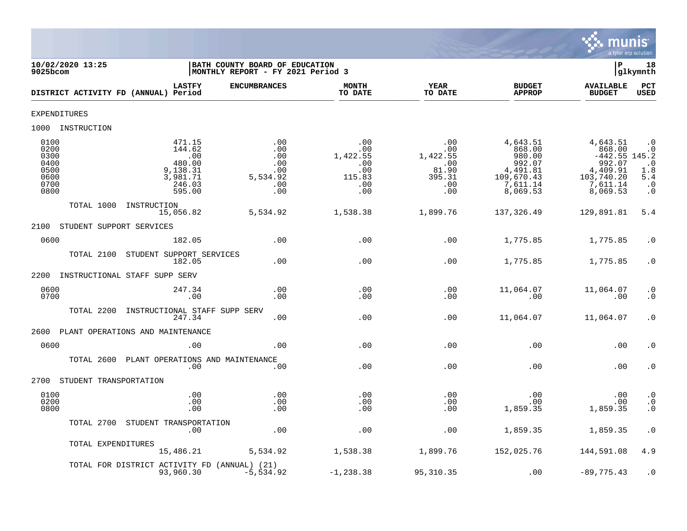

| 10/02/2020 13:25<br>9025bcom                                 |                                                                               | BATH COUNTY BOARD OF EDUCATION<br>MONTHLY REPORT - FY 2021 Period 3 |                                                                   |                                                                |                                                                                          | Þ                                                                                                 | 18<br>glkymnth                                                       |
|--------------------------------------------------------------|-------------------------------------------------------------------------------|---------------------------------------------------------------------|-------------------------------------------------------------------|----------------------------------------------------------------|------------------------------------------------------------------------------------------|---------------------------------------------------------------------------------------------------|----------------------------------------------------------------------|
| DISTRICT ACTIVITY FD (ANNUAL) Period                         | <b>LASTFY</b>                                                                 | <b>ENCUMBRANCES</b>                                                 | <b>MONTH</b><br>TO DATE                                           | <b>YEAR</b><br>TO DATE                                         | <b>BUDGET</b><br><b>APPROP</b>                                                           | <b>AVAILABLE</b><br><b>BUDGET</b>                                                                 | <b>PCT</b><br>USED                                                   |
| <b>EXPENDITURES</b>                                          |                                                                               |                                                                     |                                                                   |                                                                |                                                                                          |                                                                                                   |                                                                      |
| 1000 INSTRUCTION                                             |                                                                               |                                                                     |                                                                   |                                                                |                                                                                          |                                                                                                   |                                                                      |
| 0100<br>0200<br>0300<br>0400<br>0500<br>0600<br>0700<br>0800 | 471.15<br>144.62<br>.00<br>480.00<br>9,138.31<br>3,981.71<br>246.03<br>595.00 | .00<br>.00<br>.00<br>.00<br>.00<br>5,534.92<br>.00<br>.00           | .00<br>$.00 \,$<br>1,422.55<br>.00<br>.00<br>115.83<br>.00<br>.00 | .00<br>.00<br>1,422.55<br>.00<br>81.90<br>395.31<br>.00<br>.00 | 4,643.51<br>868.00<br>980.00<br>992.07<br>4,491.81<br>109,670.43<br>7,611.14<br>8,069.53 | 4,643.51<br>868.00<br>$-442.55$ 145.2<br>992.07<br>4,409.91<br>103,740.20<br>7,611.14<br>8,069.53 | $\cdot$ 0<br>$\cdot$ 0<br>$1:8^{0}$<br>5.4<br>$\cdot$ 0<br>$\cdot$ 0 |
| TOTAL 1000<br>INSTRUCTION<br>15,056.82                       |                                                                               | 5,534.92                                                            | 1,538.38                                                          | 1,899.76                                                       | 137,326.49                                                                               | 129,891.81                                                                                        | 5.4                                                                  |
| STUDENT SUPPORT SERVICES<br>2100                             |                                                                               |                                                                     |                                                                   |                                                                |                                                                                          |                                                                                                   |                                                                      |
| 0600                                                         | 182.05                                                                        | .00                                                                 | .00                                                               | .00                                                            | 1,775.85                                                                                 | 1,775.85                                                                                          | $\cdot$ 0                                                            |
| TOTAL 2100<br>STUDENT SUPPORT SERVICES                       | 182.05                                                                        | .00                                                                 | .00                                                               | .00                                                            | 1,775.85                                                                                 | 1,775.85                                                                                          | $\cdot$ 0                                                            |
| 2200<br>INSTRUCTIONAL STAFF SUPP SERV                        |                                                                               |                                                                     |                                                                   |                                                                |                                                                                          |                                                                                                   |                                                                      |
| 0600<br>0700                                                 | 247.34<br>.00                                                                 | .00<br>.00                                                          | .00<br>.00                                                        | .00<br>.00                                                     | 11,064.07<br>.00                                                                         | 11,064.07<br>.00                                                                                  | $\cdot$ 0<br>$\cdot$ 0                                               |
| TOTAL 2200<br>INSTRUCTIONAL STAFF SUPP SERV                  | 247.34                                                                        | .00                                                                 | .00                                                               | .00                                                            | 11,064.07                                                                                | 11,064.07                                                                                         | $\cdot$ 0                                                            |
| PLANT OPERATIONS AND MAINTENANCE<br>2600                     |                                                                               |                                                                     |                                                                   |                                                                |                                                                                          |                                                                                                   |                                                                      |
| 0600                                                         | .00                                                                           | .00                                                                 | .00                                                               | .00                                                            | .00                                                                                      | .00                                                                                               | $\cdot$ 0                                                            |
| TOTAL 2600 PLANT OPERATIONS AND MAINTENANCE                  | .00                                                                           | .00                                                                 | .00                                                               | .00                                                            | .00                                                                                      | .00                                                                                               | $\cdot$ 0                                                            |
| 2700<br>STUDENT TRANSPORTATION                               |                                                                               |                                                                     |                                                                   |                                                                |                                                                                          |                                                                                                   |                                                                      |
| 0100<br>0200<br>0800                                         | .00<br>.00<br>.00                                                             | .00<br>.00<br>.00                                                   | .00<br>.00<br>.00                                                 | .00<br>.00<br>.00                                              | .00<br>.00<br>1,859.35                                                                   | .00<br>.00<br>1,859.35                                                                            | $\cdot$ 0<br>$\ddot{0}$<br>$\cdot$ 0                                 |
| TOTAL 2700 STUDENT TRANSPORTATION                            | .00                                                                           | .00                                                                 | .00                                                               | .00                                                            | 1,859.35                                                                                 | 1,859.35                                                                                          | $\cdot$ 0                                                            |
| TOTAL EXPENDITURES<br>15,486.21                              |                                                                               | 5,534.92                                                            | 1,538.38                                                          | 1,899.76                                                       | 152,025.76                                                                               | 144,591.08                                                                                        | 4.9                                                                  |
| TOTAL FOR DISTRICT ACTIVITY FD (ANNUAL) (21)<br>93,960.30    |                                                                               | $-5,534.92$                                                         | $-1, 238.38$                                                      | 95,310.35                                                      | .00                                                                                      | $-89,775.43$                                                                                      | $\cdot$ 0                                                            |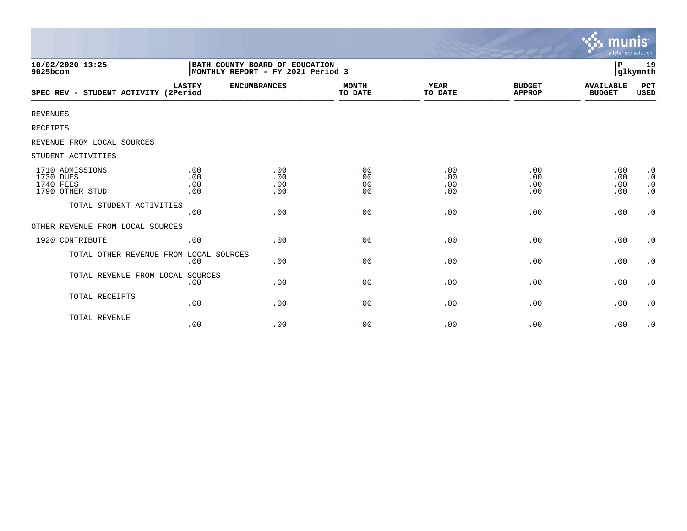|                                                              |                          |                                                                     |                          |                          |                                | munıs<br>a tyler erp solution     |                                                               |
|--------------------------------------------------------------|--------------------------|---------------------------------------------------------------------|--------------------------|--------------------------|--------------------------------|-----------------------------------|---------------------------------------------------------------|
| 10/02/2020 13:25<br>9025bcom                                 |                          | BATH COUNTY BOARD OF EDUCATION<br>MONTHLY REPORT - FY 2021 Period 3 |                          |                          |                                | P                                 | 19<br>glkymnth                                                |
| SPEC REV - STUDENT ACTIVITY (2Period                         | <b>LASTFY</b>            | <b>ENCUMBRANCES</b>                                                 | <b>MONTH</b><br>TO DATE  | <b>YEAR</b><br>TO DATE   | <b>BUDGET</b><br><b>APPROP</b> | <b>AVAILABLE</b><br><b>BUDGET</b> | PCT<br>USED                                                   |
| <b>REVENUES</b>                                              |                          |                                                                     |                          |                          |                                |                                   |                                                               |
| <b>RECEIPTS</b>                                              |                          |                                                                     |                          |                          |                                |                                   |                                                               |
| REVENUE FROM LOCAL SOURCES                                   |                          |                                                                     |                          |                          |                                |                                   |                                                               |
| STUDENT ACTIVITIES                                           |                          |                                                                     |                          |                          |                                |                                   |                                                               |
| 1710 ADMISSIONS<br>1730 DUES<br>1740 FEES<br>1790 OTHER STUD | .00<br>.00<br>.00<br>.00 | .00<br>.00<br>.00<br>.00                                            | .00<br>.00<br>.00<br>.00 | .00<br>.00<br>.00<br>.00 | .00<br>.00<br>.00<br>.00       | .00<br>.00<br>.00<br>.00          | $\cdot$ 0<br>$\boldsymbol{\cdot}$ 0<br>$\cdot$ 0<br>$\cdot$ 0 |
| TOTAL STUDENT ACTIVITIES                                     | .00                      | .00                                                                 | .00                      | .00                      | .00                            | .00                               | $\cdot$ 0                                                     |
| OTHER REVENUE FROM LOCAL SOURCES                             |                          |                                                                     |                          |                          |                                |                                   |                                                               |
| 1920 CONTRIBUTE                                              | .00                      | .00                                                                 | .00                      | .00                      | .00                            | .00                               | $\cdot$ 0                                                     |
| TOTAL OTHER REVENUE FROM LOCAL SOURCES                       | .00                      | .00                                                                 | .00                      | .00                      | .00                            | .00                               | $\cdot$ 0                                                     |
| TOTAL REVENUE FROM LOCAL SOURCES                             | .00                      | .00                                                                 | .00                      | .00                      | .00                            | .00                               | $\cdot$ 0                                                     |
| TOTAL RECEIPTS                                               | .00                      | .00                                                                 | .00                      | .00                      | .00                            | .00                               | $\cdot$ 0                                                     |
| TOTAL REVENUE                                                | .00                      | .00                                                                 | .00                      | .00                      | .00                            | .00                               | $\cdot$ 0                                                     |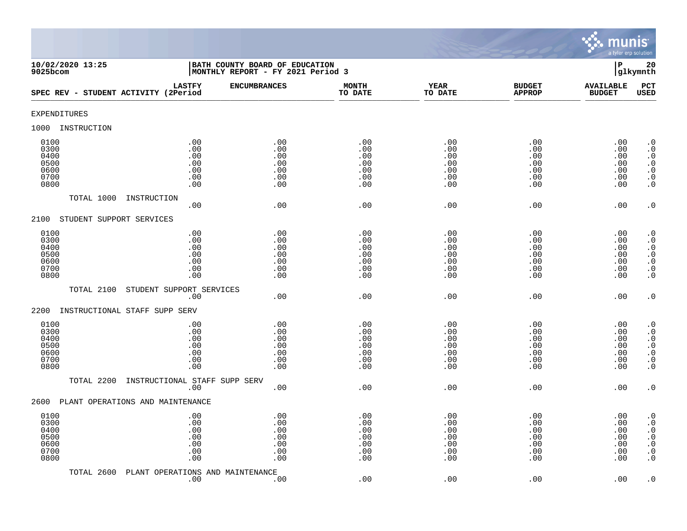

| 10/02/2020 13:25<br>9025bcom                         |                                               | BATH COUNTY BOARD OF EDUCATION<br>MONTHLY REPORT - FY 2021 Period 3 |                                               |                                               |                                               | $\mathbf P$                                   | 20<br>glkymnth                                                                                                                                |
|------------------------------------------------------|-----------------------------------------------|---------------------------------------------------------------------|-----------------------------------------------|-----------------------------------------------|-----------------------------------------------|-----------------------------------------------|-----------------------------------------------------------------------------------------------------------------------------------------------|
| SPEC REV - STUDENT ACTIVITY (2Period                 | <b>LASTFY</b>                                 | <b>ENCUMBRANCES</b>                                                 | <b>MONTH</b><br>TO DATE                       | <b>YEAR</b><br>TO DATE                        | <b>BUDGET</b><br><b>APPROP</b>                | <b>AVAILABLE</b><br><b>BUDGET</b>             | PCT<br><b>USED</b>                                                                                                                            |
| EXPENDITURES                                         |                                               |                                                                     |                                               |                                               |                                               |                                               |                                                                                                                                               |
| INSTRUCTION<br>1000                                  |                                               |                                                                     |                                               |                                               |                                               |                                               |                                                                                                                                               |
| 0100<br>0300<br>0400<br>0500<br>0600<br>0700<br>0800 | .00<br>.00<br>.00<br>.00<br>.00<br>.00<br>.00 | .00<br>.00<br>.00<br>.00<br>.00<br>.00<br>.00                       | .00<br>.00<br>.00<br>.00<br>.00<br>.00<br>.00 | .00<br>.00<br>.00<br>.00<br>.00<br>.00<br>.00 | .00<br>.00<br>.00<br>.00<br>.00<br>.00<br>.00 | .00<br>.00<br>.00<br>.00<br>.00<br>.00<br>.00 | $\cdot$ 0<br>$\boldsymbol{\cdot}$ 0<br>$\cdot$ 0<br>$\begin{smallmatrix} 0.1 \\ 0.1 \end{smallmatrix}$<br>$\boldsymbol{\cdot}$ 0<br>$\cdot$ 0 |
| TOTAL 1000                                           | INSTRUCTION<br>.00                            | .00                                                                 | .00                                           | .00                                           | .00                                           | .00                                           | $\cdot$ 0                                                                                                                                     |
| 2100<br>STUDENT SUPPORT SERVICES                     |                                               |                                                                     |                                               |                                               |                                               |                                               |                                                                                                                                               |
| 0100<br>0300<br>0400<br>0500<br>0600<br>0700<br>0800 | .00<br>.00<br>.00<br>.00<br>.00<br>.00<br>.00 | .00<br>.00<br>.00<br>.00<br>.00<br>.00<br>.00                       | .00<br>.00<br>.00<br>.00<br>.00<br>.00<br>.00 | .00<br>.00<br>.00<br>.00<br>.00<br>.00<br>.00 | .00<br>.00<br>.00<br>.00<br>.00<br>.00<br>.00 | .00<br>.00<br>.00<br>.00<br>.00<br>.00<br>.00 | $\begin{smallmatrix} 0.1 \\ 0.1 \end{smallmatrix}$<br>$\cdot$ 0<br>$\begin{array}{c} 0.0 \\ 0.0 \\ 0.0 \end{array}$<br>$\cdot$ 0              |
| TOTAL 2100                                           | STUDENT SUPPORT SERVICES<br>.00               | .00                                                                 | .00                                           | .00                                           | .00                                           | .00                                           | $\cdot$ 0                                                                                                                                     |
| 2200                                                 | INSTRUCTIONAL STAFF SUPP SERV                 |                                                                     |                                               |                                               |                                               |                                               |                                                                                                                                               |
| 0100<br>0300<br>0400<br>0500<br>0600<br>0700<br>0800 | .00<br>.00<br>.00<br>.00<br>.00<br>.00<br>.00 | .00<br>.00<br>.00<br>.00<br>.00<br>.00<br>.00                       | .00<br>.00<br>.00<br>.00<br>.00<br>.00<br>.00 | .00<br>.00<br>.00<br>.00<br>.00<br>.00<br>.00 | .00<br>.00<br>.00<br>.00<br>.00<br>.00<br>.00 | .00<br>.00<br>.00<br>.00<br>.00<br>.00<br>.00 | $\cdot$ 0<br>$\ddot{0}$<br>$\boldsymbol{\cdot}$ 0<br>$\overline{0}$<br>$\ddot{\theta}$<br>$\cdot$ 0<br>$\overline{0}$ .                       |
| TOTAL 2200                                           | INSTRUCTIONAL STAFF SUPP SERV<br>.00          | .00                                                                 | .00                                           | .00                                           | .00                                           | .00                                           | $\cdot$ 0                                                                                                                                     |
| 2600                                                 | PLANT OPERATIONS AND MAINTENANCE              |                                                                     |                                               |                                               |                                               |                                               |                                                                                                                                               |
| 0100<br>0300<br>0400<br>0500<br>0600<br>0700<br>0800 | .00<br>.00<br>.00<br>.00<br>.00<br>.00<br>.00 | .00<br>.00<br>.00<br>.00<br>.00<br>.00<br>.00                       | .00<br>.00<br>.00<br>.00<br>.00<br>.00<br>.00 | .00<br>.00<br>.00<br>.00<br>.00<br>.00<br>.00 | .00<br>.00<br>.00<br>.00<br>.00<br>.00<br>.00 | .00<br>.00<br>.00<br>.00<br>.00<br>.00<br>.00 | $\cdot$ 0<br>$\cdot$ 0<br>$\boldsymbol{\cdot}$ 0<br>$\ddot{0}$<br>$\boldsymbol{\cdot}$ 0<br>$\boldsymbol{\cdot}$ 0<br>$\cdot$ 0               |
| TOTAL 2600                                           | PLANT OPERATIONS AND MAINTENANCE<br>.00       | .00                                                                 | .00                                           | .00                                           | .00                                           | .00                                           | $\cdot$ 0                                                                                                                                     |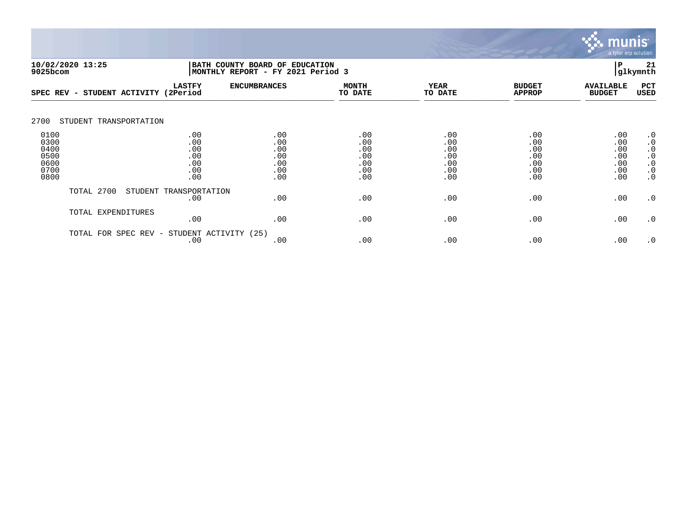

| 10/02/2020 13:25<br>9025bcom                         |                           |                                               |                                               | BATH COUNTY BOARD OF EDUCATION<br>MONTHLY REPORT - FY 2021 Period 3 |                                               |                                               |                                               |                                                                                         |
|------------------------------------------------------|---------------------------|-----------------------------------------------|-----------------------------------------------|---------------------------------------------------------------------|-----------------------------------------------|-----------------------------------------------|-----------------------------------------------|-----------------------------------------------------------------------------------------|
| $SPEC$ REV $-$                                       | STUDENT ACTIVITY (2Period | <b>LASTFY</b>                                 | <b>ENCUMBRANCES</b>                           | <b>MONTH</b><br>TO DATE                                             | <b>YEAR</b><br>TO DATE                        | <b>BUDGET</b><br><b>APPROP</b>                | <b>AVAILABLE</b><br><b>BUDGET</b>             | PCT<br><b>USED</b>                                                                      |
| 2700                                                 | STUDENT TRANSPORTATION    |                                               |                                               |                                                                     |                                               |                                               |                                               |                                                                                         |
| 0100<br>0300<br>0400<br>0500<br>0600<br>0700<br>0800 |                           | .00<br>.00<br>.00<br>.00<br>.00<br>.00<br>.00 | .00<br>.00<br>.00<br>.00<br>.00<br>.00<br>.00 | .00<br>.00<br>.00<br>.00<br>.00<br>.00<br>.00                       | .00<br>.00<br>.00<br>.00<br>.00<br>.00<br>.00 | .00<br>.00<br>.00<br>.00<br>.00<br>.00<br>.00 | .00<br>.00<br>.00<br>.00<br>.00<br>.00<br>.00 | $\cdot$ 0<br>$\cdot$ 0<br>$\cdot$ 0<br>$\cdot$ 0<br>$\cdot$ 0<br>$\cdot$ 0<br>$\cdot$ 0 |
|                                                      | TOTAL 2700                | STUDENT TRANSPORTATION<br>.00                 | .00                                           | .00                                                                 | .00                                           | .00                                           | .00                                           | $\cdot$ 0                                                                               |
|                                                      | TOTAL EXPENDITURES        | .00                                           | .00                                           | .00                                                                 | .00                                           | .00                                           | .00                                           | $\cdot$ 0                                                                               |
|                                                      | TOTAL FOR SPEC REV -      | STUDENT ACTIVITY<br>.00                       | (25)<br>.00                                   | .00                                                                 | .00                                           | .00                                           | .00                                           | $\cdot$ 0                                                                               |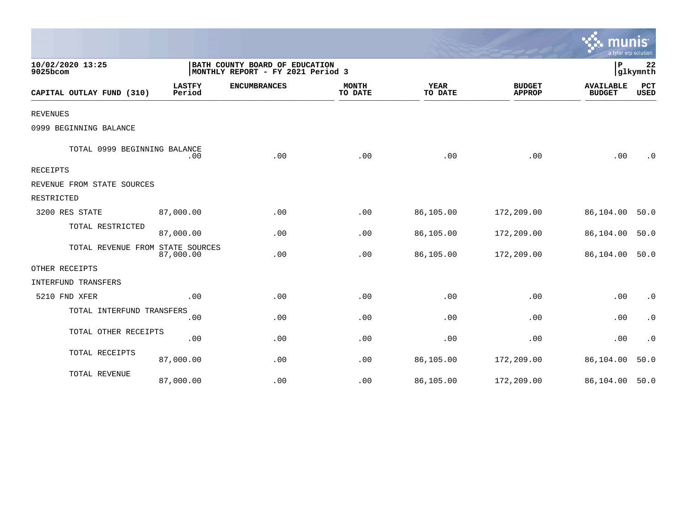|                                  |                         |                                                                     |                         |                        |                                | mun<br>a tyler erp solution       |                        |
|----------------------------------|-------------------------|---------------------------------------------------------------------|-------------------------|------------------------|--------------------------------|-----------------------------------|------------------------|
| 10/02/2020 13:25<br>9025bcom     |                         | BATH COUNTY BOARD OF EDUCATION<br>MONTHLY REPORT - FY 2021 Period 3 |                         |                        |                                | P                                 | 22<br>glkymnth         |
| CAPITAL OUTLAY FUND (310)        | <b>LASTFY</b><br>Period | <b>ENCUMBRANCES</b>                                                 | <b>MONTH</b><br>TO DATE | <b>YEAR</b><br>TO DATE | <b>BUDGET</b><br><b>APPROP</b> | <b>AVAILABLE</b><br><b>BUDGET</b> | PCT<br><b>USED</b>     |
| <b>REVENUES</b>                  |                         |                                                                     |                         |                        |                                |                                   |                        |
| 0999 BEGINNING BALANCE           |                         |                                                                     |                         |                        |                                |                                   |                        |
| TOTAL 0999 BEGINNING BALANCE     | .00                     | .00                                                                 | .00                     | .00                    | .00                            | .00                               | . 0                    |
| RECEIPTS                         |                         |                                                                     |                         |                        |                                |                                   |                        |
| REVENUE FROM STATE SOURCES       |                         |                                                                     |                         |                        |                                |                                   |                        |
| RESTRICTED                       |                         |                                                                     |                         |                        |                                |                                   |                        |
| 3200 RES STATE                   | 87,000.00               | .00                                                                 | .00                     | 86,105.00              | 172,209.00                     | 86,104.00                         | 50.0                   |
| TOTAL RESTRICTED                 | 87,000.00               | .00                                                                 | .00                     | 86,105.00              | 172,209.00                     | 86,104.00                         | 50.0                   |
| TOTAL REVENUE FROM STATE SOURCES | 87,000.00               | .00                                                                 | .00                     | 86,105.00              | 172,209.00                     | 86,104.00                         | 50.0                   |
| OTHER RECEIPTS                   |                         |                                                                     |                         |                        |                                |                                   |                        |
| INTERFUND TRANSFERS              |                         |                                                                     |                         |                        |                                |                                   |                        |
| 5210 FND XFER                    | .00                     | .00                                                                 | .00                     | .00                    | .00                            | .00                               | $\boldsymbol{\cdot}$ 0 |
| TOTAL INTERFUND TRANSFERS        | .00                     | .00                                                                 | .00                     | .00                    | .00                            | .00                               | $\cdot$ 0              |
| TOTAL OTHER RECEIPTS             | .00                     | .00                                                                 | .00                     | .00                    | .00                            | .00                               | $\cdot$ 0              |
| TOTAL RECEIPTS                   | 87,000.00               | .00                                                                 | .00                     | 86,105.00              | 172,209.00                     | 86,104.00                         | 50.0                   |
| TOTAL REVENUE                    | 87,000.00               | .00                                                                 | .00                     | 86,105.00              | 172,209.00                     | 86,104.00                         | 50.0                   |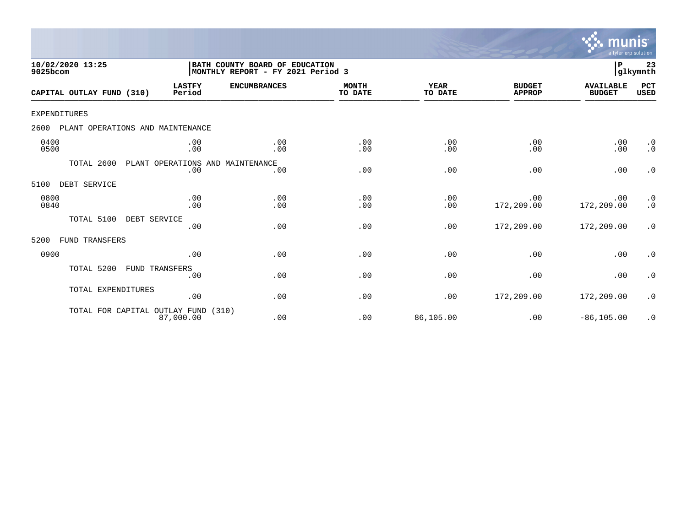

| 10/02/2020 13:25<br>9025bcom             |                                         | BATH COUNTY BOARD OF EDUCATION<br>MONTHLY REPORT - FY 2021 Period 3 |                         |                 |                                | ${\bf P}$                         | 23<br>glkymnth                                    |
|------------------------------------------|-----------------------------------------|---------------------------------------------------------------------|-------------------------|-----------------|--------------------------------|-----------------------------------|---------------------------------------------------|
| CAPITAL OUTLAY FUND (310)                | <b>LASTFY</b><br>Period                 | <b>ENCUMBRANCES</b>                                                 | <b>MONTH</b><br>TO DATE | YEAR<br>TO DATE | <b>BUDGET</b><br><b>APPROP</b> | <b>AVAILABLE</b><br><b>BUDGET</b> | PCT<br><b>USED</b>                                |
| <b>EXPENDITURES</b>                      |                                         |                                                                     |                         |                 |                                |                                   |                                                   |
| PLANT OPERATIONS AND MAINTENANCE<br>2600 |                                         |                                                                     |                         |                 |                                |                                   |                                                   |
| 0400<br>0500                             | .00<br>.00                              | .00<br>.00                                                          | .00<br>.00              | .00<br>.00      | .00<br>.00                     | .00<br>.00                        | $\cdot$ 0<br>$\cdot$ 0                            |
| TOTAL 2600                               | PLANT OPERATIONS AND MAINTENANCE<br>.00 | .00                                                                 | .00                     | .00             | .00                            | .00                               | $\cdot$ 0                                         |
| DEBT SERVICE<br>5100                     |                                         |                                                                     |                         |                 |                                |                                   |                                                   |
| 0800<br>0840                             | .00<br>.00                              | .00<br>.00                                                          | .00<br>.00              | .00<br>.00      | .00<br>172,209.00              | .00<br>172,209.00                 | $\begin{smallmatrix} 0.1 \ 0.1 \end{smallmatrix}$ |
| TOTAL 5100<br>DEBT SERVICE               | .00                                     | .00                                                                 | .00                     | .00             | 172,209.00                     | 172,209.00                        | .0                                                |
| FUND TRANSFERS<br>5200                   |                                         |                                                                     |                         |                 |                                |                                   |                                                   |
| 0900                                     | .00                                     | .00                                                                 | .00                     | .00             | .00                            | .00                               | $\cdot$ 0                                         |
| TOTAL 5200                               | FUND TRANSFERS<br>.00                   | .00                                                                 | .00                     | .00             | .00                            | .00                               | $\cdot$ 0                                         |
| TOTAL EXPENDITURES                       | .00                                     | .00                                                                 | .00                     | .00             | 172,209.00                     | 172,209.00                        | $\cdot$ 0                                         |
| TOTAL FOR CAPITAL OUTLAY FUND            | 87,000.00                               | (310)<br>.00                                                        | .00                     | 86,105.00       | .00                            | $-86, 105.00$                     | $\cdot$ 0                                         |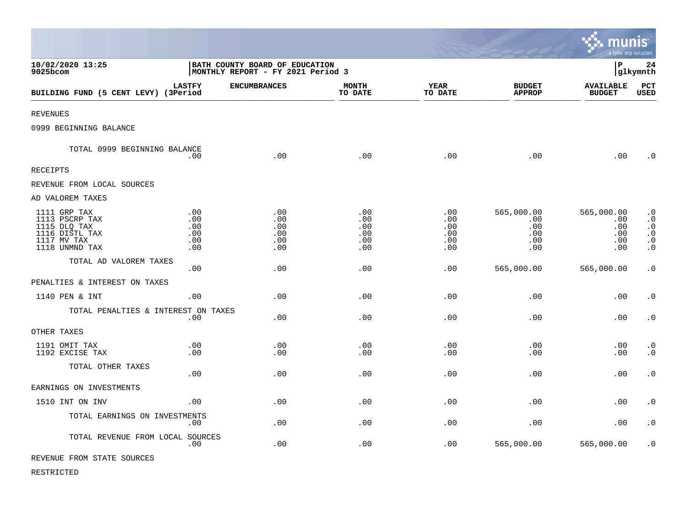|                                                                                                   |                                         |                                                                     |                                        |                                        |                                               | Imu<br>a tyler erp solution                   | INIS                                                                                    |
|---------------------------------------------------------------------------------------------------|-----------------------------------------|---------------------------------------------------------------------|----------------------------------------|----------------------------------------|-----------------------------------------------|-----------------------------------------------|-----------------------------------------------------------------------------------------|
| 10/02/2020 13:25<br>9025bcom                                                                      |                                         | BATH COUNTY BOARD OF EDUCATION<br>MONTHLY REPORT - FY 2021 Period 3 |                                        |                                        |                                               | l P<br> glkymnth                              |                                                                                         |
| BUILDING FUND (5 CENT LEVY) (3Period                                                              | <b>LASTFY</b>                           | <b>ENCUMBRANCES</b>                                                 | <b>MONTH</b><br>TO DATE                | <b>YEAR</b><br>TO DATE                 | <b>BUDGET</b><br><b>APPROP</b>                | <b>AVAILABLE</b><br><b>BUDGET</b>             | PCT<br><b>USED</b>                                                                      |
| <b>REVENUES</b>                                                                                   |                                         |                                                                     |                                        |                                        |                                               |                                               |                                                                                         |
| 0999 BEGINNING BALANCE                                                                            |                                         |                                                                     |                                        |                                        |                                               |                                               |                                                                                         |
| TOTAL 0999 BEGINNING BALANCE                                                                      | .00                                     | .00                                                                 | .00                                    | .00                                    | .00                                           | .00                                           | $\overline{0}$                                                                          |
| <b>RECEIPTS</b>                                                                                   |                                         |                                                                     |                                        |                                        |                                               |                                               |                                                                                         |
| REVENUE FROM LOCAL SOURCES                                                                        |                                         |                                                                     |                                        |                                        |                                               |                                               |                                                                                         |
| AD VALOREM TAXES                                                                                  |                                         |                                                                     |                                        |                                        |                                               |                                               |                                                                                         |
| 1111 GRP TAX<br>1113 PSCRP TAX<br>1115 DLQ TAX<br>1116 DISTL TAX<br>1117 MV TAX<br>1118 UNMND TAX | .00<br>.00.<br>.00<br>.00<br>.00<br>.00 | .00<br>.00<br>.00<br>.00<br>.00<br>.00                              | .00<br>.00<br>.00<br>.00<br>.00<br>.00 | .00<br>.00<br>.00<br>.00<br>.00<br>.00 | 565,000.00<br>.00<br>.00<br>.00<br>.00<br>.00 | 565,000.00<br>.00<br>.00<br>.00<br>.00<br>.00 | $\cdot$ 0<br>$\boldsymbol{\cdot}$ 0<br>$\cdot$ 0<br>$\cdot$ 0<br>$\cdot$ 0<br>$\cdot$ 0 |
| TOTAL AD VALOREM TAXES                                                                            | .00.                                    | .00                                                                 | .00                                    | .00                                    | 565,000.00                                    | 565,000.00                                    | $\cdot$ 0                                                                               |
| PENALTIES & INTEREST ON TAXES                                                                     |                                         |                                                                     |                                        |                                        |                                               |                                               |                                                                                         |
| 1140 PEN & INT                                                                                    | .00                                     | .00                                                                 | .00                                    | .00                                    | .00                                           | .00                                           | $\cdot$ 0                                                                               |
| TOTAL PENALTIES & INTEREST ON TAXES                                                               | .00                                     | .00                                                                 | .00                                    | .00                                    | .00                                           | .00                                           | $\boldsymbol{\cdot}$ 0                                                                  |
| OTHER TAXES                                                                                       |                                         |                                                                     |                                        |                                        |                                               |                                               |                                                                                         |
| 1191 OMIT TAX<br>1192 EXCISE TAX                                                                  | .00<br>.00.                             | .00<br>.00                                                          | .00<br>.00                             | .00<br>.00                             | .00<br>.00                                    | .00<br>.00                                    | $\cdot$ 0<br>$\cdot$ 0                                                                  |
| TOTAL OTHER TAXES                                                                                 | .00                                     | .00                                                                 | .00                                    | .00                                    | .00                                           | .00                                           | $\cdot$ 0                                                                               |
| EARNINGS ON INVESTMENTS                                                                           |                                         |                                                                     |                                        |                                        |                                               |                                               |                                                                                         |
| 1510 INT ON INV                                                                                   | .00                                     | .00                                                                 | .00                                    | .00                                    | .00                                           | .00                                           | $\cdot$ 0                                                                               |
| TOTAL EARNINGS ON INVESTMENTS                                                                     | .00                                     | .00                                                                 | .00                                    | .00                                    | .00                                           | .00                                           | $\cdot$ 0                                                                               |
| TOTAL REVENUE FROM LOCAL SOURCES                                                                  | .00                                     | .00                                                                 | .00                                    | .00                                    | 565,000.00                                    | 565,000.00                                    | $\cdot$ 0                                                                               |
| REVENUE FROM STATE SOURCES                                                                        |                                         |                                                                     |                                        |                                        |                                               |                                               |                                                                                         |

 $\bullet$ 

RESTRICTED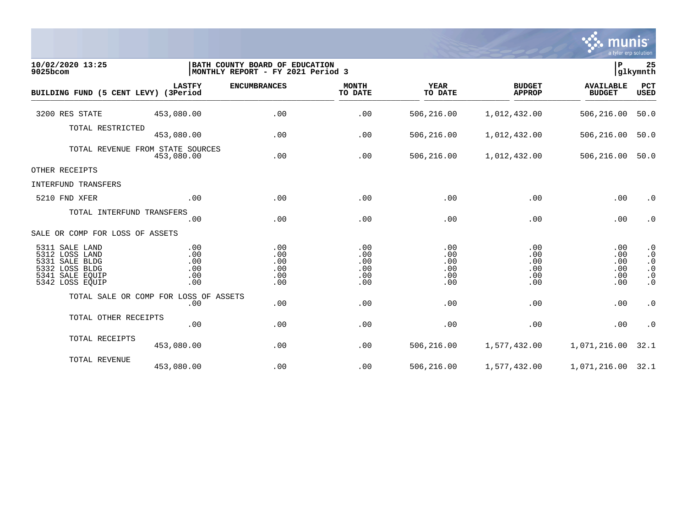

| 10/02/2020 13:25<br>9025bcom                                                                                  | BATH COUNTY BOARD OF EDUCATION<br> MONTHLY REPORT - FY 2021 Period 3 |                                        |                                        |                                        |                                        | ∣P<br>glkymnth                         |                                                                            |  |
|---------------------------------------------------------------------------------------------------------------|----------------------------------------------------------------------|----------------------------------------|----------------------------------------|----------------------------------------|----------------------------------------|----------------------------------------|----------------------------------------------------------------------------|--|
| BUILDING FUND (5 CENT LEVY) (3Period                                                                          | <b>LASTFY</b>                                                        | <b>ENCUMBRANCES</b>                    | <b>MONTH</b><br>TO DATE                | <b>YEAR</b><br>TO DATE                 | <b>BUDGET</b><br><b>APPROP</b>         | <b>AVAILABLE</b><br><b>BUDGET</b>      | PCT<br><b>USED</b>                                                         |  |
| 3200 RES STATE                                                                                                | 453,080.00                                                           | .00                                    | .00                                    | 506,216.00                             | 1,012,432.00                           | 506,216.00                             | 50.0                                                                       |  |
| TOTAL RESTRICTED                                                                                              | 453,080.00                                                           | .00                                    | .00                                    | 506,216.00                             | 1,012,432.00                           | 506,216.00                             | 50.0                                                                       |  |
|                                                                                                               | TOTAL REVENUE FROM STATE SOURCES<br>453,080.00                       | .00                                    | .00                                    | 506,216.00                             | 1,012,432.00                           | 506,216.00                             | 50.0                                                                       |  |
| OTHER RECEIPTS                                                                                                |                                                                      |                                        |                                        |                                        |                                        |                                        |                                                                            |  |
| INTERFUND TRANSFERS                                                                                           |                                                                      |                                        |                                        |                                        |                                        |                                        |                                                                            |  |
| 5210 FND XFER                                                                                                 | .00                                                                  | .00                                    | .00                                    | .00                                    | .00                                    | .00                                    | $\cdot$ 0                                                                  |  |
| TOTAL INTERFUND TRANSFERS                                                                                     | .00                                                                  | .00                                    | .00                                    | .00                                    | .00                                    | .00                                    | $\cdot$ 0                                                                  |  |
| SALE OR COMP FOR LOSS OF ASSETS                                                                               |                                                                      |                                        |                                        |                                        |                                        |                                        |                                                                            |  |
| 5311 SALE LAND<br>5312 LOSS LAND<br>5331 SALE BLDG<br>5332 LOSS BLDG<br>5341<br>SALE EOUIP<br>5342 LOSS EQUIP | .00<br>.00<br>.00<br>.00<br>.00<br>.00                               | .00<br>.00<br>.00<br>.00<br>.00<br>.00 | .00<br>.00<br>.00<br>.00<br>.00<br>.00 | .00<br>.00<br>.00<br>.00<br>.00<br>.00 | .00<br>.00<br>.00<br>.00<br>.00<br>.00 | .00<br>.00<br>.00<br>.00<br>.00<br>.00 | $\cdot$ 0<br>$\cdot$ 0<br>$\cdot$ 0<br>$\cdot$ 0<br>$\cdot$ 0<br>$\cdot$ 0 |  |
|                                                                                                               | TOTAL SALE OR COMP FOR LOSS OF ASSETS<br>.00                         | .00                                    | .00                                    | .00                                    | .00                                    | .00                                    | $\cdot$ 0                                                                  |  |
| TOTAL OTHER RECEIPTS                                                                                          | .00                                                                  | .00                                    | .00                                    | .00                                    | .00                                    | .00                                    | $\cdot$ 0                                                                  |  |
| TOTAL RECEIPTS                                                                                                | 453,080.00                                                           | .00                                    | .00                                    | 506,216.00                             | 1,577,432.00                           | 1,071,216.00                           | 32.1                                                                       |  |
| TOTAL REVENUE                                                                                                 | 453,080.00                                                           | .00                                    | .00                                    | 506,216.00                             | 1,577,432.00                           | 1,071,216.00 32.1                      |                                                                            |  |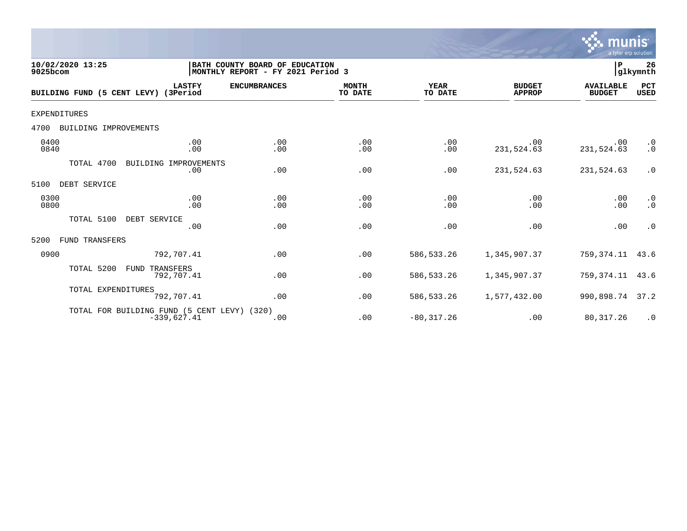

| 10/02/2020 13:25<br>9025bcom         |                                                              | BATH COUNTY BOARD OF EDUCATION<br> MONTHLY REPORT - FY 2021 Period 3 |                         |                        |                                | lР                                | 26<br>glkymnth         |
|--------------------------------------|--------------------------------------------------------------|----------------------------------------------------------------------|-------------------------|------------------------|--------------------------------|-----------------------------------|------------------------|
| BUILDING FUND (5 CENT LEVY) (3Period | <b>LASTFY</b>                                                | <b>ENCUMBRANCES</b>                                                  | <b>MONTH</b><br>TO DATE | <b>YEAR</b><br>TO DATE | <b>BUDGET</b><br><b>APPROP</b> | <b>AVAILABLE</b><br><b>BUDGET</b> | PCT<br><b>USED</b>     |
| <b>EXPENDITURES</b>                  |                                                              |                                                                      |                         |                        |                                |                                   |                        |
| 4700<br>BUILDING IMPROVEMENTS        |                                                              |                                                                      |                         |                        |                                |                                   |                        |
| 0400<br>0840                         | .00<br>.00                                                   | .00<br>.00                                                           | .00<br>.00              | .00<br>.00             | .00<br>231,524.63              | .00<br>231,524.63                 | $\cdot$ 0<br>$\cdot$ 0 |
| TOTAL 4700                           | BUILDING IMPROVEMENTS<br>.00                                 | .00                                                                  | .00                     | .00                    | 231,524.63                     | 231,524.63                        | $\cdot$ 0              |
| 5100<br>DEBT SERVICE                 |                                                              |                                                                      |                         |                        |                                |                                   |                        |
| 0300<br>0800                         | .00<br>.00                                                   | .00<br>.00                                                           | .00<br>.00              | .00<br>.00             | .00<br>.00                     | .00<br>.00                        | $\cdot$ 0<br>$\cdot$ 0 |
| TOTAL 5100                           | DEBT SERVICE<br>.00                                          | .00                                                                  | .00                     | .00                    | .00                            | .00                               | $\cdot$ 0              |
| FUND TRANSFERS<br>5200               |                                                              |                                                                      |                         |                        |                                |                                   |                        |
| 0900                                 | 792,707.41                                                   | .00                                                                  | .00                     | 586,533.26             | 1,345,907.37                   | 759,374.11                        | 43.6                   |
| TOTAL 5200                           | TRANSFERS<br>FUND<br>792,707.41                              | .00                                                                  | .00                     | 586, 533.26            | 1,345,907.37                   | 759,374.11                        | 43.6                   |
| TOTAL EXPENDITURES                   | 792,707.41                                                   | .00                                                                  | .00                     | 586, 533.26            | 1,577,432.00                   | 990,898.74                        | 37.2                   |
|                                      | TOTAL FOR BUILDING FUND (5 CENT LEVY) (320)<br>$-339,627.41$ | .00                                                                  | .00                     | $-80, 317.26$          | .00                            | 80, 317.26                        | $\cdot$ 0              |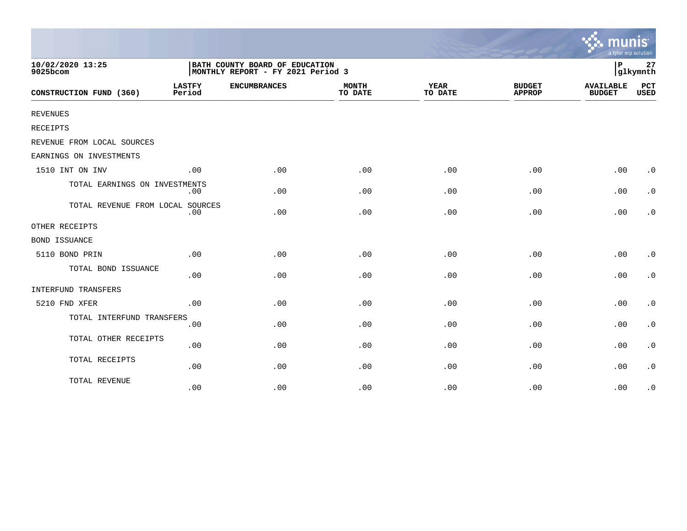|                                  |                         |                                                                     |                         |                        |                                | mu<br>a tyler erp solution        |                    |
|----------------------------------|-------------------------|---------------------------------------------------------------------|-------------------------|------------------------|--------------------------------|-----------------------------------|--------------------|
| 10/02/2020 13:25<br>9025bcom     |                         | BATH COUNTY BOARD OF EDUCATION<br>MONTHLY REPORT - FY 2021 Period 3 |                         |                        | $\, {\bf P}$                   | 27<br>glkymnth                    |                    |
| CONSTRUCTION FUND (360)          | <b>LASTFY</b><br>Period | <b>ENCUMBRANCES</b>                                                 | <b>MONTH</b><br>TO DATE | <b>YEAR</b><br>TO DATE | <b>BUDGET</b><br><b>APPROP</b> | <b>AVAILABLE</b><br><b>BUDGET</b> | PCT<br><b>USED</b> |
| <b>REVENUES</b>                  |                         |                                                                     |                         |                        |                                |                                   |                    |
| <b>RECEIPTS</b>                  |                         |                                                                     |                         |                        |                                |                                   |                    |
| REVENUE FROM LOCAL SOURCES       |                         |                                                                     |                         |                        |                                |                                   |                    |
| EARNINGS ON INVESTMENTS          |                         |                                                                     |                         |                        |                                |                                   |                    |
| 1510 INT ON INV                  | .00                     | .00                                                                 | .00                     | .00                    | .00                            | .00                               | $\cdot$ 0          |
| TOTAL EARNINGS ON INVESTMENTS    | $.00 \,$                | .00                                                                 | .00                     | .00                    | .00                            | .00                               | $\cdot$ 0          |
| TOTAL REVENUE FROM LOCAL SOURCES | .00                     | .00                                                                 | .00                     | .00                    | .00                            | .00                               | . 0                |
| OTHER RECEIPTS                   |                         |                                                                     |                         |                        |                                |                                   |                    |
| <b>BOND ISSUANCE</b>             |                         |                                                                     |                         |                        |                                |                                   |                    |
| 5110 BOND PRIN                   | .00                     | .00                                                                 | .00                     | .00                    | .00                            | .00                               | $\cdot$ 0          |
| TOTAL BOND ISSUANCE              | .00                     | .00                                                                 | .00                     | .00                    | .00                            | .00                               | $\cdot$ 0          |
| INTERFUND TRANSFERS              |                         |                                                                     |                         |                        |                                |                                   |                    |
| 5210 FND XFER                    | .00                     | .00                                                                 | .00                     | .00                    | .00                            | .00                               | $\cdot$ 0          |
| TOTAL INTERFUND TRANSFERS        | .00                     | .00                                                                 | .00                     | .00                    | .00                            | .00                               | $\cdot$ 0          |
| TOTAL OTHER RECEIPTS             | .00                     | .00                                                                 | .00                     | .00                    | .00                            | .00                               | $\cdot$ 0          |
| TOTAL RECEIPTS                   | .00                     | .00                                                                 | .00                     | .00                    | .00                            | .00                               | $\cdot$ 0          |
| TOTAL REVENUE                    | .00                     | .00                                                                 | .00                     | .00                    | .00                            | .00                               | $\cdot$ 0          |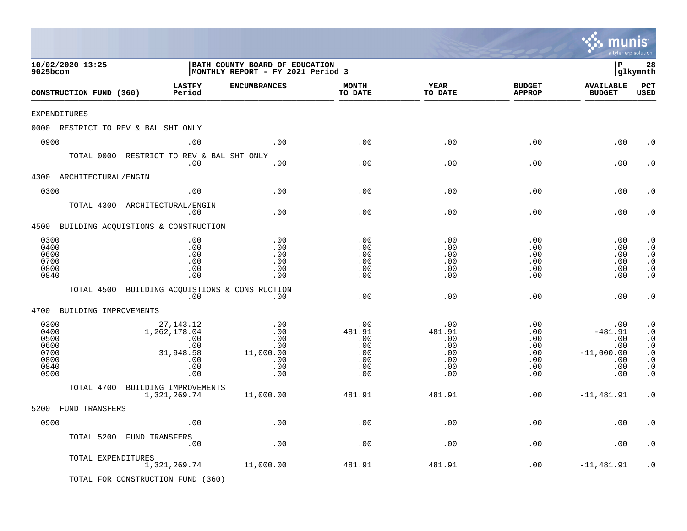|                                                              |                                                         |                                                                             |                                                                     |                                                         |                                                              |                                                                | mu<br>a tyler erp solution                                          |                                                                                                      |
|--------------------------------------------------------------|---------------------------------------------------------|-----------------------------------------------------------------------------|---------------------------------------------------------------------|---------------------------------------------------------|--------------------------------------------------------------|----------------------------------------------------------------|---------------------------------------------------------------------|------------------------------------------------------------------------------------------------------|
| 9025bcom                                                     | 10/02/2020 13:25                                        |                                                                             | BATH COUNTY BOARD OF EDUCATION<br>MONTHLY REPORT - FY 2021 Period 3 |                                                         |                                                              |                                                                | l P                                                                 | 28<br>glkymnth                                                                                       |
|                                                              | CONSTRUCTION FUND (360)                                 | <b>LASTFY</b><br>Period                                                     | <b>ENCUMBRANCES</b>                                                 | <b>MONTH</b><br>TO DATE                                 | YEAR<br>TO DATE                                              | <b>BUDGET</b><br><b>APPROP</b>                                 | <b>AVAILABLE</b><br><b>BUDGET</b>                                   | PCT<br><b>USED</b>                                                                                   |
| EXPENDITURES                                                 |                                                         |                                                                             |                                                                     |                                                         |                                                              |                                                                |                                                                     |                                                                                                      |
|                                                              | 0000 RESTRICT TO REV & BAL SHT ONLY                     |                                                                             |                                                                     |                                                         |                                                              |                                                                |                                                                     |                                                                                                      |
| 0900                                                         |                                                         | .00                                                                         | .00                                                                 | .00                                                     | .00                                                          | .00                                                            | .00                                                                 | . 0                                                                                                  |
|                                                              | TOTAL 0000 RESTRICT TO REV & BAL SHT ONLY               | .00                                                                         | .00                                                                 | .00                                                     | .00                                                          | .00                                                            | .00                                                                 | . 0                                                                                                  |
|                                                              | 4300 ARCHITECTURAL/ENGIN                                |                                                                             |                                                                     |                                                         |                                                              |                                                                |                                                                     |                                                                                                      |
| 0300                                                         |                                                         | .00                                                                         | .00                                                                 | .00                                                     | .00                                                          | .00                                                            | .00                                                                 | . 0                                                                                                  |
|                                                              | TOTAL 4300 ARCHITECTURAL/ENGIN                          | .00                                                                         | .00                                                                 | .00                                                     | .00                                                          | .00                                                            | .00                                                                 | . 0                                                                                                  |
|                                                              | 4500 BUILDING ACQUISTIONS & CONSTRUCTION                |                                                                             |                                                                     |                                                         |                                                              |                                                                |                                                                     |                                                                                                      |
| 0300<br>0400<br>0600<br>0700<br>0800<br>0840                 |                                                         | .00<br>.00<br>.00<br>.00<br>.00<br>.00                                      | .00<br>.00<br>.00<br>.00<br>.00<br>.00                              | .00<br>.00<br>.00<br>.00<br>.00<br>.00                  | .00<br>.00<br>.00<br>.00<br>.00<br>.00                       | .00<br>.00<br>.00<br>.00<br>.00<br>.00                         | .00<br>.00<br>.00<br>.00<br>.00<br>.00                              | $\cdot$ 0<br>$\cdot$ 0<br>$\cdot$ 0<br>$\cdot$ 0<br>$\cdot$ 0<br>$\cdot$ 0                           |
|                                                              | TOTAL 4500 BUILDING ACQUISTIONS & CONSTRUCTION          | .00                                                                         | .00                                                                 | .00                                                     | .00                                                          | .00                                                            | .00                                                                 | $\cdot$ 0                                                                                            |
|                                                              | 4700 BUILDING IMPROVEMENTS                              |                                                                             |                                                                     |                                                         |                                                              |                                                                |                                                                     |                                                                                                      |
| 0300<br>0400<br>0500<br>0600<br>0700<br>0800<br>0840<br>0900 |                                                         | 27, 143. 12<br>1,262,178.04<br>.00<br>.00<br>31,948.58<br>.00<br>.00<br>.00 | .00<br>.00<br>.00<br>.00<br>11,000.00<br>.00<br>.00<br>.00          | .00<br>481.91<br>.00<br>.00<br>.00<br>.00<br>.00<br>.00 | .00<br>481.91<br>.00<br>$.00 \,$<br>.00<br>.00<br>.00<br>.00 | .00<br>.00<br>.00<br>$.00 \,$<br>.00<br>.00<br>$.00 \,$<br>.00 | .00<br>$-481.91$<br>.00<br>.00<br>$-11,000.00$<br>.00<br>.00<br>.00 | $\cdot$ 0<br>$\cdot$ 0<br>$\cdot$ 0<br>$\cdot$ 0<br>$\cdot$ 0<br>$\cdot$ 0<br>$\cdot$ 0<br>$\cdot$ 0 |
|                                                              | TOTAL 4700                                              | BUILDING IMPROVEMENTS                                                       |                                                                     |                                                         |                                                              |                                                                |                                                                     |                                                                                                      |
|                                                              |                                                         | 1,321,269.74                                                                | 11,000.00                                                           | 481.91                                                  | 481.91                                                       | .00                                                            | $-11,481.91$                                                        | $\cdot$ 0                                                                                            |
|                                                              | 5200 FUND TRANSFERS                                     |                                                                             |                                                                     |                                                         |                                                              |                                                                |                                                                     |                                                                                                      |
| 0900                                                         |                                                         | .00                                                                         | $.00$                                                               | .00                                                     | .00                                                          | .00                                                            | .00                                                                 | . $\boldsymbol{0}$                                                                                   |
|                                                              | TOTAL 5200 FUND TRANSFERS                               | .00                                                                         | .00                                                                 | .00                                                     | .00                                                          | .00                                                            | .00                                                                 | $\cdot$ 0                                                                                            |
|                                                              | TOTAL EXPENDITURES<br>TOTAL FOR CONSTRUCTION FUND (360) | 1,321,269.74                                                                | 11,000.00                                                           | 481.91                                                  | 481.91                                                       | .00                                                            | $-11, 481.91$                                                       | $\cdot$ 0                                                                                            |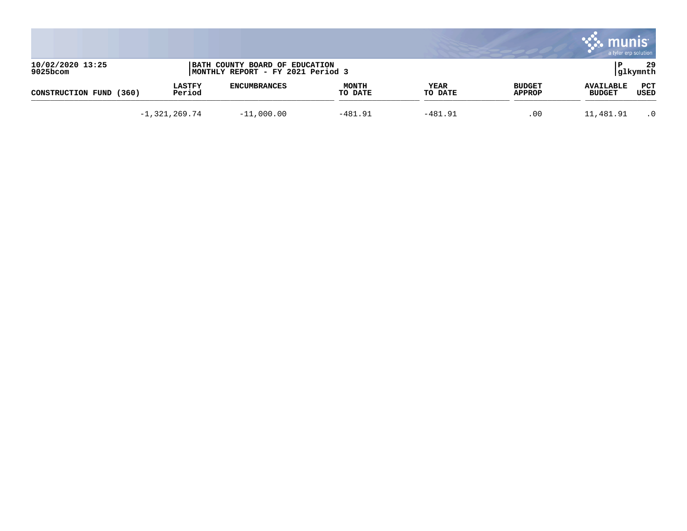|                              |                         |                                                                     |                         |                 |                                | a tyler erp solution              |                 |
|------------------------------|-------------------------|---------------------------------------------------------------------|-------------------------|-----------------|--------------------------------|-----------------------------------|-----------------|
| 10/02/2020 13:25<br>9025bcom |                         | BATH COUNTY BOARD OF EDUCATION<br>MONTHLY REPORT - FY 2021 Period 3 |                         |                 |                                |                                   | 29<br> glkymnth |
| (360)<br>CONSTRUCTION FUND   | <b>LASTFY</b><br>Period | <b>ENCUMBRANCES</b>                                                 | <b>MONTH</b><br>TO DATE | YEAR<br>TO DATE | <b>BUDGET</b><br><b>APPROP</b> | <b>AVAILABLE</b><br><b>BUDGET</b> | PCT<br>USED     |
|                              | $-1,321,269.74$         | $-11,000.00$                                                        | $-481.91$               | $-481.91$       | .00                            | 11,481.91                         | $\cdot$ 0       |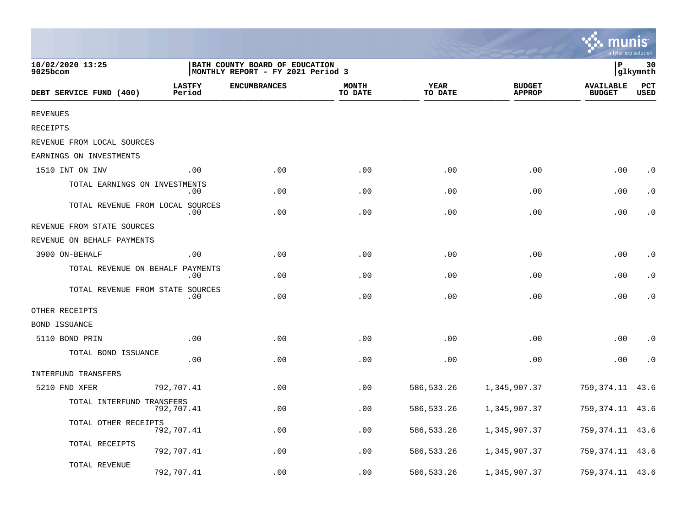|                                  |                         |                                                                     |                         |                        |                                | a tyler erp solution              |                    |
|----------------------------------|-------------------------|---------------------------------------------------------------------|-------------------------|------------------------|--------------------------------|-----------------------------------|--------------------|
| 10/02/2020 13:25<br>9025bcom     |                         | BATH COUNTY BOARD OF EDUCATION<br>MONTHLY REPORT - FY 2021 Period 3 |                         |                        |                                | P                                 | 30<br>glkymnth     |
| DEBT SERVICE FUND (400)          | <b>LASTFY</b><br>Period | <b>ENCUMBRANCES</b>                                                 | <b>MONTH</b><br>TO DATE | <b>YEAR</b><br>TO DATE | <b>BUDGET</b><br><b>APPROP</b> | <b>AVAILABLE</b><br><b>BUDGET</b> | PCT<br><b>USED</b> |
| <b>REVENUES</b>                  |                         |                                                                     |                         |                        |                                |                                   |                    |
| RECEIPTS                         |                         |                                                                     |                         |                        |                                |                                   |                    |
| REVENUE FROM LOCAL SOURCES       |                         |                                                                     |                         |                        |                                |                                   |                    |
| EARNINGS ON INVESTMENTS          |                         |                                                                     |                         |                        |                                |                                   |                    |
| 1510 INT ON INV                  | .00                     | .00                                                                 | .00                     | .00                    | .00                            | .00                               | $\cdot$ 0          |
| TOTAL EARNINGS ON INVESTMENTS    | .00                     | .00                                                                 | .00                     | .00                    | .00                            | .00                               | . 0                |
| TOTAL REVENUE FROM LOCAL SOURCES | .00                     | .00                                                                 | .00                     | .00                    | .00                            | .00                               | . 0                |
| REVENUE FROM STATE SOURCES       |                         |                                                                     |                         |                        |                                |                                   |                    |
| REVENUE ON BEHALF PAYMENTS       |                         |                                                                     |                         |                        |                                |                                   |                    |
| 3900 ON-BEHALF                   | .00                     | .00                                                                 | .00                     | .00                    | .00                            | .00                               | $\cdot$ 0          |
| TOTAL REVENUE ON BEHALF PAYMENTS | .00                     | .00                                                                 | .00                     | .00                    | .00                            | .00                               | . 0                |
| TOTAL REVENUE FROM STATE SOURCES | .00                     | .00                                                                 | .00                     | .00                    | .00                            | .00                               | $\cdot$ 0          |
| OTHER RECEIPTS                   |                         |                                                                     |                         |                        |                                |                                   |                    |
| <b>BOND ISSUANCE</b>             |                         |                                                                     |                         |                        |                                |                                   |                    |
| 5110 BOND PRIN                   | .00                     | .00                                                                 | .00                     | .00                    | .00                            | .00                               | $\cdot$ 0          |
| TOTAL BOND ISSUANCE              | .00                     | .00                                                                 | .00                     | .00                    | .00                            | .00                               | $\cdot$ 0          |
| INTERFUND TRANSFERS              |                         |                                                                     |                         |                        |                                |                                   |                    |
| 5210 FND XFER                    | 792,707.41              | .00                                                                 | .00                     | 586, 533.26            | 1,345,907.37                   | 759,374.11                        | 43.6               |
| TOTAL INTERFUND TRANSFERS        | 792,707.41              | .00                                                                 | .00                     | 586,533.26             | 1,345,907.37                   | 759,374.11                        | 43.6               |
| TOTAL OTHER RECEIPTS             | 792,707.41              | .00                                                                 | .00                     | 586,533.26             | 1,345,907.37                   | 759,374.11                        | 43.6               |
| TOTAL RECEIPTS                   | 792,707.41              | .00                                                                 | .00                     | 586,533.26             | 1,345,907.37                   | 759,374.11                        | 43.6               |
| TOTAL REVENUE                    | 792,707.41              | .00                                                                 | .00                     | 586, 533.26            | 1,345,907.37                   | 759,374.11                        | 43.6               |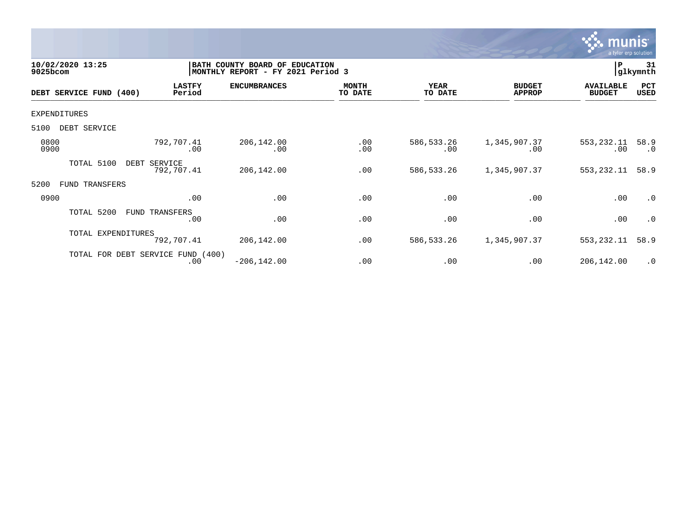

| 10/02/2020 13:25<br>9025bcom |                                          | BATH COUNTY BOARD OF<br><b>EDUCATION</b><br>MONTHLY REPORT - FY 2021 Period 3 |                         |                        |                                |                                   |                   |
|------------------------------|------------------------------------------|-------------------------------------------------------------------------------|-------------------------|------------------------|--------------------------------|-----------------------------------|-------------------|
| DEBT SERVICE FUND (400)      | <b>LASTFY</b><br>Period                  | <b>ENCUMBRANCES</b>                                                           | <b>MONTH</b><br>TO DATE | <b>YEAR</b><br>TO DATE | <b>BUDGET</b><br><b>APPROP</b> | <b>AVAILABLE</b><br><b>BUDGET</b> | PCT<br>USED       |
| <b>EXPENDITURES</b>          |                                          |                                                                               |                         |                        |                                |                                   |                   |
| 5100<br>DEBT SERVICE         |                                          |                                                                               |                         |                        |                                |                                   |                   |
| 0800<br>0900                 | 792,707.41<br>.00                        | 206,142.00<br>.00                                                             | .00<br>.00              | 586, 533.26<br>.00     | 1,345,907.37<br>.00            | 553,232.11<br>.00                 | 58.9<br>$\cdot$ 0 |
| TOTAL 5100                   | DEBT<br>SERVICE<br>792,707.41            | 206,142.00                                                                    | .00                     | 586, 533.26            | 1,345,907.37                   | 553,232.11                        | 58.9              |
| 5200<br>TRANSFERS<br>FUND    |                                          |                                                                               |                         |                        |                                |                                   |                   |
| 0900                         | .00                                      | .00                                                                           | .00                     | .00                    | .00                            | .00                               | .0                |
| TOTAL 5200                   | FUND TRANSFERS<br>.00                    | .00                                                                           | .00                     | .00                    | .00                            | .00                               | $\cdot$ 0         |
| TOTAL EXPENDITURES           | 792,707.41                               | 206,142.00                                                                    | .00                     | 586, 533.26            | 1,345,907.37                   | 553, 232.11                       | 58.9              |
|                              | TOTAL FOR DEBT SERVICE FUND (400)<br>.00 | $-206, 142.00$                                                                | .00                     | .00                    | .00                            | 206,142.00                        | $\cdot$ 0         |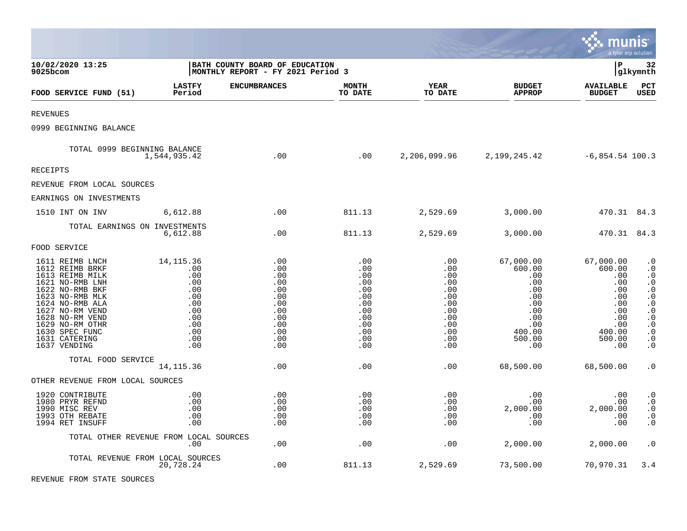|                                                                                                                                                                                                                                               |                                                                                                 |                                                                                         |                                                                                         |                                                                                         |                                                                                                                              | munis                                                                                                  | a tyler erp solution                                                                                                                                                                                                                    |
|-----------------------------------------------------------------------------------------------------------------------------------------------------------------------------------------------------------------------------------------------|-------------------------------------------------------------------------------------------------|-----------------------------------------------------------------------------------------|-----------------------------------------------------------------------------------------|-----------------------------------------------------------------------------------------|------------------------------------------------------------------------------------------------------------------------------|--------------------------------------------------------------------------------------------------------|-----------------------------------------------------------------------------------------------------------------------------------------------------------------------------------------------------------------------------------------|
| 10/02/2020 13:25<br>9025bcom                                                                                                                                                                                                                  |                                                                                                 | BATH COUNTY BOARD OF EDUCATION<br>MONTHLY REPORT - FY 2021 Period 3                     |                                                                                         |                                                                                         |                                                                                                                              | l P                                                                                                    | 32<br> glkymnth                                                                                                                                                                                                                         |
| FOOD SERVICE FUND (51)                                                                                                                                                                                                                        | <b>LASTFY</b><br>Period                                                                         | <b>ENCUMBRANCES</b>                                                                     | <b>MONTH</b><br>TO DATE                                                                 | <b>YEAR</b><br>TO DATE                                                                  | <b>BUDGET</b><br><b>APPROP</b>                                                                                               | <b>AVAILABLE</b><br><b>BUDGET</b>                                                                      | PCT<br><b>USED</b>                                                                                                                                                                                                                      |
| <b>REVENUES</b>                                                                                                                                                                                                                               |                                                                                                 |                                                                                         |                                                                                         |                                                                                         |                                                                                                                              |                                                                                                        |                                                                                                                                                                                                                                         |
| 0999 BEGINNING BALANCE                                                                                                                                                                                                                        |                                                                                                 |                                                                                         |                                                                                         |                                                                                         |                                                                                                                              |                                                                                                        |                                                                                                                                                                                                                                         |
| TOTAL 0999 BEGINNING BALANCE                                                                                                                                                                                                                  | 1,544,935.42                                                                                    | .00                                                                                     | .00                                                                                     |                                                                                         | $2,206,099.96$ $2,199,245.42$ $-6,854.54$ 100.3                                                                              |                                                                                                        |                                                                                                                                                                                                                                         |
| RECEIPTS                                                                                                                                                                                                                                      |                                                                                                 |                                                                                         |                                                                                         |                                                                                         |                                                                                                                              |                                                                                                        |                                                                                                                                                                                                                                         |
| REVENUE FROM LOCAL SOURCES                                                                                                                                                                                                                    |                                                                                                 |                                                                                         |                                                                                         |                                                                                         |                                                                                                                              |                                                                                                        |                                                                                                                                                                                                                                         |
| EARNINGS ON INVESTMENTS                                                                                                                                                                                                                       |                                                                                                 |                                                                                         |                                                                                         |                                                                                         |                                                                                                                              |                                                                                                        |                                                                                                                                                                                                                                         |
| 1510 INT ON INV                                                                                                                                                                                                                               | 6,612.88                                                                                        | .00                                                                                     | 811.13                                                                                  | 2,529.69                                                                                | 3,000.00                                                                                                                     | 470.31 84.3                                                                                            |                                                                                                                                                                                                                                         |
| TOTAL EARNINGS ON INVESTMENTS                                                                                                                                                                                                                 | 6,612.88                                                                                        | .00                                                                                     | 811.13                                                                                  | 2,529.69                                                                                | 3,000.00                                                                                                                     | 470.31 84.3                                                                                            |                                                                                                                                                                                                                                         |
| FOOD SERVICE                                                                                                                                                                                                                                  |                                                                                                 |                                                                                         |                                                                                         |                                                                                         |                                                                                                                              |                                                                                                        |                                                                                                                                                                                                                                         |
| 1611 REIMB LNCH<br>1612 REIMB BRKF<br>1613 REIMB MILK<br>1621 NO-RMB LNH<br>1622 NO-RMB BKF<br>1623 NO-RMB MLK<br>1624 NO-RMB ALA<br>1627 NO-RM VEND<br>1628 NO-RM VEND<br>1629 NO-RM OTHR<br>1630 SPEC FUNC<br>1631 CATERING<br>1637 VENDING | 14, 115. 36<br>.00<br>.00<br>.00<br>.00<br>.00<br>.00<br>.00<br>.00<br>.00<br>.00<br>.00<br>.00 | .00<br>.00<br>.00<br>.00<br>.00<br>.00<br>.00<br>.00<br>.00<br>.00<br>.00<br>.00<br>.00 | .00<br>.00<br>.00<br>.00<br>.00<br>.00<br>.00<br>.00<br>.00<br>.00<br>.00<br>.00<br>.00 | .00<br>.00<br>.00<br>.00<br>.00<br>.00<br>.00<br>.00<br>.00<br>.00<br>.00<br>.00<br>.00 | 67,000.00<br>600.00<br>.00<br>$.00 \,$<br>$.00 \,$<br>$.00 \,$<br>.00<br>.00<br>.00<br>$.00 \ \,$<br>400.00<br>500.00<br>.00 | 67,000.00<br>600.00<br>.00<br>.00<br>.00<br>.00<br>.00<br>.00<br>.00<br>.00<br>400.00<br>500.00<br>.00 | $\boldsymbol{\cdot}$ 0<br>$\cdot$ 0<br>$\cdot$ 0<br>$\boldsymbol{\cdot}$ 0<br>$\cdot$ 0<br>$\ddot{0}$<br>$\boldsymbol{\cdot}$ 0<br>$\cdot$ 0<br>$\boldsymbol{\cdot}$ 0<br>$\cdot$ 0<br>$\boldsymbol{\cdot}$ 0<br>$\cdot$ 0<br>$\cdot$ 0 |
| TOTAL FOOD SERVICE                                                                                                                                                                                                                            | 14, 115.36                                                                                      | .00                                                                                     | .00                                                                                     | .00                                                                                     | 68,500.00                                                                                                                    | 68,500.00                                                                                              | $\cdot$ 0                                                                                                                                                                                                                               |
| OTHER REVENUE FROM LOCAL SOURCES                                                                                                                                                                                                              |                                                                                                 |                                                                                         |                                                                                         |                                                                                         |                                                                                                                              |                                                                                                        |                                                                                                                                                                                                                                         |
| 1920 CONTRIBUTE<br>1980 PRYR REFND<br>1990 MISC REV<br>1993 OTH REBATE<br>1994 RET INSUFF                                                                                                                                                     | .00<br>.00<br>.00<br>.00<br>.00                                                                 | .00<br>.00<br>.00<br>.00<br>.00                                                         | .00<br>.00<br>.00<br>.00<br>.00                                                         | .00<br>.00<br>.00<br>.00<br>.00                                                         | .00<br>$.00\,$<br>2,000.00<br>$.00 \,$<br>$.00 \ \,$                                                                         | .00<br>.00<br>2,000.00<br>.00<br>.00                                                                   | $\cdot$ 0<br>$\ddot{\phantom{0}}$ .0<br>$\boldsymbol{\cdot}$ 0<br>$\cdot$ 0<br>$\cdot$ 0                                                                                                                                                |
|                                                                                                                                                                                                                                               | TOTAL OTHER REVENUE FROM LOCAL SOURCES<br>$.00 \,$                                              | .00                                                                                     | .00                                                                                     | .00                                                                                     | 2,000.00                                                                                                                     | 2,000.00                                                                                               | $\cdot$ 0                                                                                                                                                                                                                               |
| TOTAL REVENUE FROM LOCAL SOURCES                                                                                                                                                                                                              | 20,728.24                                                                                       | .00                                                                                     | 811.13                                                                                  | 2,529.69                                                                                | 73,500.00                                                                                                                    | 70,970.31                                                                                              | 3.4                                                                                                                                                                                                                                     |

 $\bullet$ 

REVENUE FROM STATE SOURCES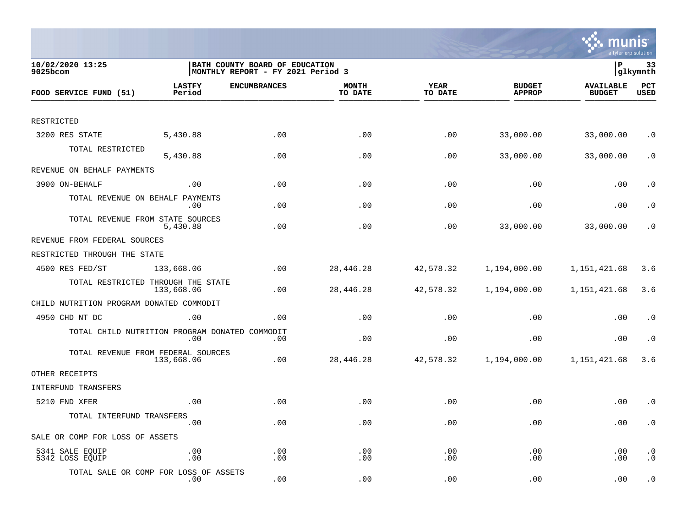

| 10/02/2020 13:25<br>9025bcom                   |                         | BATH COUNTY BOARD OF EDUCATION<br>MONTHLY REPORT - FY 2021 Period 3 |                         |                        |                                |                                   | 33<br> glkymnth        |  |
|------------------------------------------------|-------------------------|---------------------------------------------------------------------|-------------------------|------------------------|--------------------------------|-----------------------------------|------------------------|--|
| FOOD SERVICE FUND (51)                         | <b>LASTFY</b><br>Period | <b>ENCUMBRANCES</b>                                                 | <b>MONTH</b><br>TO DATE | <b>YEAR</b><br>TO DATE | <b>BUDGET</b><br><b>APPROP</b> | <b>AVAILABLE</b><br><b>BUDGET</b> | PCT<br>USED            |  |
|                                                |                         |                                                                     |                         |                        |                                |                                   |                        |  |
| RESTRICTED                                     |                         |                                                                     |                         |                        |                                |                                   |                        |  |
| 3200 RES STATE                                 | 5,430.88                | .00                                                                 | .00                     | .00                    | 33,000.00                      | 33,000.00                         | $\cdot$ 0              |  |
| TOTAL RESTRICTED                               | 5,430.88                | .00                                                                 | .00                     | .00                    | 33,000.00                      | 33,000.00                         | $\cdot$ 0              |  |
| REVENUE ON BEHALF PAYMENTS                     |                         |                                                                     |                         |                        |                                |                                   |                        |  |
| 3900 ON-BEHALF                                 | .00                     | .00                                                                 | .00                     | .00                    | .00                            | .00                               | . $\boldsymbol{0}$     |  |
| TOTAL REVENUE ON BEHALF PAYMENTS               | $.00 \,$                | .00                                                                 | .00                     | .00                    | .00                            | .00                               | $\cdot$ 0              |  |
| TOTAL REVENUE FROM STATE SOURCES               | 5,430.88                | .00                                                                 | .00                     | .00                    | 33,000.00                      | 33,000.00                         | $\cdot$ 0              |  |
| REVENUE FROM FEDERAL SOURCES                   |                         |                                                                     |                         |                        |                                |                                   |                        |  |
| RESTRICTED THROUGH THE STATE                   |                         |                                                                     |                         |                        |                                |                                   |                        |  |
| 4500 RES FED/ST                                | 133,668.06              | .00                                                                 | 28,446.28               | 42,578.32              | 1,194,000.00                   | 1,151,421.68                      | 3.6                    |  |
| TOTAL RESTRICTED THROUGH THE STATE             | 133,668.06              | .00                                                                 | 28,446.28               | 42,578.32              | 1,194,000.00                   | 1,151,421.68                      | 3.6                    |  |
| CHILD NUTRITION PROGRAM DONATED COMMODIT       |                         |                                                                     |                         |                        |                                |                                   |                        |  |
| 4950 CHD NT DC                                 | .00                     | .00                                                                 | .00                     | .00                    | .00                            | .00                               | $\cdot$ 0              |  |
| TOTAL CHILD NUTRITION PROGRAM DONATED COMMODIT | .00                     | .00                                                                 | .00                     | .00                    | .00                            | .00                               | $\cdot$ 0              |  |
| TOTAL REVENUE FROM FEDERAL SOURCES             | 133,668.06              | .00                                                                 | 28,446.28               | 42,578.32              | 1,194,000.00                   | 1,151,421.68                      | 3.6                    |  |
| OTHER RECEIPTS                                 |                         |                                                                     |                         |                        |                                |                                   |                        |  |
| <b>INTERFUND TRANSFERS</b>                     |                         |                                                                     |                         |                        |                                |                                   |                        |  |
| 5210 FND XFER                                  | .00                     | .00                                                                 | .00                     | .00                    | .00                            | .00                               | $\cdot$ 0              |  |
| TOTAL INTERFUND TRANSFERS                      | .00                     | .00                                                                 | .00                     | .00                    | .00                            | .00                               | $\cdot$ 0              |  |
| SALE OR COMP FOR LOSS OF ASSETS                |                         |                                                                     |                         |                        |                                |                                   |                        |  |
| 5341 SALE EQUIP<br>5342 LOSS EQUIP             | .00<br>.00              | .00<br>.00                                                          | .00<br>.00              | .00<br>.00             | .00<br>.00                     | .00<br>.00                        | $\cdot$ 0<br>$\cdot$ 0 |  |
| TOTAL SALE OR COMP FOR LOSS OF ASSETS          | $.00 \,$                | .00                                                                 | .00                     | .00                    | .00                            | .00                               | $\cdot$ 0              |  |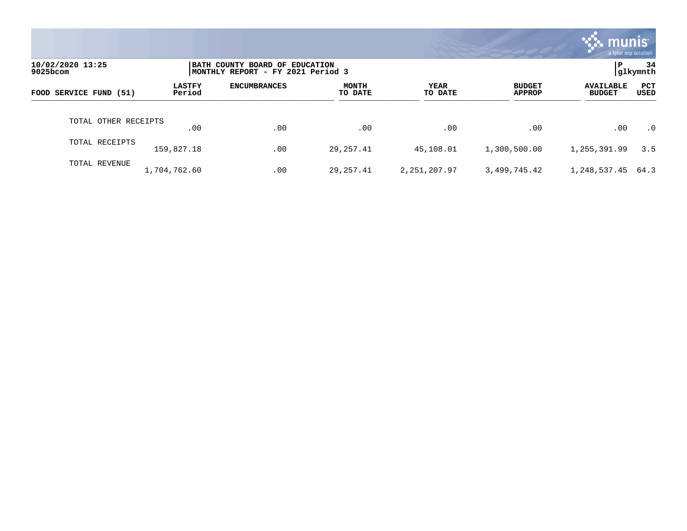|                              |                         |                                                                     |                  |                        |                                | munis \<br>a tyler erp solution   |                |
|------------------------------|-------------------------|---------------------------------------------------------------------|------------------|------------------------|--------------------------------|-----------------------------------|----------------|
| 10/02/2020 13:25<br>9025bcom |                         | BATH COUNTY BOARD OF EDUCATION<br>MONTHLY REPORT - FY 2021 Period 3 |                  |                        |                                | P                                 | 34<br>glkymnth |
| FOOD SERVICE FUND (51)       | <b>LASTFY</b><br>Period | <b>ENCUMBRANCES</b>                                                 | MONTH<br>TO DATE | <b>YEAR</b><br>TO DATE | <b>BUDGET</b><br><b>APPROP</b> | <b>AVAILABLE</b><br><b>BUDGET</b> | PCT<br>USED    |
| TOTAL OTHER RECEIPTS         | $.00 \,$                | .00                                                                 | .00              | .00                    | .00                            | .00                               | $\cdot$ 0      |
| TOTAL RECEIPTS               | 159,827.18              | .00                                                                 | 29,257.41        | 45,108.01              | 1,300,500.00                   | 1,255,391.99                      | 3.5            |
| TOTAL REVENUE                | 1,704,762.60            | .00                                                                 | 29,257.41        | 2, 251, 207.97         | 3,499,745.42                   | 1,248,537.45                      | 64.3           |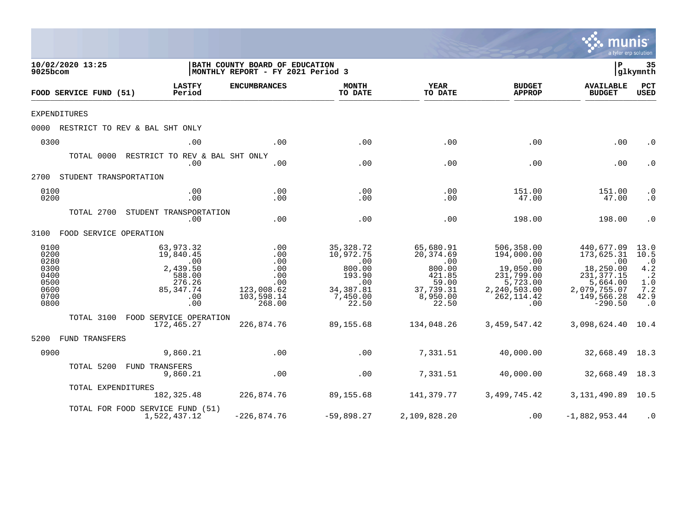|                                                                      |                                                                                                        |                                                                                  |                                                                                             |                                                                                              |                                                                                                              | a tyler erp solution                                                                                                     |                                                                                                     |
|----------------------------------------------------------------------|--------------------------------------------------------------------------------------------------------|----------------------------------------------------------------------------------|---------------------------------------------------------------------------------------------|----------------------------------------------------------------------------------------------|--------------------------------------------------------------------------------------------------------------|--------------------------------------------------------------------------------------------------------------------------|-----------------------------------------------------------------------------------------------------|
| 10/02/2020 13:25<br>9025bcom                                         |                                                                                                        | BATH COUNTY BOARD OF EDUCATION<br>MONTHLY REPORT - FY 2021 Period 3              |                                                                                             |                                                                                              |                                                                                                              | $\mathbf P$                                                                                                              | 35<br> glkymnth                                                                                     |
| FOOD SERVICE FUND (51)                                               | <b>LASTFY</b><br>Period                                                                                | <b>ENCUMBRANCES</b>                                                              | <b>MONTH</b><br>TO DATE                                                                     | <b>YEAR</b><br>TO DATE                                                                       | <b>BUDGET</b><br><b>APPROP</b>                                                                               | <b>AVAILABLE</b><br><b>BUDGET</b>                                                                                        | PCT<br><b>USED</b>                                                                                  |
| <b>EXPENDITURES</b>                                                  |                                                                                                        |                                                                                  |                                                                                             |                                                                                              |                                                                                                              |                                                                                                                          |                                                                                                     |
|                                                                      | 0000 RESTRICT TO REV & BAL SHT ONLY                                                                    |                                                                                  |                                                                                             |                                                                                              |                                                                                                              |                                                                                                                          |                                                                                                     |
| 0300                                                                 | .00                                                                                                    | .00                                                                              | .00                                                                                         | .00                                                                                          | .00                                                                                                          | .00                                                                                                                      | $\cdot$ 0                                                                                           |
|                                                                      | TOTAL 0000 RESTRICT TO REV & BAL SHT ONLY<br>.00                                                       | .00                                                                              | .00                                                                                         | .00                                                                                          | .00                                                                                                          | .00                                                                                                                      | $\cdot$ 0                                                                                           |
| 2700 STUDENT TRANSPORTATION                                          |                                                                                                        |                                                                                  |                                                                                             |                                                                                              |                                                                                                              |                                                                                                                          |                                                                                                     |
| 0100<br>0200                                                         | .00<br>.00                                                                                             | .00<br>.00                                                                       | .00<br>.00                                                                                  | .00<br>.00                                                                                   | 151.00<br>47.00                                                                                              | 151.00<br>47.00                                                                                                          | $\cdot$ 0<br>$\cdot$ 0                                                                              |
|                                                                      | TOTAL 2700 STUDENT TRANSPORTATION<br>.00                                                               | .00                                                                              | .00                                                                                         | .00                                                                                          | 198.00                                                                                                       | 198.00                                                                                                                   | $\cdot$ 0                                                                                           |
| 3100 FOOD SERVICE OPERATION                                          |                                                                                                        |                                                                                  |                                                                                             |                                                                                              |                                                                                                              |                                                                                                                          |                                                                                                     |
| 0100<br>0200<br>0280<br>0300<br>0400<br>0500<br>0600<br>0700<br>0800 | 63,973.32<br>19,840.45<br>$\overline{00}$<br>2,439.50<br>588.00<br>276.26<br>85, 347. 74<br>.00<br>.00 | $.00$<br>$.00$<br>.00<br>.00<br>.00<br>.00<br>123,008.62<br>103,598.14<br>268.00 | 35,328.72<br>10,972.75<br>.00<br>800.00<br>193.90<br>.00<br>34, 387.81<br>7,450.00<br>22.50 | 65,680.91<br>20,374.69<br>.00<br>800.00<br>421.85<br>59.00<br>37,739.31<br>8,950.00<br>22.50 | 506,358.00<br>194,000.00<br>.00<br>19,050.00<br>231,799.00<br>5,723.00<br>2,240,503.00<br>262, 114.42<br>.00 | 440,677.09<br>173,625.31<br>$\sim 00$<br>18,250.00<br>231, 377.15<br>5,664.00<br>2,079,755.07<br>149,566.28<br>$-290.50$ | 13.0<br>10.5<br>$\cdot$ 0<br>$4\,.2$<br>$\ddot{\phantom{0}}$ . 2<br>1.0<br>7.2<br>42.9<br>$\cdot$ 0 |
|                                                                      | TOTAL 3100 FOOD SERVICE OPERATION<br>172,465.27                                                        | 226,874.76                                                                       | 89,155.68                                                                                   | 134,048.26                                                                                   | 3,459,547.42                                                                                                 | 3,098,624.40 10.4                                                                                                        |                                                                                                     |
| 5200 FUND TRANSFERS                                                  |                                                                                                        |                                                                                  |                                                                                             |                                                                                              |                                                                                                              |                                                                                                                          |                                                                                                     |
| 0900                                                                 | 9,860.21                                                                                               | .00                                                                              | .00                                                                                         | 7,331.51                                                                                     | 40,000.00                                                                                                    | 32,668.49 18.3                                                                                                           |                                                                                                     |
|                                                                      | TOTAL 5200 FUND TRANSFERS<br>9,860.21                                                                  | .00                                                                              | .00                                                                                         | 7,331.51                                                                                     | 40,000.00                                                                                                    | 32,668.49 18.3                                                                                                           |                                                                                                     |
| TOTAL EXPENDITURES                                                   | 182,325.48                                                                                             | 226,874.76                                                                       | 89,155.68                                                                                   | 141,379.77                                                                                   |                                                                                                              | 3,499,745.42 3,131,490.89 10.5                                                                                           |                                                                                                     |
|                                                                      | TOTAL FOR FOOD SERVICE FUND (51)<br>1,522,437.12                                                       | $-226,874.76$                                                                    | -59,898.27                                                                                  | 2,109,828.20                                                                                 | .00                                                                                                          | $-1,882,953.44$                                                                                                          | $\cdot$ 0                                                                                           |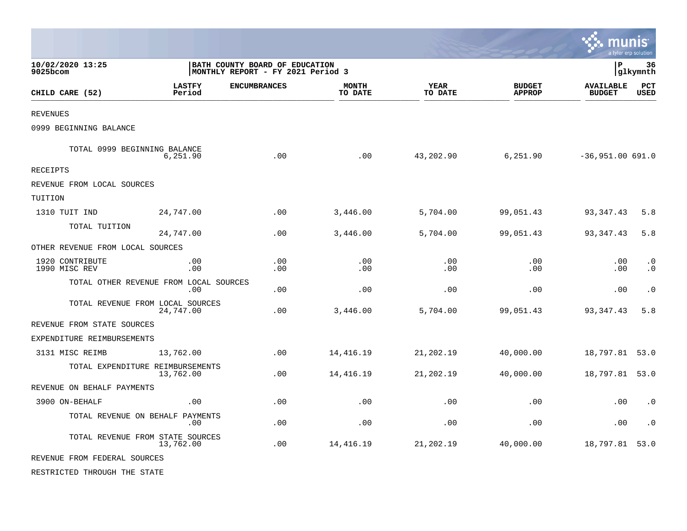|                                        |                         |                                                                     |                         |                 |                                | munis                             | a tyler erp solution   |
|----------------------------------------|-------------------------|---------------------------------------------------------------------|-------------------------|-----------------|--------------------------------|-----------------------------------|------------------------|
| 10/02/2020 13:25<br>9025bcom           |                         | BATH COUNTY BOARD OF EDUCATION<br>MONTHLY REPORT - FY 2021 Period 3 |                         |                 |                                | l P                               | 36<br> glkymnth        |
| CHILD CARE (52)                        | <b>LASTFY</b><br>Period | <b>ENCUMBRANCES</b>                                                 | <b>MONTH</b><br>TO DATE | YEAR<br>TO DATE | <b>BUDGET</b><br><b>APPROP</b> | <b>AVAILABLE</b><br><b>BUDGET</b> | PCT<br><b>USED</b>     |
| <b>REVENUES</b>                        |                         |                                                                     |                         |                 |                                |                                   |                        |
| 0999 BEGINNING BALANCE                 |                         |                                                                     |                         |                 |                                |                                   |                        |
| TOTAL 0999 BEGINNING BALANCE           | 6,251.90                | .00                                                                 | .00                     | 43,202.90       | 6,251.90                       | $-36,951.00 691.0$                |                        |
| <b>RECEIPTS</b>                        |                         |                                                                     |                         |                 |                                |                                   |                        |
| REVENUE FROM LOCAL SOURCES             |                         |                                                                     |                         |                 |                                |                                   |                        |
| TUITION                                |                         |                                                                     |                         |                 |                                |                                   |                        |
| 1310 TUIT IND                          | 24,747.00               | .00                                                                 | 3,446.00                | 5,704.00        | 99,051.43                      | 93, 347. 43                       | 5.8                    |
| TOTAL TUITION                          | 24,747.00               | .00                                                                 | 3,446.00                | 5,704.00        | 99,051.43                      | 93,347.43                         | 5.8                    |
| OTHER REVENUE FROM LOCAL SOURCES       |                         |                                                                     |                         |                 |                                |                                   |                        |
| 1920 CONTRIBUTE<br>1990 MISC REV       | .00<br>.00              | .00<br>.00                                                          | .00<br>.00              | .00<br>.00      | .00<br>.00                     | .00<br>.00                        | $\cdot$ 0<br>$\cdot$ 0 |
| TOTAL OTHER REVENUE FROM LOCAL SOURCES | .00                     | .00                                                                 | .00                     | .00             | .00                            | .00                               | $\cdot$ 0              |
| TOTAL REVENUE FROM LOCAL SOURCES       | 24,747.00               | .00                                                                 | 3,446.00                | 5,704.00        | 99,051.43                      | 93, 347. 43                       | 5.8                    |
| REVENUE FROM STATE SOURCES             |                         |                                                                     |                         |                 |                                |                                   |                        |
| EXPENDITURE REIMBURSEMENTS             |                         |                                                                     |                         |                 |                                |                                   |                        |
| 3131 MISC REIMB                        | 13,762.00               | .00                                                                 | 14,416.19               | 21,202.19       | 40,000.00                      | 18,797.81 53.0                    |                        |
| TOTAL EXPENDITURE REIMBURSEMENTS       | 13,762.00               | .00                                                                 | 14, 416.19              | 21,202.19       | 40,000.00                      | 18,797.81 53.0                    |                        |
| REVENUE ON BEHALF PAYMENTS             |                         |                                                                     |                         |                 |                                |                                   |                        |
| 3900 ON-BEHALF                         | .00                     | .00                                                                 | .00                     | .00             | .00                            | .00                               | $\cdot$ 0              |
| TOTAL REVENUE ON BEHALF PAYMENTS       | .00                     | .00                                                                 | .00                     | .00             | .00                            | .00                               | $\cdot$ 0              |
| TOTAL REVENUE FROM STATE SOURCES       | 13,762.00               | .00                                                                 | 14, 416.19              | 21,202.19       | 40,000.00                      | 18,797.81 53.0                    |                        |
| REVENUE FROM FEDERAL SOURCES           |                         |                                                                     |                         |                 |                                |                                   |                        |
| RESTRICTED THROUGH THE STATE           |                         |                                                                     |                         |                 |                                |                                   |                        |

 $\bullet$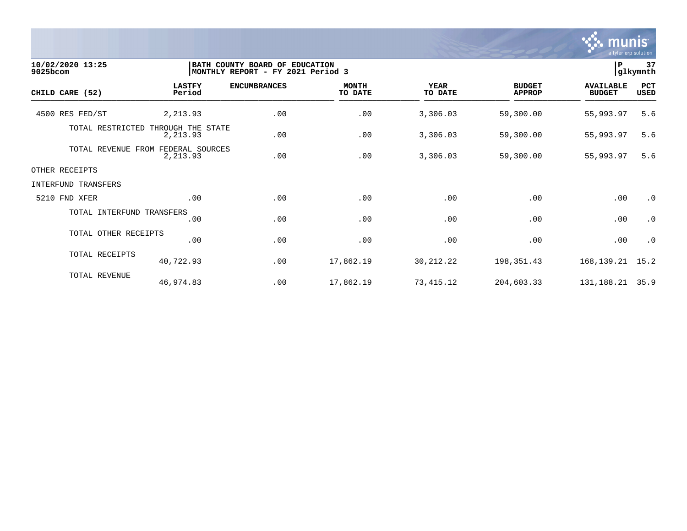

| 10/02/2020 13:25<br>9025bcom | BATH COUNTY BOARD OF<br><b>EDUCATION</b><br>MONTHLY REPORT - FY 2021 Period 3 |                     |                         |                        |                                |                                   | 37<br>glkymnth     |
|------------------------------|-------------------------------------------------------------------------------|---------------------|-------------------------|------------------------|--------------------------------|-----------------------------------|--------------------|
| CHILD CARE (52)              | <b>LASTFY</b><br>Period                                                       | <b>ENCUMBRANCES</b> | <b>MONTH</b><br>TO DATE | <b>YEAR</b><br>TO DATE | <b>BUDGET</b><br><b>APPROP</b> | <b>AVAILABLE</b><br><b>BUDGET</b> | PCT<br><b>USED</b> |
| 4500 RES FED/ST              | 2,213.93                                                                      | .00                 | .00                     | 3,306.03               | 59,300.00                      | 55,993.97                         | 5.6                |
| TOTAL RESTRICTED             | THROUGH THE STATE<br>2,213.93                                                 | .00                 | .00                     | 3,306.03               | 59,300.00                      | 55,993.97                         | 5.6                |
| TOTAL REVENUE                | FROM<br>FEDERAL SOURCES<br>2,213.93                                           | .00                 | .00                     | 3,306.03               | 59,300.00                      | 55,993.97                         | 5.6                |
| OTHER RECEIPTS               |                                                                               |                     |                         |                        |                                |                                   |                    |
| INTERFUND TRANSFERS          |                                                                               |                     |                         |                        |                                |                                   |                    |
| 5210 FND XFER                | .00                                                                           | .00                 | .00                     | .00                    | .00                            | .00                               | $\cdot$ 0          |
| TOTAL INTERFUND TRANSFERS    | .00                                                                           | .00                 | .00                     | .00                    | .00                            | .00                               | $\cdot$ 0          |
| TOTAL OTHER RECEIPTS         | .00                                                                           | .00                 | .00                     | .00                    | .00                            | .00                               | $\cdot$ 0          |
| TOTAL RECEIPTS               | 40,722.93                                                                     | .00                 | 17,862.19               | 30,212.22              | 198,351.43                     | 168,139.21                        | 15.2               |
| TOTAL REVENUE                | 46,974.83                                                                     | .00                 | 17,862.19               | 73,415.12              | 204,603.33                     | 131,188.21                        | 35.9               |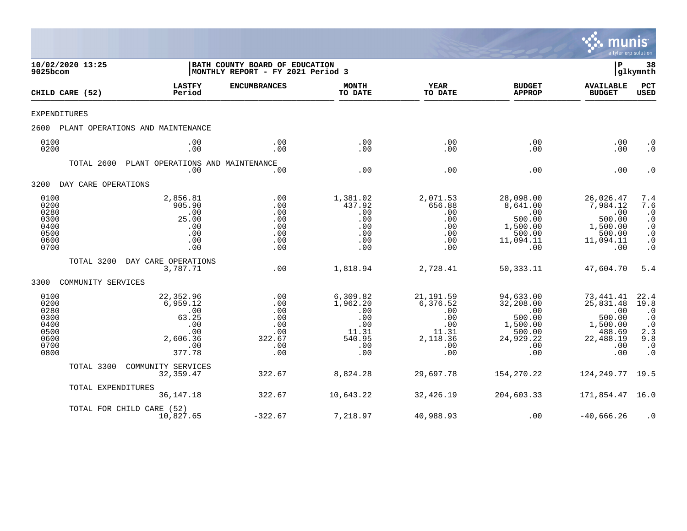

| 10/02/2020 13:25<br>9025bcom                                         |                     |                                                                                  | BATH COUNTY BOARD OF EDUCATION<br>MONTHLY REPORT - FY 2021 Period 3 |                                                                            |                                                                                |                                                                                          | P                                                                                         | 38<br> glkymnth                                                                             |
|----------------------------------------------------------------------|---------------------|----------------------------------------------------------------------------------|---------------------------------------------------------------------|----------------------------------------------------------------------------|--------------------------------------------------------------------------------|------------------------------------------------------------------------------------------|-------------------------------------------------------------------------------------------|---------------------------------------------------------------------------------------------|
|                                                                      | CHILD CARE (52)     | <b>LASTFY</b><br>Period                                                          | <b>ENCUMBRANCES</b>                                                 | <b>MONTH</b><br>TO DATE                                                    | <b>YEAR</b><br>TO DATE                                                         | <b>BUDGET</b><br><b>APPROP</b>                                                           | <b>AVAILABLE</b><br><b>BUDGET</b>                                                         | PCT<br>USED                                                                                 |
| EXPENDITURES                                                         |                     |                                                                                  |                                                                     |                                                                            |                                                                                |                                                                                          |                                                                                           |                                                                                             |
| 2600                                                                 |                     | PLANT OPERATIONS AND MAINTENANCE                                                 |                                                                     |                                                                            |                                                                                |                                                                                          |                                                                                           |                                                                                             |
| 0100<br>0200                                                         |                     | .00<br>.00                                                                       | .00<br>.00                                                          | .00<br>.00                                                                 | .00<br>.00                                                                     | .00<br>.00                                                                               | .00<br>.00                                                                                | $\cdot$ 0<br>$\cdot$ 0                                                                      |
|                                                                      | TOTAL 2600          | PLANT OPERATIONS AND MAINTENANCE<br>.00                                          | .00                                                                 | .00                                                                        | .00                                                                            | .00                                                                                      | .00                                                                                       | $\cdot$ 0                                                                                   |
| 3200                                                                 | DAY CARE OPERATIONS |                                                                                  |                                                                     |                                                                            |                                                                                |                                                                                          |                                                                                           |                                                                                             |
| 0100<br>0200<br>0280<br>0300<br>0400<br>0500<br>0600<br>0700         |                     | 2,856.81<br>905.90<br>.00<br>25.00<br>.00<br>.00<br>.00<br>.00                   | .00<br>.00<br>.00<br>.00<br>.00<br>.00<br>.00<br>.00                | 1,381.02<br>437.92<br>.00<br>.00<br>.00<br>.00<br>.00<br>.00               | 2,071.53<br>656.88<br>.00<br>.00<br>.00<br>.00<br>.00<br>.00                   | 28,098.00<br>8,641.00<br>.00<br>500.00<br>1,500.00<br>500.00<br>11,094.11<br>.00         | 26,026.47<br>7,984.12<br>.00<br>500.00<br>1,500.00<br>500.00<br>11,094.11<br>.00          | 7.4<br>7.6<br>$\cdot$ 0<br>$\cdot$ 0<br>$\cdot$ 0<br>$\cdot$ 0<br>$\cdot$ 0<br>$\cdot$ 0    |
|                                                                      | TOTAL 3200          | DAY CARE OPERATIONS<br>3,787.71                                                  | .00                                                                 | 1,818.94                                                                   | 2,728.41                                                                       | 50, 333. 11                                                                              | 47,604.70                                                                                 | 5.4                                                                                         |
| 3300                                                                 | COMMUNITY SERVICES  |                                                                                  |                                                                     |                                                                            |                                                                                |                                                                                          |                                                                                           |                                                                                             |
| 0100<br>0200<br>0280<br>0300<br>0400<br>0500<br>0600<br>0700<br>0800 |                     | 22,352.96<br>6,959.12<br>.00<br>63.25<br>.00<br>.00<br>2,606.36<br>.00<br>377.78 | .00<br>.00<br>.00<br>.00<br>.00<br>.00<br>322.67<br>.00<br>.00      | 6,309.82<br>1,962.20<br>.00<br>.00<br>.00<br>11.31<br>540.95<br>.00<br>.00 | 21, 191.59<br>6,376.52<br>.00<br>.00<br>.00<br>11.31<br>2,118.36<br>.00<br>.00 | 94,633.00<br>32,208.00<br>.00<br>500.00<br>1,500.00<br>500.00<br>24,929.22<br>.00<br>.00 | 73, 441.41<br>25,831.48<br>.00<br>500.00<br>1,500.00<br>488.69<br>22,488.19<br>.00<br>.00 | 22.4<br>19.8<br>$\cdot$ 0<br>$\cdot$ 0<br>$\cdot$ 0<br>2.3<br>9.8<br>$\cdot$ 0<br>$\cdot$ 0 |
|                                                                      | TOTAL 3300          | COMMUNITY SERVICES<br>32,359.47                                                  | 322.67                                                              | 8,824.28                                                                   | 29,697.78                                                                      | 154, 270. 22                                                                             | 124,249.77                                                                                | 19.5                                                                                        |
|                                                                      | TOTAL EXPENDITURES  | 36, 147. 18                                                                      | 322.67                                                              | 10,643.22                                                                  | 32,426.19                                                                      | 204,603.33                                                                               | 171,854.47                                                                                | 16.0                                                                                        |
|                                                                      |                     | TOTAL FOR CHILD CARE (52)<br>10,827.65                                           | $-322.67$                                                           | 7,218.97                                                                   | 40,988.93                                                                      | .00                                                                                      | $-40,666.26$                                                                              | $\cdot$ 0                                                                                   |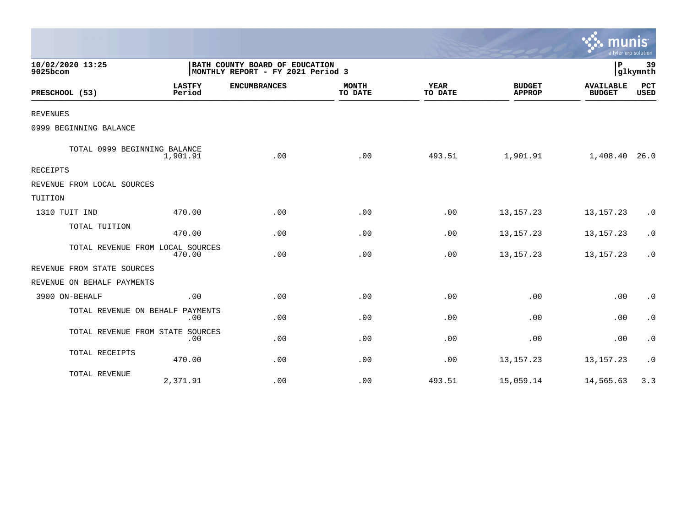|                                  |                         |                                                                     |                         |                        |                                | $\sim$ munis<br>a tyler erp solution |                             |
|----------------------------------|-------------------------|---------------------------------------------------------------------|-------------------------|------------------------|--------------------------------|--------------------------------------|-----------------------------|
| 10/02/2020 13:25<br>9025bcom     |                         | BATH COUNTY BOARD OF EDUCATION<br>MONTHLY REPORT - FY 2021 Period 3 |                         |                        |                                | P                                    | 39<br>glkymnth              |
| PRESCHOOL (53)                   | <b>LASTFY</b><br>Period | <b>ENCUMBRANCES</b>                                                 | <b>MONTH</b><br>TO DATE | <b>YEAR</b><br>TO DATE | <b>BUDGET</b><br><b>APPROP</b> | <b>AVAILABLE</b><br><b>BUDGET</b>    | $_{\rm PCT}$<br><b>USED</b> |
| <b>REVENUES</b>                  |                         |                                                                     |                         |                        |                                |                                      |                             |
| 0999 BEGINNING BALANCE           |                         |                                                                     |                         |                        |                                |                                      |                             |
| TOTAL 0999 BEGINNING BALANCE     | 1,901.91                | .00                                                                 | .00                     | 493.51                 | 1,901.91                       | 1,408.40                             | 26.0                        |
| RECEIPTS                         |                         |                                                                     |                         |                        |                                |                                      |                             |
| REVENUE FROM LOCAL SOURCES       |                         |                                                                     |                         |                        |                                |                                      |                             |
| TUITION                          |                         |                                                                     |                         |                        |                                |                                      |                             |
| 1310 TUIT IND                    | 470.00                  | .00                                                                 | .00                     | .00                    | 13, 157. 23                    | 13, 157. 23                          | $\cdot$ 0                   |
| TOTAL TUITION                    | 470.00                  | .00                                                                 | .00                     | .00                    | 13, 157. 23                    | 13, 157. 23                          | $\cdot$ 0                   |
| TOTAL REVENUE FROM LOCAL SOURCES | 470.00                  | .00                                                                 | .00                     | .00                    | 13, 157. 23                    | 13, 157. 23                          | $\cdot$ 0                   |
| REVENUE FROM STATE SOURCES       |                         |                                                                     |                         |                        |                                |                                      |                             |
| REVENUE ON BEHALF PAYMENTS       |                         |                                                                     |                         |                        |                                |                                      |                             |
| 3900 ON-BEHALF                   | .00                     | .00                                                                 | .00                     | .00                    | .00                            | .00                                  | $\cdot$ 0                   |
| TOTAL REVENUE ON BEHALF          | PAYMENTS<br>.00         | .00                                                                 | .00                     | .00                    | .00                            | .00                                  | $\cdot$ 0                   |
| TOTAL REVENUE FROM STATE         | SOURCES<br>.00          | .00                                                                 | .00                     | .00                    | .00                            | .00                                  | $\cdot$ 0                   |
| TOTAL RECEIPTS                   | 470.00                  | .00                                                                 | .00                     | .00                    | 13, 157. 23                    | 13, 157. 23                          | $\cdot$ 0                   |
| TOTAL REVENUE                    | 2,371.91                | .00                                                                 | .00                     | 493.51                 | 15,059.14                      | 14,565.63                            | 3.3                         |

 $\sim$   $\sim$   $\sim$   $\sim$   $\sim$   $\sim$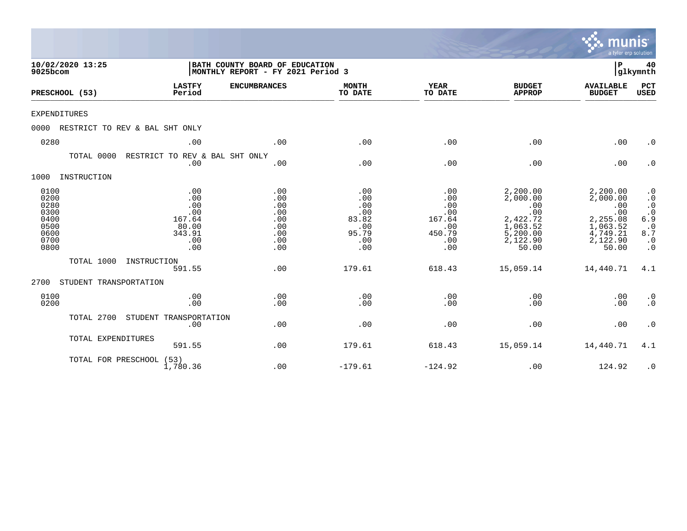|                                                                      |                                |                                                                     |                                                                     |                                                                 |                                                                   |                                                                                             | munis<br>a tyler erp solution                                                               |                                                                                                              |
|----------------------------------------------------------------------|--------------------------------|---------------------------------------------------------------------|---------------------------------------------------------------------|-----------------------------------------------------------------|-------------------------------------------------------------------|---------------------------------------------------------------------------------------------|---------------------------------------------------------------------------------------------|--------------------------------------------------------------------------------------------------------------|
| 9025bcom                                                             | 10/02/2020 13:25               |                                                                     | BATH COUNTY BOARD OF EDUCATION<br>MONTHLY REPORT - FY 2021 Period 3 |                                                                 |                                                                   |                                                                                             | P                                                                                           | 40<br> glkymnth                                                                                              |
| PRESCHOOL (53)                                                       |                                | <b>LASTFY</b><br>Period                                             | <b>ENCUMBRANCES</b>                                                 | <b>MONTH</b><br>TO DATE                                         | <b>YEAR</b><br>TO DATE                                            | <b>BUDGET</b><br><b>APPROP</b>                                                              | <b>AVAILABLE</b><br><b>BUDGET</b>                                                           | PCT<br><b>USED</b>                                                                                           |
| <b>EXPENDITURES</b>                                                  |                                |                                                                     |                                                                     |                                                                 |                                                                   |                                                                                             |                                                                                             |                                                                                                              |
| 0000                                                                 | RESTRICT TO REV & BAL SHT ONLY |                                                                     |                                                                     |                                                                 |                                                                   |                                                                                             |                                                                                             |                                                                                                              |
| 0280                                                                 |                                | .00                                                                 | .00                                                                 | .00                                                             | .00                                                               | .00                                                                                         | .00                                                                                         | $\cdot$ 0                                                                                                    |
|                                                                      | TOTAL 0000                     | RESTRICT TO REV & BAL SHT ONLY<br>.00                               | .00                                                                 | .00                                                             | .00                                                               | .00                                                                                         | .00                                                                                         | $\cdot$ 0                                                                                                    |
| 1000                                                                 | INSTRUCTION                    |                                                                     |                                                                     |                                                                 |                                                                   |                                                                                             |                                                                                             |                                                                                                              |
| 0100<br>0200<br>0280<br>0300<br>0400<br>0500<br>0600<br>0700<br>0800 |                                | .00<br>.00<br>.00<br>.00<br>167.64<br>80.00<br>343.91<br>.00<br>.00 | .00<br>.00<br>.00<br>.00<br>.00<br>.00<br>.00<br>.00<br>.00         | .00<br>.00<br>.00<br>.00<br>83.82<br>.00<br>95.79<br>.00<br>.00 | .00<br>.00<br>.00<br>.00<br>167.64<br>.00<br>450.79<br>.00<br>.00 | 2,200.00<br>2,000.00<br>.00<br>.00<br>2,422.72<br>1,063.52<br>5,200.00<br>2,122.90<br>50.00 | 2,200.00<br>2,000.00<br>.00<br>.00<br>2,255.08<br>1,063.52<br>4,749.21<br>2,122.90<br>50.00 | $\cdot$ 0<br>$\cdot$ 0<br>$\cdot$ 0<br>$\cdot$ 0<br>6.9<br>$\ddot{\cdot}$ 0<br>8.7<br>$\cdot$ 0<br>$\cdot$ 0 |
|                                                                      | TOTAL 1000                     | INSTRUCTION<br>591.55                                               | .00                                                                 | 179.61                                                          | 618.43                                                            | 15,059.14                                                                                   | 14,440.71                                                                                   | 4.1                                                                                                          |
| 2700                                                                 | STUDENT TRANSPORTATION         |                                                                     |                                                                     |                                                                 |                                                                   |                                                                                             |                                                                                             |                                                                                                              |
| 0100<br>0200                                                         |                                | .00<br>.00                                                          | .00<br>.00                                                          | .00<br>.00                                                      | .00<br>.00                                                        | .00<br>.00                                                                                  | .00<br>.00                                                                                  | $\cdot$ 0<br>$\cdot$ 0                                                                                       |
|                                                                      | TOTAL 2700                     | STUDENT TRANSPORTATION<br>.00                                       | .00                                                                 | .00                                                             | .00                                                               | .00                                                                                         | .00                                                                                         | $\cdot$ 0                                                                                                    |
|                                                                      | TOTAL EXPENDITURES             | 591.55                                                              | .00                                                                 | 179.61                                                          | 618.43                                                            | 15,059.14                                                                                   | 14,440.71                                                                                   | 4.1                                                                                                          |
|                                                                      | TOTAL FOR PRESCHOOL (53)       | 1,780.36                                                            | .00                                                                 | $-179.61$                                                       | $-124.92$                                                         | .00                                                                                         | 124.92                                                                                      | $\cdot$ 0                                                                                                    |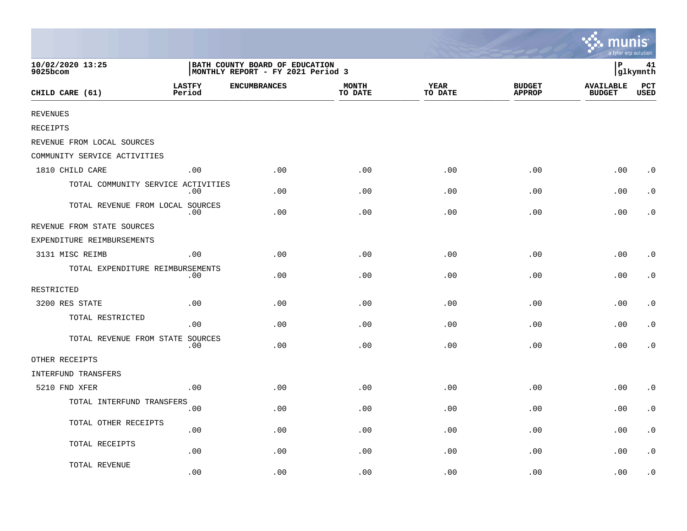|                                    |                         |                                                                     |                         |                        |                                | <b>A.</b> munis<br>a tyler erp solution |                    |
|------------------------------------|-------------------------|---------------------------------------------------------------------|-------------------------|------------------------|--------------------------------|-----------------------------------------|--------------------|
| 10/02/2020 13:25<br>9025bcom       |                         | BATH COUNTY BOARD OF EDUCATION<br>MONTHLY REPORT - FY 2021 Period 3 |                         |                        |                                | İР                                      | 41<br>glkymnth     |
| CHILD CARE (61)                    | <b>LASTFY</b><br>Period | <b>ENCUMBRANCES</b>                                                 | <b>MONTH</b><br>TO DATE | <b>YEAR</b><br>TO DATE | <b>BUDGET</b><br><b>APPROP</b> | <b>AVAILABLE</b><br><b>BUDGET</b>       | PCT<br><b>USED</b> |
| <b>REVENUES</b>                    |                         |                                                                     |                         |                        |                                |                                         |                    |
| RECEIPTS                           |                         |                                                                     |                         |                        |                                |                                         |                    |
| REVENUE FROM LOCAL SOURCES         |                         |                                                                     |                         |                        |                                |                                         |                    |
| COMMUNITY SERVICE ACTIVITIES       |                         |                                                                     |                         |                        |                                |                                         |                    |
| 1810 CHILD CARE                    | .00                     | .00                                                                 | .00                     | .00                    | .00                            | .00                                     | $\cdot$ 0          |
| TOTAL COMMUNITY SERVICE ACTIVITIES | $.00 \,$                | .00.                                                                | .00                     | .00                    | .00                            | .00                                     | $\cdot$ 0          |
| TOTAL REVENUE FROM LOCAL SOURCES   | .00                     | .00                                                                 | .00                     | .00                    | .00                            | .00                                     | . 0                |
| REVENUE FROM STATE SOURCES         |                         |                                                                     |                         |                        |                                |                                         |                    |
| EXPENDITURE REIMBURSEMENTS         |                         |                                                                     |                         |                        |                                |                                         |                    |
| 3131 MISC REIMB                    | .00                     | .00                                                                 | .00                     | .00                    | .00                            | .00                                     | $\cdot$ 0          |
| TOTAL EXPENDITURE REIMBURSEMENTS   | .00                     | .00                                                                 | .00                     | .00                    | .00                            | .00                                     | $\cdot$ 0          |
| RESTRICTED                         |                         |                                                                     |                         |                        |                                |                                         |                    |
| 3200 RES STATE                     | .00                     | .00.                                                                | .00                     | .00                    | .00                            | .00                                     | $\cdot$ 0          |
| TOTAL RESTRICTED                   | .00                     | .00                                                                 | .00                     | .00                    | .00                            | .00                                     | $\cdot$ 0          |
| TOTAL REVENUE FROM STATE SOURCES   | $.00 \,$                | .00                                                                 | .00                     | .00                    | .00                            | .00                                     | $\cdot$ 0          |
| OTHER RECEIPTS                     |                         |                                                                     |                         |                        |                                |                                         |                    |
| INTERFUND TRANSFERS                |                         |                                                                     |                         |                        |                                |                                         |                    |
| 5210 FND XFER                      | .00                     | .00                                                                 | .00                     | .00                    | .00                            | .00                                     | $\cdot$ 0          |
| TOTAL INTERFUND TRANSFERS          | .00                     | .00                                                                 | .00                     | .00                    | .00                            | .00                                     | $\cdot$ 0          |
| TOTAL OTHER RECEIPTS               | .00                     | .00                                                                 | .00                     | .00                    | .00                            | .00                                     | $\cdot$ 0          |
| TOTAL RECEIPTS                     | .00                     | .00                                                                 | .00                     | .00                    | .00                            | .00                                     | $\cdot$ 0          |
| TOTAL REVENUE                      | .00                     | .00                                                                 | .00                     | .00                    | .00                            | .00                                     | $\cdot$ 0          |

the contract of the contract of the contract of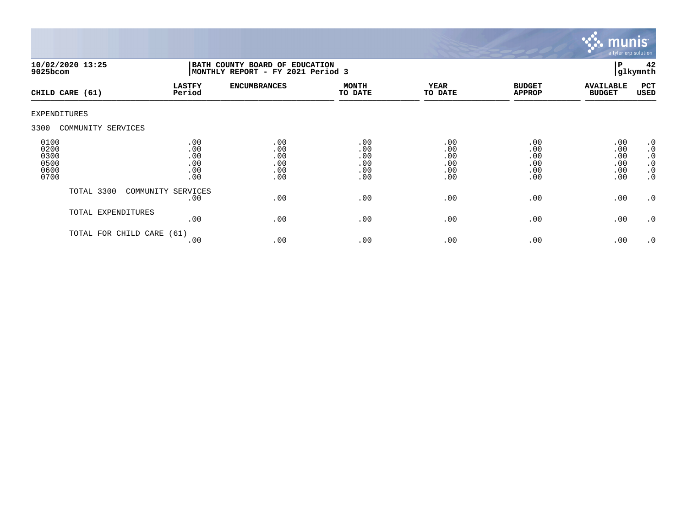

|                                              | 10/02/2020 13:25<br>$9025$ bcom |                                        | BATH COUNTY BOARD OF EDUCATION<br>MONTHLY REPORT - FY 2021 Period 3 |                                        |                                        |                                        |                                        | 42<br>glkymnth                                                                          |
|----------------------------------------------|---------------------------------|----------------------------------------|---------------------------------------------------------------------|----------------------------------------|----------------------------------------|----------------------------------------|----------------------------------------|-----------------------------------------------------------------------------------------|
|                                              | CHILD CARE (61)                 | <b>LASTFY</b><br>Period                | <b>ENCUMBRANCES</b>                                                 | <b>MONTH</b><br>TO DATE                | <b>YEAR</b><br>TO DATE                 | <b>BUDGET</b><br><b>APPROP</b>         | <b>AVAILABLE</b><br><b>BUDGET</b>      | PCT<br>USED                                                                             |
| EXPENDITURES                                 |                                 |                                        |                                                                     |                                        |                                        |                                        |                                        |                                                                                         |
| 3300                                         | COMMUNITY SERVICES              |                                        |                                                                     |                                        |                                        |                                        |                                        |                                                                                         |
| 0100<br>0200<br>0300<br>0500<br>0600<br>0700 |                                 | .00<br>.00<br>.00<br>.00<br>.00<br>.00 | .00<br>.00<br>.00<br>.00<br>.00<br>.00                              | .00<br>.00<br>.00<br>.00<br>.00<br>.00 | .00<br>.00<br>.00<br>.00<br>.00<br>.00 | .00<br>.00<br>.00<br>.00<br>.00<br>.00 | .00<br>.00<br>.00<br>.00<br>.00<br>.00 | $\cdot$ 0<br>$\boldsymbol{\cdot}$ 0<br>$\cdot$ 0<br>$\cdot$ 0<br>$\cdot$ 0<br>$\cdot$ 0 |
|                                              | TOTAL 3300                      | COMMUNITY SERVICES<br>.00              | .00                                                                 | .00                                    | .00                                    | .00                                    | .00                                    | $\cdot$ 0                                                                               |
|                                              | TOTAL EXPENDITURES              | .00                                    | .00                                                                 | .00                                    | .00                                    | .00                                    | .00                                    | $\cdot$ 0                                                                               |
|                                              | TOTAL FOR CHILD CARE            | (61)<br>.00                            | .00                                                                 | .00                                    | .00                                    | .00                                    | .00                                    | $\cdot$ 0                                                                               |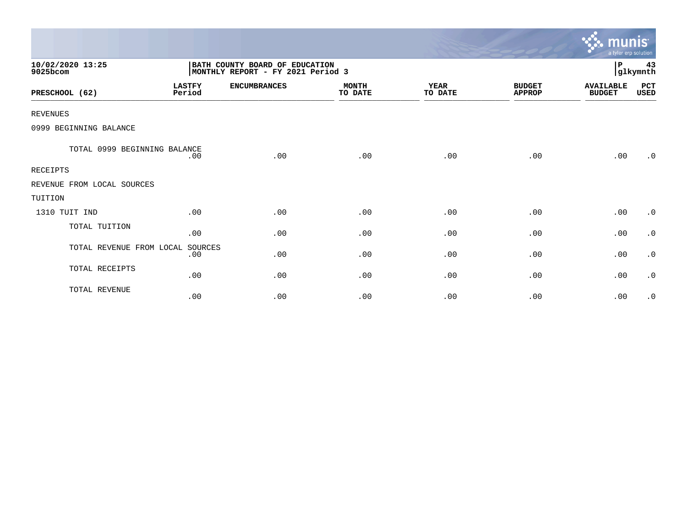|                              |                         |                                                                     |                         |                        |                                | munis<br>a tyler erp solution     |                |
|------------------------------|-------------------------|---------------------------------------------------------------------|-------------------------|------------------------|--------------------------------|-----------------------------------|----------------|
| 10/02/2020 13:25<br>9025bcom |                         | BATH COUNTY BOARD OF EDUCATION<br>MONTHLY REPORT - FY 2021 Period 3 |                         |                        |                                | $\, {\bf P}$                      | 43<br>glkymnth |
| PRESCHOOL (62)               | <b>LASTFY</b><br>Period | <b>ENCUMBRANCES</b>                                                 | <b>MONTH</b><br>TO DATE | <b>YEAR</b><br>TO DATE | <b>BUDGET</b><br><b>APPROP</b> | <b>AVAILABLE</b><br><b>BUDGET</b> | PCT<br>USED    |
| <b>REVENUES</b>              |                         |                                                                     |                         |                        |                                |                                   |                |
| 0999 BEGINNING BALANCE       |                         |                                                                     |                         |                        |                                |                                   |                |
| TOTAL 0999 BEGINNING BALANCE | .00                     | .00                                                                 | .00                     | .00                    | .00                            | .00                               | $\cdot$ 0      |
| <b>RECEIPTS</b>              |                         |                                                                     |                         |                        |                                |                                   |                |
| REVENUE FROM LOCAL SOURCES   |                         |                                                                     |                         |                        |                                |                                   |                |
| TUITION                      |                         |                                                                     |                         |                        |                                |                                   |                |
| 1310 TUIT IND                | .00                     | .00                                                                 | .00                     | .00                    | .00                            | .00                               | $\cdot$ 0      |
| TOTAL TUITION                | .00                     | .00                                                                 | .00                     | .00                    | .00                            | .00                               | $\cdot$ 0      |
| TOTAL REVENUE FROM LOCAL     | SOURCES<br>.00          | .00                                                                 | .00                     | .00                    | .00                            | .00                               | $\cdot$ 0      |
| TOTAL RECEIPTS               | .00                     | .00                                                                 | .00                     | .00                    | .00                            | .00                               | $\cdot$ 0      |
| TOTAL REVENUE                | .00                     | .00                                                                 | .00                     | .00                    | .00                            | .00                               | $\cdot$ 0      |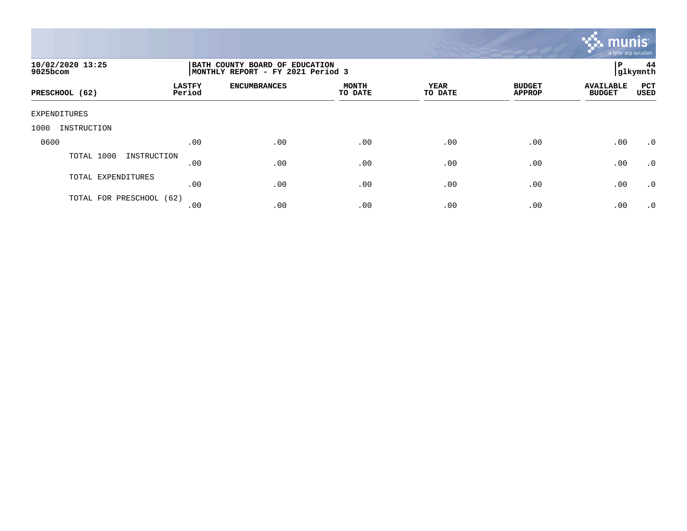

| 10/02/2020 13:25<br>9025bcom |                         | BATH COUNTY BOARD OF EDUCATION<br> MONTHLY REPORT - FY 2021 Period 3 |                         |                 |                                |                                   |             |  |
|------------------------------|-------------------------|----------------------------------------------------------------------|-------------------------|-----------------|--------------------------------|-----------------------------------|-------------|--|
| PRESCHOOL (62)               | <b>LASTFY</b><br>Period | <b>ENCUMBRANCES</b>                                                  | <b>MONTH</b><br>TO DATE | YEAR<br>TO DATE | <b>BUDGET</b><br><b>APPROP</b> | <b>AVAILABLE</b><br><b>BUDGET</b> | PCT<br>USED |  |
| EXPENDITURES                 |                         |                                                                      |                         |                 |                                |                                   |             |  |
| 1000<br>INSTRUCTION          |                         |                                                                      |                         |                 |                                |                                   |             |  |
| 0600                         | .00                     | .00                                                                  | .00                     | .00             | .00                            | .00                               | $\cdot$ 0   |  |
| TOTAL 1000<br>INSTRUCTION    | .00                     | .00                                                                  | .00                     | .00             | .00                            | .00                               | $\cdot$ 0   |  |
| TOTAL EXPENDITURES           | .00                     | .00                                                                  | .00                     | .00             | .00                            | .00                               | $\cdot$ 0   |  |
| TOTAL FOR PRESCHOOL (62)     | .00                     | .00                                                                  | .00                     | .00             | .00                            | .00                               | .0          |  |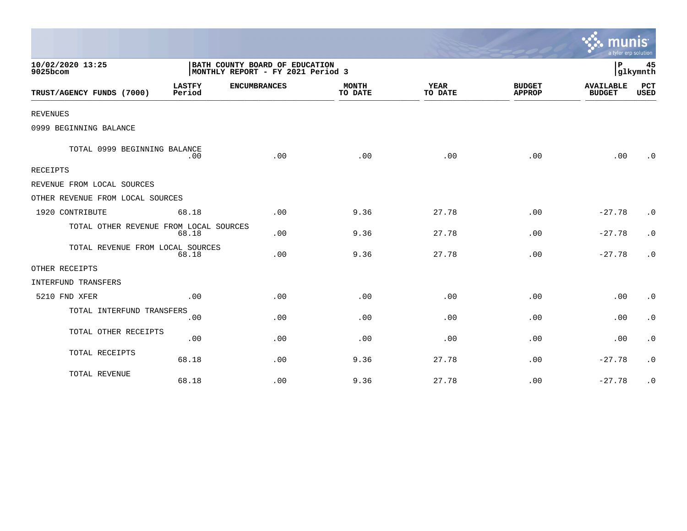|                                        |                         |                                                                     |                         |                        |                                | a tyler erp solution              |             |
|----------------------------------------|-------------------------|---------------------------------------------------------------------|-------------------------|------------------------|--------------------------------|-----------------------------------|-------------|
| 10/02/2020 13:25<br>9025bcom           |                         | BATH COUNTY BOARD OF EDUCATION<br>MONTHLY REPORT - FY 2021 Period 3 |                         |                        |                                |                                   |             |
| TRUST/AGENCY FUNDS (7000)              | <b>LASTFY</b><br>Period | <b>ENCUMBRANCES</b>                                                 | <b>MONTH</b><br>TO DATE | <b>YEAR</b><br>TO DATE | <b>BUDGET</b><br><b>APPROP</b> | <b>AVAILABLE</b><br><b>BUDGET</b> | PCT<br>USED |
| <b>REVENUES</b>                        |                         |                                                                     |                         |                        |                                |                                   |             |
| 0999 BEGINNING BALANCE                 |                         |                                                                     |                         |                        |                                |                                   |             |
| TOTAL 0999 BEGINNING BALANCE           | .00                     | .00                                                                 | .00                     | .00                    | .00                            | .00                               | $\cdot$ 0   |
| RECEIPTS                               |                         |                                                                     |                         |                        |                                |                                   |             |
| REVENUE FROM LOCAL SOURCES             |                         |                                                                     |                         |                        |                                |                                   |             |
| OTHER REVENUE FROM LOCAL SOURCES       |                         |                                                                     |                         |                        |                                |                                   |             |
| 1920 CONTRIBUTE                        | 68.18                   | .00                                                                 | 9.36                    | 27.78                  | .00                            | $-27.78$                          | $\cdot$ 0   |
| TOTAL OTHER REVENUE FROM LOCAL SOURCES | 68.18                   | .00                                                                 | 9.36                    | 27.78                  | .00                            | $-27.78$                          | $\cdot$ 0   |
| TOTAL REVENUE FROM LOCAL SOURCES       | 68.18                   | .00                                                                 | 9.36                    | 27.78                  | .00                            | $-27.78$                          | $\cdot$ 0   |
| OTHER RECEIPTS                         |                         |                                                                     |                         |                        |                                |                                   |             |
| INTERFUND TRANSFERS                    |                         |                                                                     |                         |                        |                                |                                   |             |
| 5210 FND XFER                          | .00                     | .00                                                                 | .00                     | .00                    | .00                            | .00                               | $\cdot$ 0   |
| TOTAL INTERFUND TRANSFERS              | .00                     | .00                                                                 | .00                     | .00                    | .00                            | .00                               | $\cdot$ 0   |
| TOTAL OTHER RECEIPTS                   | .00                     | .00                                                                 | .00                     | .00                    | .00                            | .00                               | $\cdot$ 0   |
| TOTAL RECEIPTS                         | 68.18                   | .00                                                                 | 9.36                    | 27.78                  | .00                            | $-27.78$                          | $\cdot$ 0   |
| TOTAL REVENUE                          | 68.18                   | .00                                                                 | 9.36                    | 27.78                  | .00                            | $-27.78$                          | $\cdot$ 0   |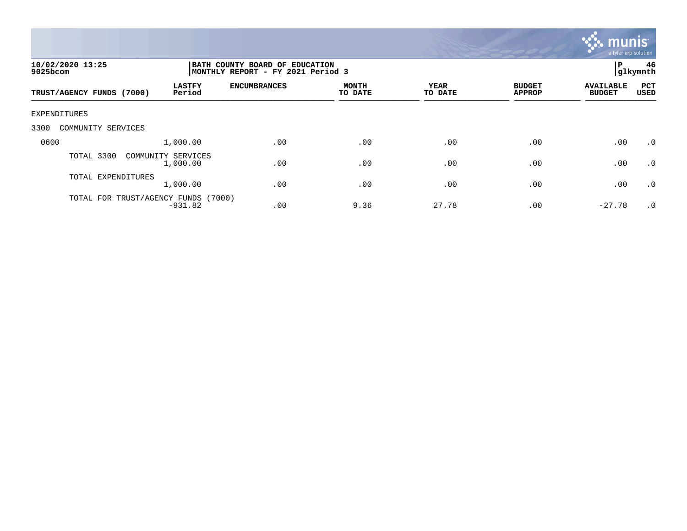

| 10/02/2020 13:25<br>$9025$ bcom                      | BATH COUNTY BOARD OF EDUCATION<br>MONTHLY REPORT - FY 2021 Period 3 |                         |                 |                                |                                   |                    |
|------------------------------------------------------|---------------------------------------------------------------------|-------------------------|-----------------|--------------------------------|-----------------------------------|--------------------|
| <b>LASTFY</b><br>Period<br>TRUST/AGENCY FUNDS (7000) | <b>ENCUMBRANCES</b>                                                 | <b>MONTH</b><br>TO DATE | YEAR<br>TO DATE | <b>BUDGET</b><br><b>APPROP</b> | <b>AVAILABLE</b><br><b>BUDGET</b> | PCT<br><b>USED</b> |
| EXPENDITURES                                         |                                                                     |                         |                 |                                |                                   |                    |
| 3300<br>COMMUNITY SERVICES                           |                                                                     |                         |                 |                                |                                   |                    |
| 0600<br>1,000.00                                     | .00                                                                 | .00                     | .00             | .00                            | .00                               | $\cdot$ 0          |
| TOTAL 3300<br>COMMUNITY SERVICES<br>1,000.00         | .00                                                                 | .00                     | .00             | .00                            | .00                               | .0                 |
| TOTAL EXPENDITURES<br>1,000.00                       | .00                                                                 | .00                     | .00             | .00                            | .00                               | $\cdot$ 0          |
| TOTAL FOR TRUST/AGENCY FUNDS (7000)<br>$-931.82$     | .00                                                                 | 9.36                    | 27.78           | .00                            | $-27.78$                          | $.0 \cdot$         |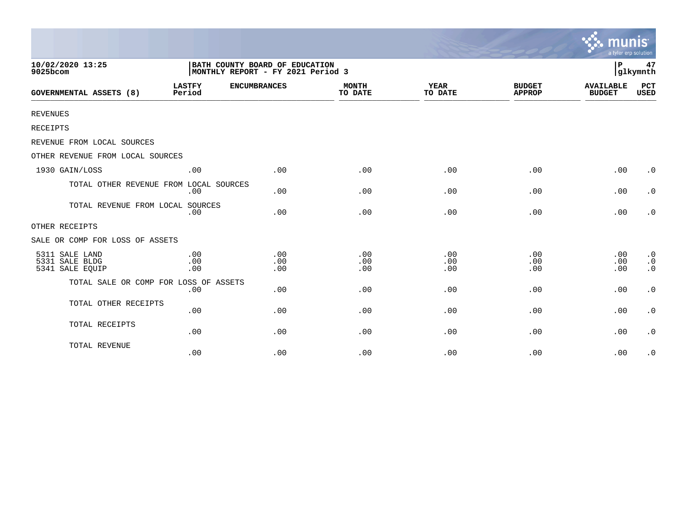|                                                     |                                                                     |                   |                         |                        |                                | munis<br>a tyler erp solution     |                                                  |
|-----------------------------------------------------|---------------------------------------------------------------------|-------------------|-------------------------|------------------------|--------------------------------|-----------------------------------|--------------------------------------------------|
| 10/02/2020 13:25<br>9025bcom                        | BATH COUNTY BOARD OF EDUCATION<br>MONTHLY REPORT - FY 2021 Period 3 | P                 | 47<br>glkymnth          |                        |                                |                                   |                                                  |
| <b>GOVERNMENTAL ASSETS (8)</b>                      | <b>LASTFY</b><br><b>ENCUMBRANCES</b><br>Period                      |                   | <b>MONTH</b><br>TO DATE | <b>YEAR</b><br>TO DATE | <b>BUDGET</b><br><b>APPROP</b> | <b>AVAILABLE</b><br><b>BUDGET</b> | PCT<br><b>USED</b>                               |
| <b>REVENUES</b>                                     |                                                                     |                   |                         |                        |                                |                                   |                                                  |
| RECEIPTS                                            |                                                                     |                   |                         |                        |                                |                                   |                                                  |
| REVENUE FROM LOCAL SOURCES                          |                                                                     |                   |                         |                        |                                |                                   |                                                  |
| OTHER REVENUE FROM LOCAL SOURCES                    |                                                                     |                   |                         |                        |                                |                                   |                                                  |
| 1930 GAIN/LOSS                                      | .00                                                                 | .00               | .00                     | .00                    | .00                            | .00                               | $\cdot$ 0                                        |
| TOTAL OTHER REVENUE FROM LOCAL SOURCES              | .00                                                                 | .00               | .00                     | .00                    | .00                            | .00                               | $\cdot$ 0                                        |
| TOTAL REVENUE FROM LOCAL SOURCES                    | .00                                                                 | .00               | .00                     | .00                    | .00                            | .00                               | $\cdot$ 0                                        |
| OTHER RECEIPTS                                      |                                                                     |                   |                         |                        |                                |                                   |                                                  |
| SALE OR COMP FOR LOSS OF ASSETS                     |                                                                     |                   |                         |                        |                                |                                   |                                                  |
| 5311 SALE LAND<br>5331 SALE BLDG<br>5341 SALE EQUIP | .00<br>.00<br>.00                                                   | .00<br>.00<br>.00 | .00<br>.00<br>.00       | .00<br>.00<br>.00      | .00<br>.00<br>.00              | .00<br>.00<br>.00                 | $\boldsymbol{\cdot}$ 0<br>$\cdot$ 0<br>$\cdot$ 0 |
| TOTAL SALE OR COMP FOR LOSS OF ASSETS               | .00                                                                 | .00               | .00                     | .00                    | .00                            | .00                               | $\boldsymbol{\cdot}$ 0                           |
| TOTAL OTHER RECEIPTS                                | .00                                                                 | .00               | .00                     | .00                    | .00                            | .00                               | $\boldsymbol{\cdot}$ 0                           |
| TOTAL RECEIPTS                                      | .00                                                                 | .00               | .00                     | .00                    | .00                            | .00                               | $\cdot$ 0                                        |
| TOTAL REVENUE                                       | .00                                                                 | .00               | .00                     | .00                    | .00                            | .00                               | $\cdot$ 0                                        |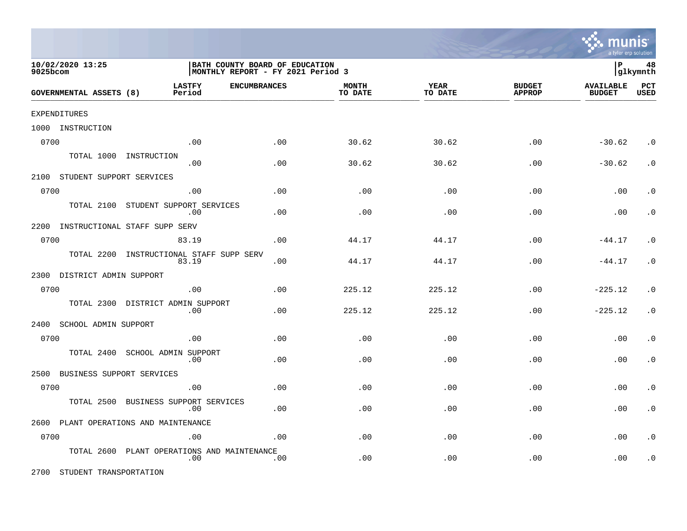

| 10/02/2020 13:25<br>9025bcom      |                                                | BATH COUNTY BOARD OF EDUCATION<br>MONTHLY REPORT - FY 2021 Period 3 |                         |                 |                                |                                   |                    |
|-----------------------------------|------------------------------------------------|---------------------------------------------------------------------|-------------------------|-----------------|--------------------------------|-----------------------------------|--------------------|
| GOVERNMENTAL ASSETS (8)           | <b>LASTFY</b><br><b>ENCUMBRANCES</b><br>Period |                                                                     | <b>MONTH</b><br>TO DATE | YEAR<br>TO DATE | <b>BUDGET</b><br><b>APPROP</b> | <b>AVAILABLE</b><br><b>BUDGET</b> | PCT<br><b>USED</b> |
| EXPENDITURES                      |                                                |                                                                     |                         |                 |                                |                                   |                    |
| 1000 INSTRUCTION                  |                                                |                                                                     |                         |                 |                                |                                   |                    |
| 0700                              | .00                                            | .00                                                                 | 30.62                   | 30.62           | .00                            | $-30.62$                          | $\cdot$ 0          |
| TOTAL 1000                        | INSTRUCTION<br>.00                             | .00                                                                 | 30.62                   | 30.62           | .00                            | $-30.62$                          | $\cdot$ 0          |
| 2100 STUDENT SUPPORT SERVICES     |                                                |                                                                     |                         |                 |                                |                                   |                    |
| 0700                              | .00                                            | .00                                                                 | .00                     | .00             | .00                            | .00                               | . $\boldsymbol{0}$ |
| TOTAL 2100                        | STUDENT SUPPORT SERVICES<br>.00                | .00                                                                 | .00                     | .00             | .00                            | .00                               | $\cdot$ 0          |
| 2200                              | INSTRUCTIONAL STAFF SUPP SERV                  |                                                                     |                         |                 |                                |                                   |                    |
| 0700                              | 83.19                                          | .00                                                                 | 44.17                   | 44.17           | .00                            | $-44.17$                          | $\cdot$ 0          |
| TOTAL 2200                        | INSTRUCTIONAL STAFF SUPP SERV<br>83.19         | .00                                                                 | 44.17                   | 44.17           | .00                            | $-44.17$                          | $\cdot$ 0          |
| 2300 DISTRICT ADMIN SUPPORT       |                                                |                                                                     |                         |                 |                                |                                   |                    |
| 0700                              | .00                                            | .00                                                                 | 225.12                  | 225.12          | .00                            | $-225.12$                         | $\cdot$ 0          |
| TOTAL 2300                        | DISTRICT ADMIN SUPPORT<br>.00                  | .00                                                                 | 225.12                  | 225.12          | .00                            | $-225.12$                         | $\cdot$ 0          |
| 2400<br>SCHOOL ADMIN SUPPORT      |                                                |                                                                     |                         |                 |                                |                                   |                    |
| 0700                              | .00                                            | .00                                                                 | .00                     | .00             | .00                            | .00                               | $\cdot$ 0          |
| TOTAL 2400                        | SCHOOL ADMIN SUPPORT<br>.00                    | .00                                                                 | .00                     | .00             | .00                            | .00                               | $\cdot$ 0          |
| BUSINESS SUPPORT SERVICES<br>2500 |                                                |                                                                     |                         |                 |                                |                                   |                    |
| 0700                              | .00                                            | .00                                                                 | .00                     | .00             | .00                            | .00                               | $\cdot$ 0          |
| TOTAL 2500                        | BUSINESS SUPPORT SERVICES<br>.00               | .00                                                                 | .00                     | .00             | .00                            | .00                               | $\cdot$ 0          |
|                                   | 2600 PLANT OPERATIONS AND MAINTENANCE          |                                                                     |                         |                 |                                |                                   |                    |
| 0700                              | .00                                            | .00                                                                 | .00                     | .00             | .00                            | .00                               | $\cdot$ 0          |
| TOTAL 2600                        | PLANT OPERATIONS AND MAINTENANCE<br>.00        | .00                                                                 | .00                     | .00             | .00                            | .00                               | $\cdot$ 0          |

2700 STUDENT TRANSPORTATION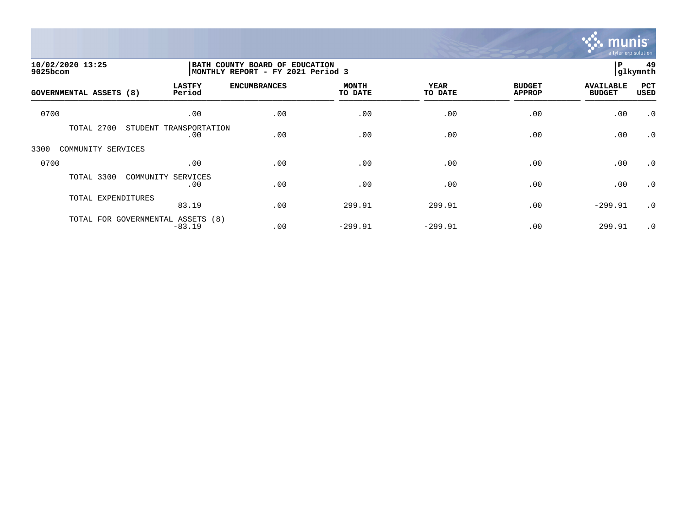

| 10/02/2020 13:25<br>9025bcom |                                               | BATH COUNTY BOARD OF EDUCATION<br>MONTHLY REPORT - FY 2021 Period 3 |                         |                 |                                |                                   | 49<br> glkymnth    |
|------------------------------|-----------------------------------------------|---------------------------------------------------------------------|-------------------------|-----------------|--------------------------------|-----------------------------------|--------------------|
| GOVERNMENTAL ASSETS (8)      | <b>LASTFY</b><br>Period                       | <b>ENCUMBRANCES</b>                                                 | <b>MONTH</b><br>TO DATE | YEAR<br>TO DATE | <b>BUDGET</b><br><b>APPROP</b> | <b>AVAILABLE</b><br><b>BUDGET</b> | PCT<br><b>USED</b> |
| 0700                         | .00                                           | .00                                                                 | .00                     | .00             | .00                            | .00                               | $\cdot$ 0          |
| TOTAL 2700                   | STUDENT<br>TRANSPORTATION<br>.00              | .00                                                                 | .00                     | .00             | .00                            | .00                               | $\cdot$ 0          |
| COMMUNITY SERVICES<br>3300   |                                               |                                                                     |                         |                 |                                |                                   |                    |
| 0700                         | .00                                           | .00                                                                 | .00                     | .00             | .00                            | .00                               | $\cdot$ 0          |
| TOTAL 3300                   | COMMUNITY SERVICES<br>.00                     | .00                                                                 | .00                     | .00             | .00                            | .00                               | $\cdot$ 0          |
| TOTAL EXPENDITURES           | 83.19                                         | .00                                                                 | 299.91                  | 299.91          | .00                            | $-299.91$                         | $\cdot$ 0          |
|                              | TOTAL FOR GOVERNMENTAL ASSETS (8)<br>$-83.19$ | .00                                                                 | $-299.91$               | $-299.91$       | .00                            | 299.91                            | $\cdot$ 0          |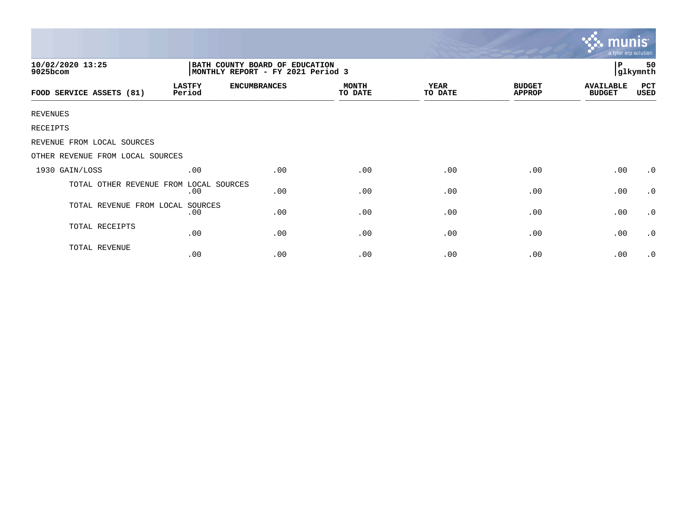|                                                                                                     |                         |                     |                         |                        | munis<br>a tyler erp solution  |                                   |             |
|-----------------------------------------------------------------------------------------------------|-------------------------|---------------------|-------------------------|------------------------|--------------------------------|-----------------------------------|-------------|
| 10/02/2020 13:25<br>BATH COUNTY BOARD OF EDUCATION<br>MONTHLY REPORT - FY 2021 Period 3<br>9025bcom |                         |                     |                         |                        |                                |                                   |             |
| FOOD SERVICE ASSETS (81)                                                                            | <b>LASTFY</b><br>Period | <b>ENCUMBRANCES</b> | <b>MONTH</b><br>TO DATE | <b>YEAR</b><br>TO DATE | <b>BUDGET</b><br><b>APPROP</b> | <b>AVAILABLE</b><br><b>BUDGET</b> | PCT<br>USED |
| <b>REVENUES</b>                                                                                     |                         |                     |                         |                        |                                |                                   |             |
| RECEIPTS                                                                                            |                         |                     |                         |                        |                                |                                   |             |
| REVENUE FROM LOCAL SOURCES                                                                          |                         |                     |                         |                        |                                |                                   |             |
| OTHER REVENUE FROM LOCAL SOURCES                                                                    |                         |                     |                         |                        |                                |                                   |             |
| 1930 GAIN/LOSS                                                                                      | .00                     | .00                 | .00                     | .00                    | .00                            | .00                               | $\cdot$ 0   |
| TOTAL OTHER REVENUE FROM                                                                            | LOCAL SOURCES<br>.00    | .00                 | .00                     | .00                    | .00                            | .00                               | $\cdot$ 0   |
| TOTAL REVENUE FROM LOCAL SOURCES                                                                    | .00                     | .00                 | .00                     | .00                    | .00                            | .00                               | $\cdot$ 0   |
| TOTAL RECEIPTS                                                                                      | .00                     | .00                 | .00                     | .00                    | .00                            | .00                               | $\cdot$ 0   |
| TOTAL REVENUE                                                                                       | .00                     | .00                 | .00                     | .00                    | .00                            | .00                               | $\cdot$ 0   |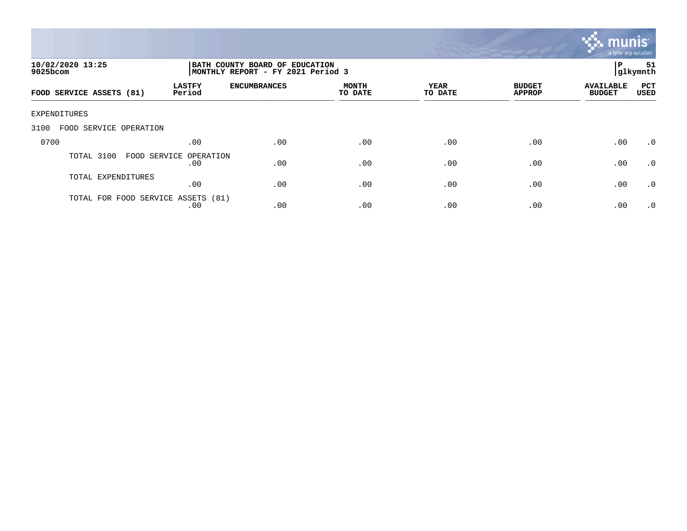

| 10/02/2020 13:25<br>$9025$ bcom    |                               | BATH COUNTY BOARD OF EDUCATION<br>MONTHLY REPORT - FY 2021 Period 3 |                         |                 |                                |                                   |                    |
|------------------------------------|-------------------------------|---------------------------------------------------------------------|-------------------------|-----------------|--------------------------------|-----------------------------------|--------------------|
| FOOD SERVICE ASSETS (81)           | <b>LASTFY</b><br>Period       | <b>ENCUMBRANCES</b>                                                 | <b>MONTH</b><br>TO DATE | YEAR<br>TO DATE | <b>BUDGET</b><br><b>APPROP</b> | <b>AVAILABLE</b><br><b>BUDGET</b> | PCT<br><b>USED</b> |
| EXPENDITURES                       |                               |                                                                     |                         |                 |                                |                                   |                    |
| 3100<br>FOOD SERVICE OPERATION     |                               |                                                                     |                         |                 |                                |                                   |                    |
| 0700                               | .00                           | .00                                                                 | .00                     | .00             | .00                            | .00                               | .0                 |
| TOTAL 3100                         | FOOD SERVICE OPERATION<br>.00 | .00                                                                 | .00                     | .00             | .00                            | .00                               | .0                 |
| TOTAL EXPENDITURES                 | .00                           | .00                                                                 | .00                     | .00             | .00                            | .00                               | $\cdot$ 0          |
| TOTAL FOR FOOD SERVICE ASSETS (81) | .00                           | .00                                                                 | .00                     | .00             | .00                            | .00                               | $\cdot$ 0          |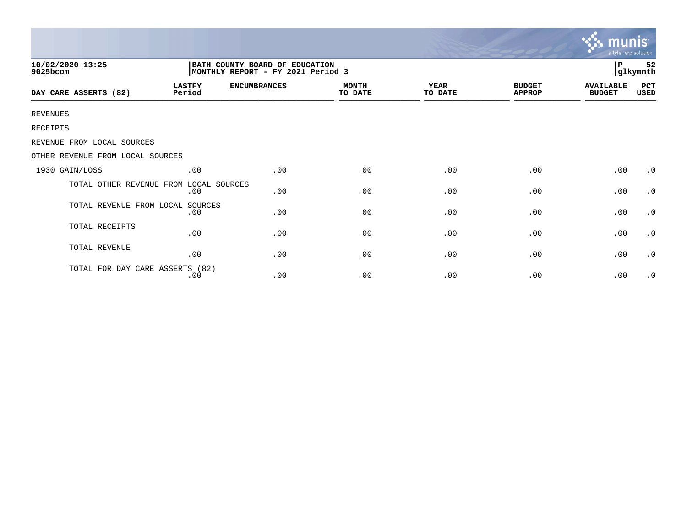|                                        |                                                                     |                     |                         | <u>munis </u><br>a tyler erp solution |                                |                                   |             |
|----------------------------------------|---------------------------------------------------------------------|---------------------|-------------------------|---------------------------------------|--------------------------------|-----------------------------------|-------------|
| 10/02/2020 13:25<br>9025bcom           | BATH COUNTY BOARD OF EDUCATION<br>MONTHLY REPORT - FY 2021 Period 3 |                     |                         |                                       |                                | 52<br>Р<br>glkymnth               |             |
| DAY CARE ASSERTS (82)                  | <b>LASTFY</b><br>Period                                             | <b>ENCUMBRANCES</b> | <b>MONTH</b><br>TO DATE | <b>YEAR</b><br>TO DATE                | <b>BUDGET</b><br><b>APPROP</b> | <b>AVAILABLE</b><br><b>BUDGET</b> | PCT<br>USED |
| <b>REVENUES</b>                        |                                                                     |                     |                         |                                       |                                |                                   |             |
| <b>RECEIPTS</b>                        |                                                                     |                     |                         |                                       |                                |                                   |             |
| REVENUE FROM LOCAL SOURCES             |                                                                     |                     |                         |                                       |                                |                                   |             |
| OTHER REVENUE FROM LOCAL SOURCES       |                                                                     |                     |                         |                                       |                                |                                   |             |
| 1930 GAIN/LOSS                         | .00                                                                 | .00                 | .00                     | .00                                   | .00                            | .00                               | $\cdot$ 0   |
| TOTAL OTHER REVENUE FROM LOCAL SOURCES | .00                                                                 | .00                 | .00                     | .00                                   | .00                            | .00                               | $\cdot$ 0   |
| TOTAL REVENUE FROM LOCAL SOURCES       | .00                                                                 | .00                 | .00                     | .00                                   | .00                            | .00                               | $\cdot$ 0   |
| TOTAL RECEIPTS                         | .00                                                                 | .00                 | .00                     | .00                                   | .00                            | .00                               | $\cdot$ 0   |
| TOTAL REVENUE                          | .00                                                                 | .00                 | .00                     | .00                                   | .00                            | .00                               | $\cdot$ 0   |
| TOTAL FOR DAY CARE ASSERTS (82)        | .00                                                                 | .00                 | .00                     | .00                                   | .00                            | .00                               | $\cdot$ 0   |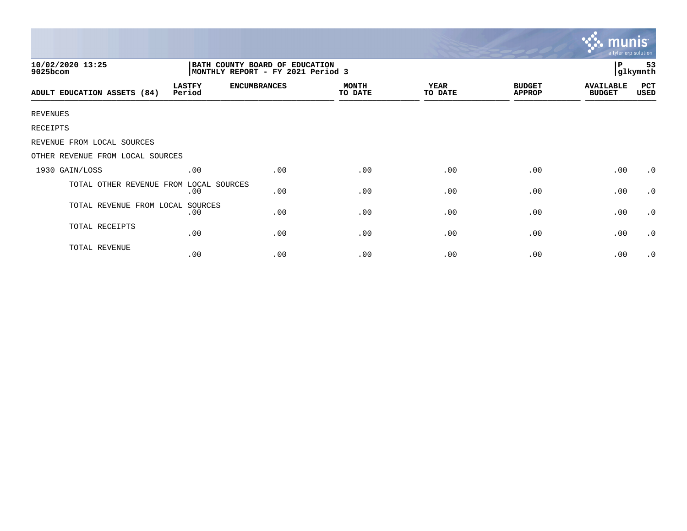|                                                                                                     |                         |                     |                         |                        | munis<br>a tyler erp solution  |                                   |             |
|-----------------------------------------------------------------------------------------------------|-------------------------|---------------------|-------------------------|------------------------|--------------------------------|-----------------------------------|-------------|
| 10/02/2020 13:25<br>BATH COUNTY BOARD OF EDUCATION<br>MONTHLY REPORT - FY 2021 Period 3<br>9025bcom |                         |                     |                         |                        |                                |                                   |             |
| ADULT EDUCATION ASSETS (84)                                                                         | <b>LASTFY</b><br>Period | <b>ENCUMBRANCES</b> | <b>MONTH</b><br>TO DATE | <b>YEAR</b><br>TO DATE | <b>BUDGET</b><br><b>APPROP</b> | <b>AVAILABLE</b><br><b>BUDGET</b> | PCT<br>USED |
| <b>REVENUES</b>                                                                                     |                         |                     |                         |                        |                                |                                   |             |
| RECEIPTS                                                                                            |                         |                     |                         |                        |                                |                                   |             |
| REVENUE FROM LOCAL SOURCES                                                                          |                         |                     |                         |                        |                                |                                   |             |
| OTHER REVENUE FROM LOCAL SOURCES                                                                    |                         |                     |                         |                        |                                |                                   |             |
| 1930 GAIN/LOSS                                                                                      | .00                     | .00                 | .00                     | .00                    | .00                            | .00                               | $\cdot$ 0   |
| TOTAL OTHER REVENUE FROM                                                                            | LOCAL SOURCES<br>.00    | .00                 | .00                     | .00                    | .00                            | .00                               | $\cdot$ 0   |
| TOTAL REVENUE FROM LOCAL SOURCES                                                                    | .00                     | .00                 | .00                     | .00                    | .00                            | .00                               | $\cdot$ 0   |
| TOTAL RECEIPTS                                                                                      | .00                     | .00                 | .00                     | .00                    | .00                            | .00                               | $\cdot$ 0   |
| TOTAL REVENUE                                                                                       | .00                     | .00                 | .00                     | .00                    | .00                            | .00                               | $\cdot$ 0   |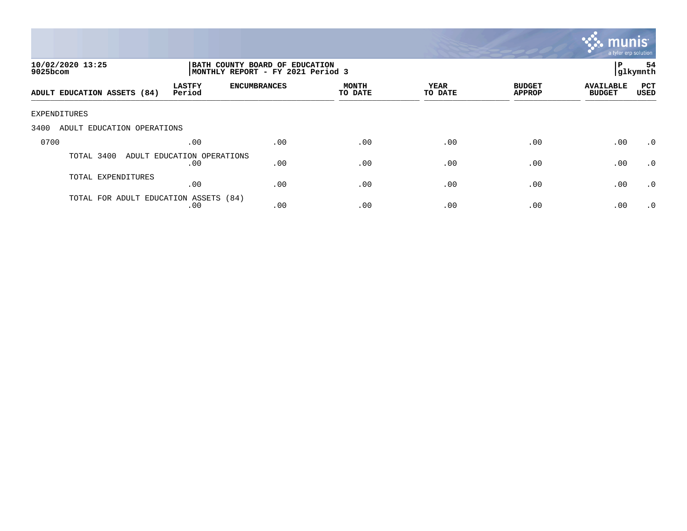

| 10/02/2020 13:25<br>9025bcom          |                                   | BATH COUNTY BOARD OF EDUCATION<br>MONTHLY REPORT - FY 2021 Period 3 |                         |                 |                                |                                   |                    |
|---------------------------------------|-----------------------------------|---------------------------------------------------------------------|-------------------------|-----------------|--------------------------------|-----------------------------------|--------------------|
| ADULT EDUCATION ASSETS (84)           | <b>LASTFY</b><br>Period           | <b>ENCUMBRANCES</b>                                                 | <b>MONTH</b><br>TO DATE | YEAR<br>TO DATE | <b>BUDGET</b><br><b>APPROP</b> | <b>AVAILABLE</b><br><b>BUDGET</b> | PCT<br><b>USED</b> |
| EXPENDITURES                          |                                   |                                                                     |                         |                 |                                |                                   |                    |
| 3400<br>ADULT EDUCATION OPERATIONS    |                                   |                                                                     |                         |                 |                                |                                   |                    |
| 0700                                  | .00                               | .00                                                                 | .00                     | .00             | .00                            | .00                               | $\cdot$ 0          |
| TOTAL 3400                            | ADULT EDUCATION OPERATIONS<br>.00 | .00                                                                 | .00                     | .00             | .00                            | .00                               | $\cdot$ 0          |
| TOTAL EXPENDITURES                    | .00                               | .00                                                                 | .00                     | .00             | .00                            | .00                               | .0                 |
| TOTAL FOR ADULT EDUCATION ASSETS (84) | .00                               | .00                                                                 | .00                     | .00             | .00                            | .00                               | $\cdot$ 0          |